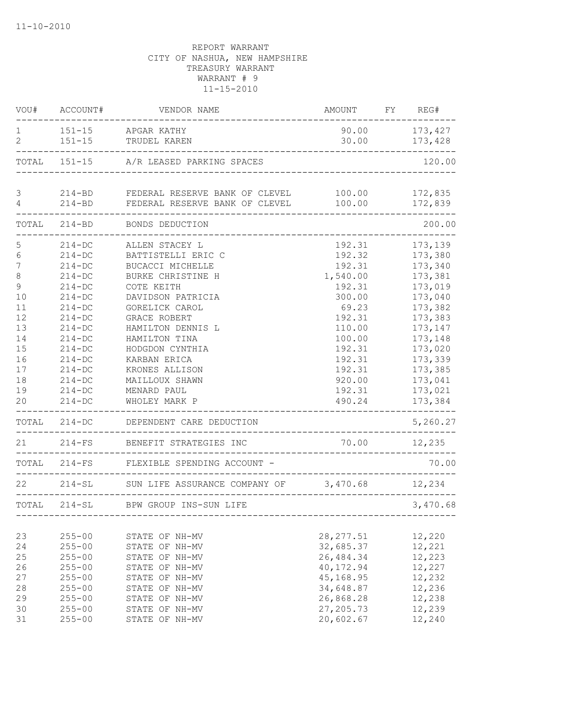| VOU#                | ACCOUNT#   | VENDOR NAME                                                    | AMOUNT FY REG# |          |
|---------------------|------------|----------------------------------------------------------------|----------------|----------|
| 1<br>$\overline{2}$ |            | 151-15 APGAR KATHY                                             | 90.00          | 173,427  |
|                     | $151 - 15$ | TRUDEL KAREN                                                   | 30.00          | 173,428  |
|                     |            | TOTAL 151-15 A/R LEASED PARKING SPACES                         |                | 120.00   |
| 3                   |            | 214-BD FEDERAL RESERVE BANK OF CLEVEL 100.00                   |                | 172,835  |
| $\overline{4}$      | $214 - BD$ | FEDERAL RESERVE BANK OF CLEVEL                                 | 100.00         | 172,839  |
| TOTAL               |            | 214-BD BONDS DEDUCTION                                         |                | 200.00   |
| 5                   | $214 - DC$ | ALLEN STACEY L                                                 | 192.31         | 173,139  |
| $\epsilon$          | $214 - DC$ | BATTISTELLI ERIC C                                             | 192.32         | 173,380  |
| $\overline{7}$      | $214 - DC$ | BUCACCI MICHELLE                                               | 192.31         | 173,340  |
| 8                   | $214-DC$   | BURKE CHRISTINE H                                              | 1,540.00       | 173,381  |
| 9                   | $214 - DC$ | COTE KEITH                                                     | 192.31         | 173,019  |
| 10                  | $214 - DC$ | DAVIDSON PATRICIA                                              | 300.00         | 173,040  |
| 11                  | $214 - DC$ | GORELICK CAROL                                                 | 69.23          | 173,382  |
| 12                  | $214-DC$   | <b>GRACE ROBERT</b>                                            | 192.31         | 173,383  |
| 13                  | $214-DC$   | HAMILTON DENNIS L                                              | 110.00         | 173,147  |
| 14                  | $214 - DC$ | HAMILTON TINA                                                  | 100.00         | 173,148  |
| 15                  | $214 - DC$ | HODGDON CYNTHIA                                                | 192.31         | 173,020  |
| 16                  | $214 - DC$ | KARBAN ERICA                                                   | 192.31         | 173,339  |
| 17                  | $214 - DC$ | KRONES ALLISON                                                 | 192.31         | 173,385  |
| 18                  | $214-DC$   | MAILLOUX SHAWN                                                 | 920.00         | 173,041  |
| 19                  | $214-DC$   | MENARD PAUL                                                    | 192.31         | 173,021  |
| 20                  | $214 - DC$ | WHOLEY MARK P                                                  | 490.24         | 173,384  |
|                     |            | TOTAL 214-DC DEPENDENT CARE DEDUCTION<br>--------------------- |                | 5,260.27 |
| 21                  | $214-FS$   | BENEFIT STRATEGIES INC                                         | 70.00 12,235   |          |
|                     |            | TOTAL 214-FS FLEXIBLE SPENDING ACCOUNT -                       |                | 70.00    |
| 22                  | $214 - SL$ | SUN LIFE ASSURANCE COMPANY OF 3,470.68 12,234                  |                |          |
|                     |            | TOTAL 214-SL BPW GROUP INS-SUN LIFE                            |                | 3,470.68 |
|                     | -------    |                                                                |                |          |
| 23                  | $255 - 00$ | STATE OF NH-MV                                                 | 28, 277.51     | 12,220   |
| 24                  | $255 - 00$ | STATE OF NH-MV                                                 | 32,685.37      | 12,221   |
| $25$                | $255 - 00$ | STATE OF NH-MV                                                 | 26, 484.34     | 12,223   |
| 26                  | $255 - 00$ | STATE OF NH-MV                                                 | 40,172.94      | 12,227   |
| 27                  | $255 - 00$ | STATE OF NH-MV                                                 | 45,168.95      | 12,232   |
| 28                  | $255 - 00$ | STATE OF NH-MV                                                 | 34,648.87      | 12,236   |
| 29                  | $255 - 00$ | STATE OF NH-MV                                                 | 26,868.28      | 12,238   |
| 30                  | $255 - 00$ | STATE OF NH-MV                                                 | 27, 205.73     | 12,239   |
| 31                  | $255 - 00$ | STATE OF NH-MV                                                 | 20,602.67      | 12,240   |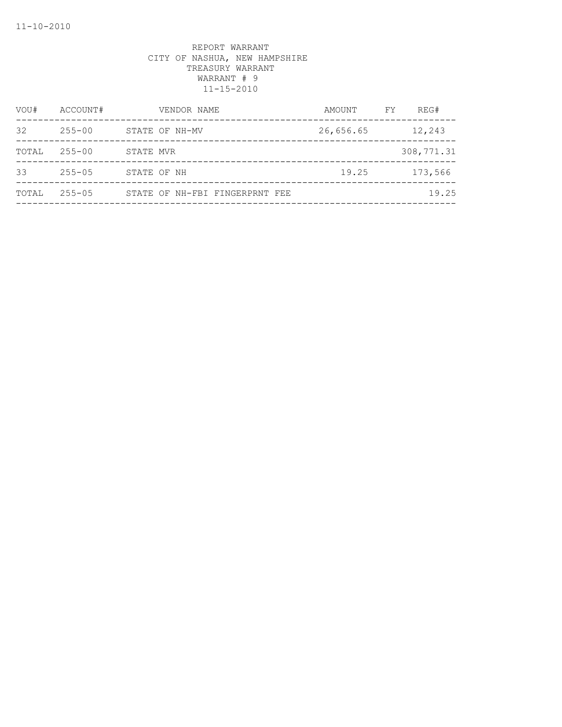| VOU#  | ACCOUNT#   |           | VENDOR NAME                    | AMOUNT    | FY. | REG#       |
|-------|------------|-----------|--------------------------------|-----------|-----|------------|
| 32    | $255 - 00$ |           | STATE OF NH-MV                 | 26,656.65 |     | 12,243     |
| TOTAL | $255 - 00$ | STATE MVR |                                |           |     | 308,771.31 |
| 33    | $255 - 05$ |           | STATE OF NH                    | 19.25     |     | 173,566    |
| TOTAL | $255 - 05$ |           | STATE OF NH-FBI FINGERPRNT FEE |           |     | 19.25      |
|       |            |           |                                |           |     |            |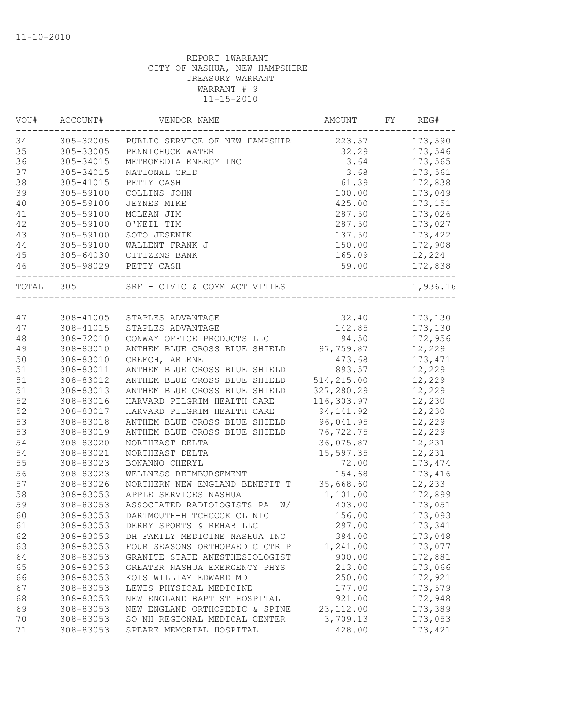| 173,590<br>305-32005<br>PUBLIC SERVICE OF NEW HAMPSHIR<br>223.57<br>305-33005<br>32.29<br>173,546<br>PENNICHUCK WATER<br>305-34015<br>3.64<br>173,565<br>METROMEDIA ENERGY INC<br>305-34015<br>3.68<br>173,561<br>NATIONAL GRID<br>61.39<br>305-41015<br>PETTY CASH<br>172,838<br>305-59100<br>COLLINS JOHN<br>100.00<br>173,049<br>305-59100<br>425.00<br>173,151<br>JEYNES MIKE<br>305-59100<br>287.50<br>173,026<br>MCLEAN JIM<br>305-59100<br>O'NEIL TIM<br>287.50<br>173,027<br>305-59100<br>SOTO JESENIK<br>173,422<br>137.50<br>305-59100<br>WALLENT FRANK J<br>150.00<br>172,908<br>305-64030<br>165.09<br>12,224<br>CITIZENS BANK<br>305-98029 PETTY CASH<br>59.00<br>172,838<br>SRF - CIVIC & COMM ACTIVITIES<br>305<br>TOTAL<br>308-41005<br>32.40<br>173,130<br>STAPLES ADVANTAGE<br>173,130<br>308-41015<br>142.85<br>STAPLES ADVANTAGE<br>308-72010<br>CONWAY OFFICE PRODUCTS LLC<br>94.50<br>172,956<br>308-83010<br>ANTHEM BLUE CROSS BLUE SHIELD 97,759.87<br>12,229<br>308-83010<br>173, 471<br>CREECH, ARLENE<br>473.68<br>12,229<br>308-83011<br>ANTHEM BLUE CROSS BLUE SHIELD<br>893.57<br>514,215.00<br>12,229<br>308-83012<br>ANTHEM BLUE CROSS BLUE SHIELD<br>327,280.29<br>12,229<br>308-83013<br>ANTHEM BLUE CROSS BLUE SHIELD<br>116,303.97<br>12,230<br>308-83016<br>HARVARD PILGRIM HEALTH CARE<br>308-83017<br>94, 141.92<br>12,230<br>HARVARD PILGRIM HEALTH CARE<br>12,229<br>308-83018<br>ANTHEM BLUE CROSS BLUE SHIELD<br>96,041.95<br>308-83019<br>ANTHEM BLUE CROSS BLUE SHIELD<br>76,722.75<br>12,229<br>308-83020<br>36,075.87<br>12,231<br>NORTHEAST DELTA<br>308-83021<br>15,597.35<br>12,231<br>NORTHEAST DELTA<br>308-83023<br>72.00<br>173, 474<br>BONANNO CHERYL<br>56<br>308-83023<br>154.68<br>173,416<br>WELLNESS REIMBURSEMENT<br>35,668.60<br>12,233<br>57<br>308-83026<br>NORTHERN NEW ENGLAND BENEFIT T<br>58<br>308-83053<br>APPLE SERVICES NASHUA<br>1,101.00<br>172,899<br>403.00<br>173,051<br>308-83053<br>ASSOCIATED RADIOLOGISTS PA<br>W/<br>60<br>DARTMOUTH-HITCHCOCK CLINIC<br>156.00<br>173,093<br>308-83053<br>297.00<br>61<br>308-83053<br>DERRY SPORTS & REHAB LLC<br>173,341<br>308-83053<br>62<br>DH FAMILY MEDICINE NASHUA INC<br>384.00<br>173,048<br>63<br>308-83053<br>1,241.00<br>173,077<br>FOUR SEASONS ORTHOPAEDIC CTR P<br>64<br>308-83053<br>900.00<br>172,881<br>GRANITE STATE ANESTHESIOLOGIST<br>65<br>308-83053<br>213.00<br>173,066<br>GREATER NASHUA EMERGENCY PHYS<br>172,921<br>66<br>308-83053<br>KOIS WILLIAM EDWARD MD<br>250.00<br>173,579<br>67<br>308-83053<br>LEWIS PHYSICAL MEDICINE<br>177.00<br>68<br>308-83053<br>NEW ENGLAND BAPTIST HOSPITAL<br>921.00<br>172,948<br>69<br>308-83053<br>NEW ENGLAND ORTHOPEDIC & SPINE<br>23, 112.00<br>173,389<br>308-83053<br>SO NH REGIONAL MEDICAL CENTER<br>3,709.13<br>173,053<br>70<br>308-83053<br>SPEARE MEMORIAL HOSPITAL<br>428.00<br>173, 421<br>71 | VOU# | ACCOUNT# | VENDOR NAME | AMOUNT | FY. | REG#     |
|--------------------------------------------------------------------------------------------------------------------------------------------------------------------------------------------------------------------------------------------------------------------------------------------------------------------------------------------------------------------------------------------------------------------------------------------------------------------------------------------------------------------------------------------------------------------------------------------------------------------------------------------------------------------------------------------------------------------------------------------------------------------------------------------------------------------------------------------------------------------------------------------------------------------------------------------------------------------------------------------------------------------------------------------------------------------------------------------------------------------------------------------------------------------------------------------------------------------------------------------------------------------------------------------------------------------------------------------------------------------------------------------------------------------------------------------------------------------------------------------------------------------------------------------------------------------------------------------------------------------------------------------------------------------------------------------------------------------------------------------------------------------------------------------------------------------------------------------------------------------------------------------------------------------------------------------------------------------------------------------------------------------------------------------------------------------------------------------------------------------------------------------------------------------------------------------------------------------------------------------------------------------------------------------------------------------------------------------------------------------------------------------------------------------------------------------------------------------------------------------------------------------------------------------------------------------------------------------------------------------------------------------------------------------------------------------------------------------------------------------------------------------------------------------------------------------------------------------------------------------------------------------------|------|----------|-------------|--------|-----|----------|
|                                                                                                                                                                                                                                                                                                                                                                                                                                                                                                                                                                                                                                                                                                                                                                                                                                                                                                                                                                                                                                                                                                                                                                                                                                                                                                                                                                                                                                                                                                                                                                                                                                                                                                                                                                                                                                                                                                                                                                                                                                                                                                                                                                                                                                                                                                                                                                                                                                                                                                                                                                                                                                                                                                                                                                                                                                                                                                  | 34   |          |             |        |     |          |
|                                                                                                                                                                                                                                                                                                                                                                                                                                                                                                                                                                                                                                                                                                                                                                                                                                                                                                                                                                                                                                                                                                                                                                                                                                                                                                                                                                                                                                                                                                                                                                                                                                                                                                                                                                                                                                                                                                                                                                                                                                                                                                                                                                                                                                                                                                                                                                                                                                                                                                                                                                                                                                                                                                                                                                                                                                                                                                  | 35   |          |             |        |     |          |
|                                                                                                                                                                                                                                                                                                                                                                                                                                                                                                                                                                                                                                                                                                                                                                                                                                                                                                                                                                                                                                                                                                                                                                                                                                                                                                                                                                                                                                                                                                                                                                                                                                                                                                                                                                                                                                                                                                                                                                                                                                                                                                                                                                                                                                                                                                                                                                                                                                                                                                                                                                                                                                                                                                                                                                                                                                                                                                  | 36   |          |             |        |     |          |
|                                                                                                                                                                                                                                                                                                                                                                                                                                                                                                                                                                                                                                                                                                                                                                                                                                                                                                                                                                                                                                                                                                                                                                                                                                                                                                                                                                                                                                                                                                                                                                                                                                                                                                                                                                                                                                                                                                                                                                                                                                                                                                                                                                                                                                                                                                                                                                                                                                                                                                                                                                                                                                                                                                                                                                                                                                                                                                  | 37   |          |             |        |     |          |
|                                                                                                                                                                                                                                                                                                                                                                                                                                                                                                                                                                                                                                                                                                                                                                                                                                                                                                                                                                                                                                                                                                                                                                                                                                                                                                                                                                                                                                                                                                                                                                                                                                                                                                                                                                                                                                                                                                                                                                                                                                                                                                                                                                                                                                                                                                                                                                                                                                                                                                                                                                                                                                                                                                                                                                                                                                                                                                  | 38   |          |             |        |     |          |
|                                                                                                                                                                                                                                                                                                                                                                                                                                                                                                                                                                                                                                                                                                                                                                                                                                                                                                                                                                                                                                                                                                                                                                                                                                                                                                                                                                                                                                                                                                                                                                                                                                                                                                                                                                                                                                                                                                                                                                                                                                                                                                                                                                                                                                                                                                                                                                                                                                                                                                                                                                                                                                                                                                                                                                                                                                                                                                  | 39   |          |             |        |     |          |
|                                                                                                                                                                                                                                                                                                                                                                                                                                                                                                                                                                                                                                                                                                                                                                                                                                                                                                                                                                                                                                                                                                                                                                                                                                                                                                                                                                                                                                                                                                                                                                                                                                                                                                                                                                                                                                                                                                                                                                                                                                                                                                                                                                                                                                                                                                                                                                                                                                                                                                                                                                                                                                                                                                                                                                                                                                                                                                  | 40   |          |             |        |     |          |
|                                                                                                                                                                                                                                                                                                                                                                                                                                                                                                                                                                                                                                                                                                                                                                                                                                                                                                                                                                                                                                                                                                                                                                                                                                                                                                                                                                                                                                                                                                                                                                                                                                                                                                                                                                                                                                                                                                                                                                                                                                                                                                                                                                                                                                                                                                                                                                                                                                                                                                                                                                                                                                                                                                                                                                                                                                                                                                  | 41   |          |             |        |     |          |
|                                                                                                                                                                                                                                                                                                                                                                                                                                                                                                                                                                                                                                                                                                                                                                                                                                                                                                                                                                                                                                                                                                                                                                                                                                                                                                                                                                                                                                                                                                                                                                                                                                                                                                                                                                                                                                                                                                                                                                                                                                                                                                                                                                                                                                                                                                                                                                                                                                                                                                                                                                                                                                                                                                                                                                                                                                                                                                  | 42   |          |             |        |     |          |
|                                                                                                                                                                                                                                                                                                                                                                                                                                                                                                                                                                                                                                                                                                                                                                                                                                                                                                                                                                                                                                                                                                                                                                                                                                                                                                                                                                                                                                                                                                                                                                                                                                                                                                                                                                                                                                                                                                                                                                                                                                                                                                                                                                                                                                                                                                                                                                                                                                                                                                                                                                                                                                                                                                                                                                                                                                                                                                  | 43   |          |             |        |     |          |
|                                                                                                                                                                                                                                                                                                                                                                                                                                                                                                                                                                                                                                                                                                                                                                                                                                                                                                                                                                                                                                                                                                                                                                                                                                                                                                                                                                                                                                                                                                                                                                                                                                                                                                                                                                                                                                                                                                                                                                                                                                                                                                                                                                                                                                                                                                                                                                                                                                                                                                                                                                                                                                                                                                                                                                                                                                                                                                  | 44   |          |             |        |     |          |
|                                                                                                                                                                                                                                                                                                                                                                                                                                                                                                                                                                                                                                                                                                                                                                                                                                                                                                                                                                                                                                                                                                                                                                                                                                                                                                                                                                                                                                                                                                                                                                                                                                                                                                                                                                                                                                                                                                                                                                                                                                                                                                                                                                                                                                                                                                                                                                                                                                                                                                                                                                                                                                                                                                                                                                                                                                                                                                  | 45   |          |             |        |     |          |
|                                                                                                                                                                                                                                                                                                                                                                                                                                                                                                                                                                                                                                                                                                                                                                                                                                                                                                                                                                                                                                                                                                                                                                                                                                                                                                                                                                                                                                                                                                                                                                                                                                                                                                                                                                                                                                                                                                                                                                                                                                                                                                                                                                                                                                                                                                                                                                                                                                                                                                                                                                                                                                                                                                                                                                                                                                                                                                  | 46   |          |             |        |     |          |
|                                                                                                                                                                                                                                                                                                                                                                                                                                                                                                                                                                                                                                                                                                                                                                                                                                                                                                                                                                                                                                                                                                                                                                                                                                                                                                                                                                                                                                                                                                                                                                                                                                                                                                                                                                                                                                                                                                                                                                                                                                                                                                                                                                                                                                                                                                                                                                                                                                                                                                                                                                                                                                                                                                                                                                                                                                                                                                  |      |          |             |        |     | 1,936.16 |
|                                                                                                                                                                                                                                                                                                                                                                                                                                                                                                                                                                                                                                                                                                                                                                                                                                                                                                                                                                                                                                                                                                                                                                                                                                                                                                                                                                                                                                                                                                                                                                                                                                                                                                                                                                                                                                                                                                                                                                                                                                                                                                                                                                                                                                                                                                                                                                                                                                                                                                                                                                                                                                                                                                                                                                                                                                                                                                  |      |          |             |        |     |          |
|                                                                                                                                                                                                                                                                                                                                                                                                                                                                                                                                                                                                                                                                                                                                                                                                                                                                                                                                                                                                                                                                                                                                                                                                                                                                                                                                                                                                                                                                                                                                                                                                                                                                                                                                                                                                                                                                                                                                                                                                                                                                                                                                                                                                                                                                                                                                                                                                                                                                                                                                                                                                                                                                                                                                                                                                                                                                                                  | 47   |          |             |        |     |          |
|                                                                                                                                                                                                                                                                                                                                                                                                                                                                                                                                                                                                                                                                                                                                                                                                                                                                                                                                                                                                                                                                                                                                                                                                                                                                                                                                                                                                                                                                                                                                                                                                                                                                                                                                                                                                                                                                                                                                                                                                                                                                                                                                                                                                                                                                                                                                                                                                                                                                                                                                                                                                                                                                                                                                                                                                                                                                                                  | 47   |          |             |        |     |          |
|                                                                                                                                                                                                                                                                                                                                                                                                                                                                                                                                                                                                                                                                                                                                                                                                                                                                                                                                                                                                                                                                                                                                                                                                                                                                                                                                                                                                                                                                                                                                                                                                                                                                                                                                                                                                                                                                                                                                                                                                                                                                                                                                                                                                                                                                                                                                                                                                                                                                                                                                                                                                                                                                                                                                                                                                                                                                                                  | 48   |          |             |        |     |          |
|                                                                                                                                                                                                                                                                                                                                                                                                                                                                                                                                                                                                                                                                                                                                                                                                                                                                                                                                                                                                                                                                                                                                                                                                                                                                                                                                                                                                                                                                                                                                                                                                                                                                                                                                                                                                                                                                                                                                                                                                                                                                                                                                                                                                                                                                                                                                                                                                                                                                                                                                                                                                                                                                                                                                                                                                                                                                                                  | 49   |          |             |        |     |          |
|                                                                                                                                                                                                                                                                                                                                                                                                                                                                                                                                                                                                                                                                                                                                                                                                                                                                                                                                                                                                                                                                                                                                                                                                                                                                                                                                                                                                                                                                                                                                                                                                                                                                                                                                                                                                                                                                                                                                                                                                                                                                                                                                                                                                                                                                                                                                                                                                                                                                                                                                                                                                                                                                                                                                                                                                                                                                                                  | 50   |          |             |        |     |          |
|                                                                                                                                                                                                                                                                                                                                                                                                                                                                                                                                                                                                                                                                                                                                                                                                                                                                                                                                                                                                                                                                                                                                                                                                                                                                                                                                                                                                                                                                                                                                                                                                                                                                                                                                                                                                                                                                                                                                                                                                                                                                                                                                                                                                                                                                                                                                                                                                                                                                                                                                                                                                                                                                                                                                                                                                                                                                                                  | 51   |          |             |        |     |          |
|                                                                                                                                                                                                                                                                                                                                                                                                                                                                                                                                                                                                                                                                                                                                                                                                                                                                                                                                                                                                                                                                                                                                                                                                                                                                                                                                                                                                                                                                                                                                                                                                                                                                                                                                                                                                                                                                                                                                                                                                                                                                                                                                                                                                                                                                                                                                                                                                                                                                                                                                                                                                                                                                                                                                                                                                                                                                                                  | 51   |          |             |        |     |          |
|                                                                                                                                                                                                                                                                                                                                                                                                                                                                                                                                                                                                                                                                                                                                                                                                                                                                                                                                                                                                                                                                                                                                                                                                                                                                                                                                                                                                                                                                                                                                                                                                                                                                                                                                                                                                                                                                                                                                                                                                                                                                                                                                                                                                                                                                                                                                                                                                                                                                                                                                                                                                                                                                                                                                                                                                                                                                                                  | 51   |          |             |        |     |          |
|                                                                                                                                                                                                                                                                                                                                                                                                                                                                                                                                                                                                                                                                                                                                                                                                                                                                                                                                                                                                                                                                                                                                                                                                                                                                                                                                                                                                                                                                                                                                                                                                                                                                                                                                                                                                                                                                                                                                                                                                                                                                                                                                                                                                                                                                                                                                                                                                                                                                                                                                                                                                                                                                                                                                                                                                                                                                                                  | 52   |          |             |        |     |          |
|                                                                                                                                                                                                                                                                                                                                                                                                                                                                                                                                                                                                                                                                                                                                                                                                                                                                                                                                                                                                                                                                                                                                                                                                                                                                                                                                                                                                                                                                                                                                                                                                                                                                                                                                                                                                                                                                                                                                                                                                                                                                                                                                                                                                                                                                                                                                                                                                                                                                                                                                                                                                                                                                                                                                                                                                                                                                                                  | 52   |          |             |        |     |          |
|                                                                                                                                                                                                                                                                                                                                                                                                                                                                                                                                                                                                                                                                                                                                                                                                                                                                                                                                                                                                                                                                                                                                                                                                                                                                                                                                                                                                                                                                                                                                                                                                                                                                                                                                                                                                                                                                                                                                                                                                                                                                                                                                                                                                                                                                                                                                                                                                                                                                                                                                                                                                                                                                                                                                                                                                                                                                                                  | 53   |          |             |        |     |          |
|                                                                                                                                                                                                                                                                                                                                                                                                                                                                                                                                                                                                                                                                                                                                                                                                                                                                                                                                                                                                                                                                                                                                                                                                                                                                                                                                                                                                                                                                                                                                                                                                                                                                                                                                                                                                                                                                                                                                                                                                                                                                                                                                                                                                                                                                                                                                                                                                                                                                                                                                                                                                                                                                                                                                                                                                                                                                                                  | 53   |          |             |        |     |          |
|                                                                                                                                                                                                                                                                                                                                                                                                                                                                                                                                                                                                                                                                                                                                                                                                                                                                                                                                                                                                                                                                                                                                                                                                                                                                                                                                                                                                                                                                                                                                                                                                                                                                                                                                                                                                                                                                                                                                                                                                                                                                                                                                                                                                                                                                                                                                                                                                                                                                                                                                                                                                                                                                                                                                                                                                                                                                                                  | 54   |          |             |        |     |          |
|                                                                                                                                                                                                                                                                                                                                                                                                                                                                                                                                                                                                                                                                                                                                                                                                                                                                                                                                                                                                                                                                                                                                                                                                                                                                                                                                                                                                                                                                                                                                                                                                                                                                                                                                                                                                                                                                                                                                                                                                                                                                                                                                                                                                                                                                                                                                                                                                                                                                                                                                                                                                                                                                                                                                                                                                                                                                                                  | 54   |          |             |        |     |          |
|                                                                                                                                                                                                                                                                                                                                                                                                                                                                                                                                                                                                                                                                                                                                                                                                                                                                                                                                                                                                                                                                                                                                                                                                                                                                                                                                                                                                                                                                                                                                                                                                                                                                                                                                                                                                                                                                                                                                                                                                                                                                                                                                                                                                                                                                                                                                                                                                                                                                                                                                                                                                                                                                                                                                                                                                                                                                                                  | 55   |          |             |        |     |          |
|                                                                                                                                                                                                                                                                                                                                                                                                                                                                                                                                                                                                                                                                                                                                                                                                                                                                                                                                                                                                                                                                                                                                                                                                                                                                                                                                                                                                                                                                                                                                                                                                                                                                                                                                                                                                                                                                                                                                                                                                                                                                                                                                                                                                                                                                                                                                                                                                                                                                                                                                                                                                                                                                                                                                                                                                                                                                                                  |      |          |             |        |     |          |
|                                                                                                                                                                                                                                                                                                                                                                                                                                                                                                                                                                                                                                                                                                                                                                                                                                                                                                                                                                                                                                                                                                                                                                                                                                                                                                                                                                                                                                                                                                                                                                                                                                                                                                                                                                                                                                                                                                                                                                                                                                                                                                                                                                                                                                                                                                                                                                                                                                                                                                                                                                                                                                                                                                                                                                                                                                                                                                  |      |          |             |        |     |          |
|                                                                                                                                                                                                                                                                                                                                                                                                                                                                                                                                                                                                                                                                                                                                                                                                                                                                                                                                                                                                                                                                                                                                                                                                                                                                                                                                                                                                                                                                                                                                                                                                                                                                                                                                                                                                                                                                                                                                                                                                                                                                                                                                                                                                                                                                                                                                                                                                                                                                                                                                                                                                                                                                                                                                                                                                                                                                                                  |      |          |             |        |     |          |
|                                                                                                                                                                                                                                                                                                                                                                                                                                                                                                                                                                                                                                                                                                                                                                                                                                                                                                                                                                                                                                                                                                                                                                                                                                                                                                                                                                                                                                                                                                                                                                                                                                                                                                                                                                                                                                                                                                                                                                                                                                                                                                                                                                                                                                                                                                                                                                                                                                                                                                                                                                                                                                                                                                                                                                                                                                                                                                  | 59   |          |             |        |     |          |
|                                                                                                                                                                                                                                                                                                                                                                                                                                                                                                                                                                                                                                                                                                                                                                                                                                                                                                                                                                                                                                                                                                                                                                                                                                                                                                                                                                                                                                                                                                                                                                                                                                                                                                                                                                                                                                                                                                                                                                                                                                                                                                                                                                                                                                                                                                                                                                                                                                                                                                                                                                                                                                                                                                                                                                                                                                                                                                  |      |          |             |        |     |          |
|                                                                                                                                                                                                                                                                                                                                                                                                                                                                                                                                                                                                                                                                                                                                                                                                                                                                                                                                                                                                                                                                                                                                                                                                                                                                                                                                                                                                                                                                                                                                                                                                                                                                                                                                                                                                                                                                                                                                                                                                                                                                                                                                                                                                                                                                                                                                                                                                                                                                                                                                                                                                                                                                                                                                                                                                                                                                                                  |      |          |             |        |     |          |
|                                                                                                                                                                                                                                                                                                                                                                                                                                                                                                                                                                                                                                                                                                                                                                                                                                                                                                                                                                                                                                                                                                                                                                                                                                                                                                                                                                                                                                                                                                                                                                                                                                                                                                                                                                                                                                                                                                                                                                                                                                                                                                                                                                                                                                                                                                                                                                                                                                                                                                                                                                                                                                                                                                                                                                                                                                                                                                  |      |          |             |        |     |          |
|                                                                                                                                                                                                                                                                                                                                                                                                                                                                                                                                                                                                                                                                                                                                                                                                                                                                                                                                                                                                                                                                                                                                                                                                                                                                                                                                                                                                                                                                                                                                                                                                                                                                                                                                                                                                                                                                                                                                                                                                                                                                                                                                                                                                                                                                                                                                                                                                                                                                                                                                                                                                                                                                                                                                                                                                                                                                                                  |      |          |             |        |     |          |
|                                                                                                                                                                                                                                                                                                                                                                                                                                                                                                                                                                                                                                                                                                                                                                                                                                                                                                                                                                                                                                                                                                                                                                                                                                                                                                                                                                                                                                                                                                                                                                                                                                                                                                                                                                                                                                                                                                                                                                                                                                                                                                                                                                                                                                                                                                                                                                                                                                                                                                                                                                                                                                                                                                                                                                                                                                                                                                  |      |          |             |        |     |          |
|                                                                                                                                                                                                                                                                                                                                                                                                                                                                                                                                                                                                                                                                                                                                                                                                                                                                                                                                                                                                                                                                                                                                                                                                                                                                                                                                                                                                                                                                                                                                                                                                                                                                                                                                                                                                                                                                                                                                                                                                                                                                                                                                                                                                                                                                                                                                                                                                                                                                                                                                                                                                                                                                                                                                                                                                                                                                                                  |      |          |             |        |     |          |
|                                                                                                                                                                                                                                                                                                                                                                                                                                                                                                                                                                                                                                                                                                                                                                                                                                                                                                                                                                                                                                                                                                                                                                                                                                                                                                                                                                                                                                                                                                                                                                                                                                                                                                                                                                                                                                                                                                                                                                                                                                                                                                                                                                                                                                                                                                                                                                                                                                                                                                                                                                                                                                                                                                                                                                                                                                                                                                  |      |          |             |        |     |          |
|                                                                                                                                                                                                                                                                                                                                                                                                                                                                                                                                                                                                                                                                                                                                                                                                                                                                                                                                                                                                                                                                                                                                                                                                                                                                                                                                                                                                                                                                                                                                                                                                                                                                                                                                                                                                                                                                                                                                                                                                                                                                                                                                                                                                                                                                                                                                                                                                                                                                                                                                                                                                                                                                                                                                                                                                                                                                                                  |      |          |             |        |     |          |
|                                                                                                                                                                                                                                                                                                                                                                                                                                                                                                                                                                                                                                                                                                                                                                                                                                                                                                                                                                                                                                                                                                                                                                                                                                                                                                                                                                                                                                                                                                                                                                                                                                                                                                                                                                                                                                                                                                                                                                                                                                                                                                                                                                                                                                                                                                                                                                                                                                                                                                                                                                                                                                                                                                                                                                                                                                                                                                  |      |          |             |        |     |          |
|                                                                                                                                                                                                                                                                                                                                                                                                                                                                                                                                                                                                                                                                                                                                                                                                                                                                                                                                                                                                                                                                                                                                                                                                                                                                                                                                                                                                                                                                                                                                                                                                                                                                                                                                                                                                                                                                                                                                                                                                                                                                                                                                                                                                                                                                                                                                                                                                                                                                                                                                                                                                                                                                                                                                                                                                                                                                                                  |      |          |             |        |     |          |
|                                                                                                                                                                                                                                                                                                                                                                                                                                                                                                                                                                                                                                                                                                                                                                                                                                                                                                                                                                                                                                                                                                                                                                                                                                                                                                                                                                                                                                                                                                                                                                                                                                                                                                                                                                                                                                                                                                                                                                                                                                                                                                                                                                                                                                                                                                                                                                                                                                                                                                                                                                                                                                                                                                                                                                                                                                                                                                  |      |          |             |        |     |          |
|                                                                                                                                                                                                                                                                                                                                                                                                                                                                                                                                                                                                                                                                                                                                                                                                                                                                                                                                                                                                                                                                                                                                                                                                                                                                                                                                                                                                                                                                                                                                                                                                                                                                                                                                                                                                                                                                                                                                                                                                                                                                                                                                                                                                                                                                                                                                                                                                                                                                                                                                                                                                                                                                                                                                                                                                                                                                                                  |      |          |             |        |     |          |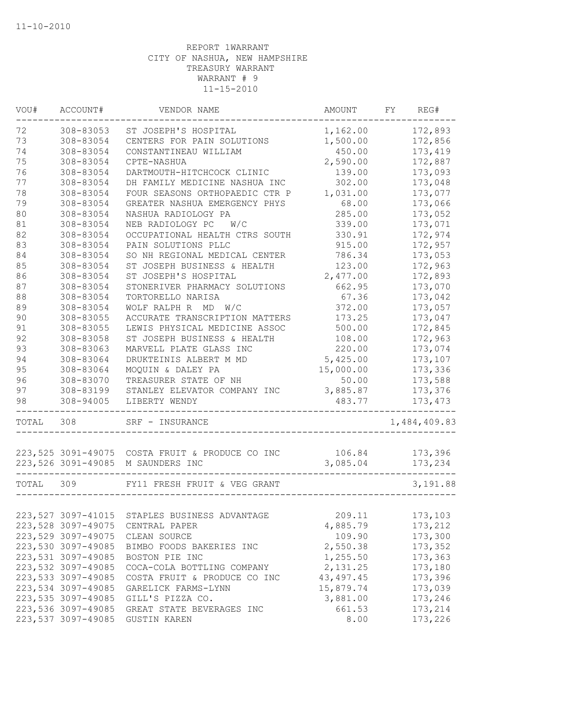| VOU#  | ACCOUNT#            | VENDOR NAME                                     | AMOUNT      | FY | REG#         |
|-------|---------------------|-------------------------------------------------|-------------|----|--------------|
| 72    | 308-83053           | ST JOSEPH'S HOSPITAL                            | 1,162.00    |    | 172,893      |
| 73    | 308-83054           | CENTERS FOR PAIN SOLUTIONS                      | 1,500.00    |    | 172,856      |
| 74    | 308-83054           | CONSTANTINEAU WILLIAM                           | 450.00      |    | 173,419      |
| 75    | 308-83054           | CPTE-NASHUA                                     | 2,590.00    |    | 172,887      |
| 76    | 308-83054           | DARTMOUTH-HITCHCOCK CLINIC                      | 139.00      |    | 173,093      |
| 77    | 308-83054           | DH FAMILY MEDICINE NASHUA INC                   | 302.00      |    | 173,048      |
| 78    | 308-83054           | FOUR SEASONS ORTHOPAEDIC CTR P                  | 1,031.00    |    | 173,077      |
| 79    | 308-83054           | GREATER NASHUA EMERGENCY PHYS                   | 68.00       |    | 173,066      |
| 80    | 308-83054           | NASHUA RADIOLOGY PA                             | 285.00      |    | 173,052      |
| 81    | 308-83054           | NEB RADIOLOGY PC<br>W/C                         | 339.00      |    | 173,071      |
| 82    | 308-83054           | OCCUPATIONAL HEALTH CTRS SOUTH                  | 330.91      |    | 172,974      |
| 83    | 308-83054           | PAIN SOLUTIONS PLLC                             | 915.00      |    | 172,957      |
| 84    | 308-83054           | SO NH REGIONAL MEDICAL CENTER                   | 786.34      |    | 173,053      |
| 85    | 308-83054           | ST JOSEPH BUSINESS & HEALTH                     | 123.00      |    | 172,963      |
| 86    | 308-83054           | ST JOSEPH'S HOSPITAL                            | 2,477.00    |    | 172,893      |
| 87    | 308-83054           | STONERIVER PHARMACY SOLUTIONS                   | 662.95      |    | 173,070      |
| 88    | 308-83054           | TORTORELLO NARISA                               | 67.36       |    | 173,042      |
| 89    | 308-83054           | WOLF RALPH R MD W/C                             | 372.00      |    | 173,057      |
| 90    | 308-83055           | ACCURATE TRANSCRIPTION MATTERS                  | 173.25      |    | 173,047      |
| 91    | 308-83055           | LEWIS PHYSICAL MEDICINE ASSOC                   | 500.00      |    | 172,845      |
| 92    | 308-83058           | ST JOSEPH BUSINESS & HEALTH                     | 108.00      |    | 172,963      |
| 93    | 308-83063           | MARVELL PLATE GLASS INC                         | 220.00      |    | 173,074      |
| 94    | 308-83064           | DRUKTEINIS ALBERT M MD                          | 5,425.00    |    | 173,107      |
| 95    | 308-83064           | MOQUIN & DALEY PA                               | 15,000.00   |    | 173,336      |
| 96    | 308-83070           | TREASURER STATE OF NH                           | 50.00       |    | 173,588      |
| 97    | 308-83199           | STANLEY ELEVATOR COMPANY INC                    | 3,885.87    |    | 173,376      |
| 98    | $308 - 94005$       | LIBERTY WENDY                                   | 483.77      |    | 173, 473     |
| TOTAL | 308                 | SRF - INSURANCE                                 |             |    | 1,484,409.83 |
|       |                     |                                                 |             |    |              |
|       |                     | 223,525 3091-49075 COSTA FRUIT & PRODUCE CO INC | 106.84      |    | 173,396      |
|       |                     | 223,526 3091-49085 M SAUNDERS INC               | 3,085.04    |    | 173,234      |
| TOTAL | 309                 | FY11 FRESH FRUIT & VEG GRANT                    |             |    | 3,191.88     |
|       |                     |                                                 |             |    |              |
|       |                     | 223, 527 3097-41015 STAPLES BUSINESS ADVANTAGE  | 209.11      |    | 173,103      |
|       |                     | 223,528 3097-49075 CENTRAL PAPER                | 4,885.79    |    | 173,212      |
|       | 223,529 3097-49075  | CLEAN SOURCE                                    | 109.90      |    | 173,300      |
|       | 223,530 3097-49085  | BIMBO FOODS BAKERIES INC                        | 2,550.38    |    | 173,352      |
|       | 223,531 3097-49085  | BOSTON PIE INC                                  | 1,255.50    |    | 173,363      |
|       | 223,532 3097-49085  | COCA-COLA BOTTLING COMPANY                      | 2,131.25    |    | 173,180      |
|       | 223, 533 3097-49085 | COSTA FRUIT & PRODUCE CO INC                    | 43, 497. 45 |    | 173,396      |
|       | 223,534 3097-49085  | GARELICK FARMS-LYNN                             | 15,879.74   |    | 173,039      |
|       | 223,535 3097-49085  | GILL'S PIZZA CO.                                | 3,881.00    |    | 173,246      |
|       | 223,536 3097-49085  | GREAT STATE BEVERAGES INC                       | 661.53      |    | 173,214      |
|       | 223,537 3097-49085  | <b>GUSTIN KAREN</b>                             | 8.00        |    | 173,226      |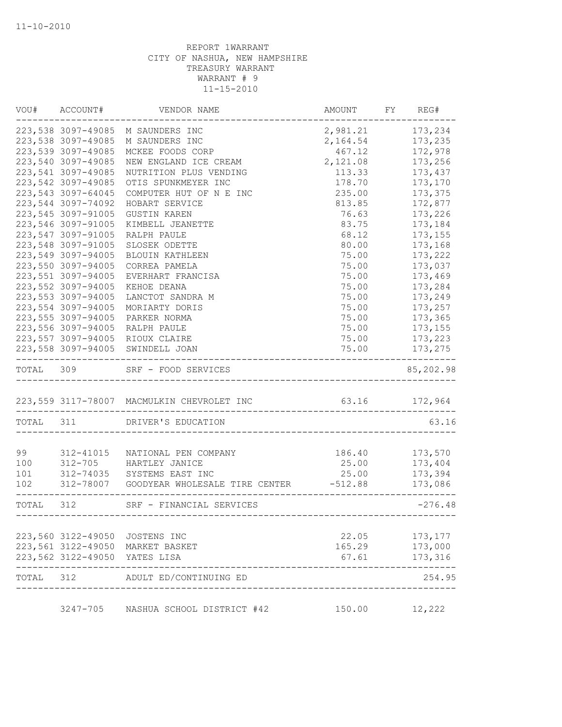|           | VOU# ACCOUNT#                 | VENDOR NAME                                      | AMOUNT                             | FY REG#   |
|-----------|-------------------------------|--------------------------------------------------|------------------------------------|-----------|
|           | 223,538 3097-49085            | M SAUNDERS INC                                   | 2,981.21                           | 173,234   |
|           | 223,538 3097-49085            | M SAUNDERS INC                                   | 2,164.54                           | 173,235   |
|           | 223,539 3097-49085            | MCKEE FOODS CORP                                 | 467.12                             | 172,978   |
|           | 223,540 3097-49085            | NEW ENGLAND ICE CREAM                            | 2,121.08                           | 173,256   |
|           | 223,541 3097-49085            | NUTRITION PLUS VENDING                           | 113.33                             | 173,437   |
|           | 223,542 3097-49085            | OTIS SPUNKMEYER INC                              | 178.70                             | 173,170   |
|           | 223, 543 3097-64045           | COMPUTER HUT OF N E INC                          | 235.00                             | 173,375   |
|           | 223,544 3097-74092            | HOBART SERVICE                                   | 813.85                             | 172,877   |
|           | 223,545 3097-91005            | <b>GUSTIN KAREN</b>                              | 76.63                              | 173,226   |
|           | 223,546 3097-91005            | KIMBELL JEANETTE                                 | 83.75                              | 173,184   |
|           | 223,547 3097-91005            | RALPH PAULE                                      | 68.12                              | 173,155   |
|           | 223,548 3097-91005            | SLOSEK ODETTE                                    | 80.00                              | 173,168   |
|           | 223,549 3097-94005            | BLOUIN KATHLEEN                                  | 75.00                              | 173,222   |
|           | 223,550 3097-94005            | CORREA PAMELA                                    | 75.00                              | 173,037   |
|           | 223,551 3097-94005            | EVERHART FRANCISA                                | 75.00                              | 173,469   |
|           | 223,552 3097-94005            | KEHOE DEANA                                      | 75.00                              | 173,284   |
|           | 223,553 3097-94005            | LANCTOT SANDRA M                                 | 75.00                              | 173,249   |
|           | 223,554 3097-94005            | MORIARTY DORIS                                   | 75.00                              | 173,257   |
|           | 223,555 3097-94005            | PARKER NORMA                                     | 75.00                              | 173,365   |
|           | 223,556 3097-94005            | RALPH PAULE                                      | 75.00                              | 173, 155  |
|           | 223,557 3097-94005            | RIOUX CLAIRE                                     | 75.00                              | 173,223   |
|           | 223,558 3097-94005            | SWINDELL JOAN                                    | 75.00                              | 173,275   |
| TOTAL 309 |                               | SRF - FOOD SERVICES                              |                                    | 85,202.98 |
|           |                               | 223,559 3117-78007 MACMULKIN CHEVROLET INC       | 63.16 172,964<br>_____________     |           |
| TOTAL 311 |                               | DRIVER'S EDUCATION                               |                                    | 63.16     |
|           |                               |                                                  |                                    |           |
| 99        | 312-41015                     | NATIONAL PEN COMPANY                             | 186.40                             | 173,570   |
| 100       |                               | 312-705 HARTLEY JANICE                           | 25.00                              | 173,404   |
| 101       |                               | 312-74035 SYSTEMS EAST INC                       | 25.00                              | 173,394   |
| 102       |                               | 312-78007 GOODYEAR WHOLESALE TIRE CENTER -512.88 |                                    | 173,086   |
| TOTAL 312 |                               | SRF - FINANCIAL SERVICES                         | ---------------------------------- | $-276.48$ |
|           |                               |                                                  |                                    |           |
|           | 223,560 3122-49050            | JOSTENS INC                                      | 22.05                              | 173,177   |
|           |                               | 223,561 3122-49050 MARKET BASKET                 | 165.29                             | 173,000   |
|           | 223,562 3122-49050 YATES LISA |                                                  | 67.61                              | 173,316   |
| TOTAL 312 |                               | ADULT ED/CONTINUING ED                           |                                    | 254.95    |
|           |                               |                                                  |                                    |           |
|           | 3247-705                      | NASHUA SCHOOL DISTRICT #42                       | 150.00                             | 12,222    |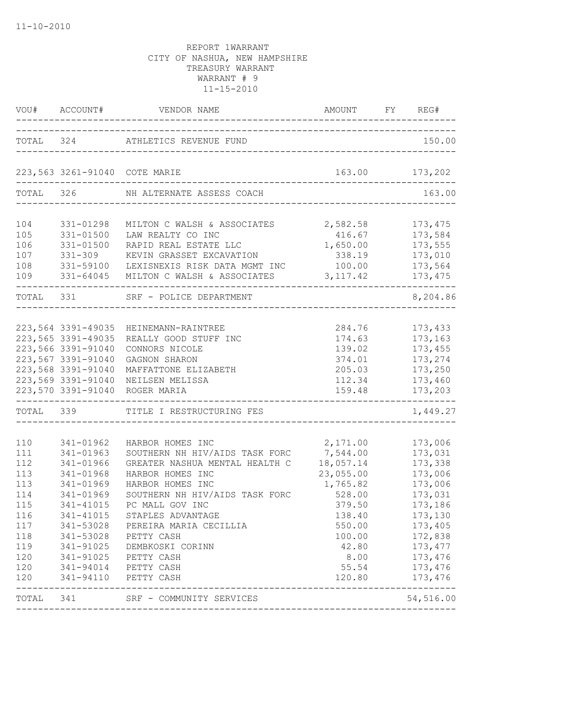|                                                                                                |                                                                                                                                                                                | VOU# ACCOUNT# VENDOR NAME AMOUNT FY RE                                                                                                                                                                                                                                                               | AMOUNT FY REG#                                                                                                                                   |                                                                                                                                                                         |
|------------------------------------------------------------------------------------------------|--------------------------------------------------------------------------------------------------------------------------------------------------------------------------------|------------------------------------------------------------------------------------------------------------------------------------------------------------------------------------------------------------------------------------------------------------------------------------------------------|--------------------------------------------------------------------------------------------------------------------------------------------------|-------------------------------------------------------------------------------------------------------------------------------------------------------------------------|
|                                                                                                |                                                                                                                                                                                | TOTAL 324 ATHLETICS REVENUE FUND                                                                                                                                                                                                                                                                     |                                                                                                                                                  | 150.00                                                                                                                                                                  |
|                                                                                                |                                                                                                                                                                                | 223,563 3261-91040 COTE MARIE                                                                                                                                                                                                                                                                        |                                                                                                                                                  | 163.00 173,202                                                                                                                                                          |
| TOTAL 326                                                                                      |                                                                                                                                                                                | NH ALTERNATE ASSESS COACH                                                                                                                                                                                                                                                                            |                                                                                                                                                  | 163.00                                                                                                                                                                  |
| 104<br>105<br>106<br>107<br>108<br>109                                                         | 331-01298<br>331-01500<br>331-01500<br>331-309<br>331-59100<br>331-64045                                                                                                       | MILTON C WALSH & ASSOCIATES<br>LAW REALTY CO INC<br>RAPID REAL ESTATE LLC<br>KEVIN GRASSET EXCAVATION<br>LEXISNEXIS RISK DATA MGMT INC<br>MILTON C WALSH & ASSOCIATES                                                                                                                                | 2,582.58<br>416.67<br>1,650.00<br>338.19<br>100.00<br>3, 117.42                                                                                  | 173, 475<br>173,584<br>173,555<br>173,010<br>173,564<br>173, 475                                                                                                        |
| TOTAL 331                                                                                      |                                                                                                                                                                                | SRF - POLICE DEPARTMENT                                                                                                                                                                                                                                                                              |                                                                                                                                                  | 8,204.86                                                                                                                                                                |
|                                                                                                | 223,564 3391-49035<br>223,565 3391-49035<br>223,566 3391-91040<br>223,567 3391-91040<br>223,568 3391-91040<br>223,569 3391-91040<br>223,570 3391-91040                         | HEINEMANN-RAINTREE<br>REALLY GOOD STUFF INC<br>CONNORS NICOLE<br>GAGNON SHARON<br>MAFFATTONE ELIZABETH<br>NEILSEN MELISSA<br>ROGER MARIA                                                                                                                                                             | 284.76<br>174.63<br>139.02<br>374.01<br>205.03<br>112.34<br>159.48                                                                               | 173,433<br>173,163<br>173,455<br>173,274<br>173,250<br>173,460<br>173,203                                                                                               |
| TOTAL 339                                                                                      |                                                                                                                                                                                | TITLE I RESTRUCTURING FES                                                                                                                                                                                                                                                                            |                                                                                                                                                  | 1,449.27                                                                                                                                                                |
| 110<br>111<br>112<br>113<br>113<br>114<br>115<br>116<br>117<br>118<br>119<br>120<br>120<br>120 | 341-01962<br>341-01963<br>341-01966<br>341-01968<br>341-01969<br>341-01969<br>341-41015<br>341-41015<br>341-53028 PETTY CASH<br>341-91025<br>341-94014 PETTY CASH<br>341-94110 | HARBOR HOMES INC<br>SOUTHERN NH HIV/AIDS TASK FORC<br>GREATER NASHUA MENTAL HEALTH C<br>HARBOR HOMES INC<br>HARBOR HOMES INC<br>SOUTHERN NH HIV/AIDS TASK FORC<br>PC MALL GOV INC<br>STAPLES ADVANTAGE<br>341-53028 PEREIRA MARIA CECILLIA<br>341-91025 DEMBKOSKI CORINN<br>PETTY CASH<br>PETTY CASH | 2,171.00<br>7,544.00<br>18,057.14<br>23,055.00<br>1,765.82<br>528.00<br>379.50<br>138.40<br>550.00<br>100.00<br>42.80<br>8.00<br>55.54<br>120.80 | 173,006<br>173,031<br>173,338<br>173,006<br>173,006<br>173,031<br>173,186<br>173,130<br>173,405<br>172,838<br>173, 477<br>173,476<br>173,476<br>173,476<br>------------ |
|                                                                                                |                                                                                                                                                                                | TOTAL 341 SRF - COMMUNITY SERVICES                                                                                                                                                                                                                                                                   |                                                                                                                                                  | 54,516.00                                                                                                                                                               |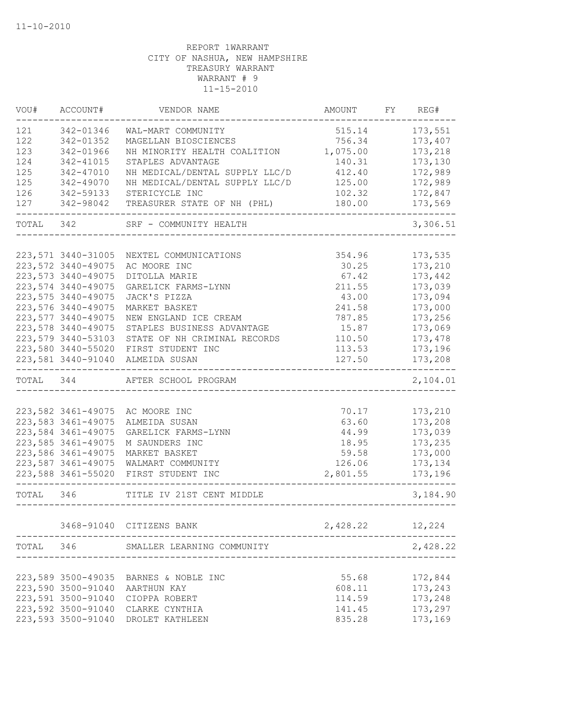| VOU#      | ACCOUNT#            | VENDOR NAME                       | AMOUNT   | FY | REG#               |
|-----------|---------------------|-----------------------------------|----------|----|--------------------|
| 121       | 342-01346           | WAL-MART COMMUNITY                | 515.14   |    | 173,551            |
| 122       | 342-01352           | MAGELLAN BIOSCIENCES              | 756.34   |    | 173,407            |
| 123       | 342-01966           | NH MINORITY HEALTH COALITION      | 1,075.00 |    | 173,218            |
| 124       | 342-41015           | STAPLES ADVANTAGE                 | 140.31   |    | 173,130            |
| 125       | 342-47010           | NH MEDICAL/DENTAL SUPPLY LLC/D    | 412.40   |    | 172,989            |
| 125       | 342-49070           | NH MEDICAL/DENTAL SUPPLY LLC/D    | 125.00   |    | 172,989            |
| 126       | 342-59133           | STERICYCLE INC                    | 102.32   |    | 172,847            |
| 127       | 342-98042           | TREASURER STATE OF NH (PHL)       | 180.00   |    | 173,569            |
| TOTAL 342 |                     | SRF - COMMUNITY HEALTH            |          |    | 3,306.51           |
|           |                     |                                   |          |    |                    |
|           | 223,571 3440-31005  | NEXTEL COMMUNICATIONS             | 354.96   |    | 173,535            |
|           | 223,572 3440-49075  | AC MOORE INC                      | 30.25    |    | 173,210            |
|           | 223, 573 3440-49075 | DITOLLA MARIE                     | 67.42    |    | 173,442            |
|           | 223,574 3440-49075  | GARELICK FARMS-LYNN               | 211.55   |    | 173,039            |
|           | 223, 575 3440-49075 | JACK'S PIZZA                      | 43.00    |    | 173,094            |
|           | 223,576 3440-49075  | MARKET BASKET                     | 241.58   |    | 173,000            |
|           | 223,577 3440-49075  | NEW ENGLAND ICE CREAM             | 787.85   |    | 173,256            |
|           | 223,578 3440-49075  | STAPLES BUSINESS ADVANTAGE        | 15.87    |    | 173,069            |
|           | 223,579 3440-53103  | STATE OF NH CRIMINAL RECORDS      | 110.50   |    | 173,478            |
|           | 223,580 3440-55020  | FIRST STUDENT INC                 | 113.53   |    | 173,196            |
|           | 223,581 3440-91040  | ALMEIDA SUSAN                     | 127.50   |    | 173,208            |
| TOTAL 344 |                     | AFTER SCHOOL PROGRAM              |          |    | 2,104.01           |
|           |                     |                                   |          |    |                    |
|           | 223,582 3461-49075  | AC MOORE INC                      | 70.17    |    | 173,210            |
|           | 223,583 3461-49075  | ALMEIDA SUSAN                     | 63.60    |    | 173,208            |
|           | 223,584 3461-49075  | GARELICK FARMS-LYNN               | 44.99    |    | 173,039            |
|           | 223, 585 3461-49075 | M SAUNDERS INC                    | 18.95    |    | 173,235            |
|           | 223,586 3461-49075  | MARKET BASKET                     | 59.58    |    | 173,000            |
|           | 223,587 3461-49075  | WALMART COMMUNITY                 | 126.06   |    | 173, 134           |
|           | 223,588 3461-55020  | FIRST STUDENT INC                 | 2,801.55 |    | 173,196            |
| TOTAL 346 |                     | TITLE IV 21ST CENT MIDDLE         |          |    | 3,184.90           |
|           |                     | 3468-91040 CITIZENS BANK          | 2,428.22 |    | 12,224             |
| TOTAL 346 |                     | SMALLER LEARNING COMMUNITY        |          |    | 2,428.22           |
|           |                     |                                   |          |    |                    |
|           | 223,589 3500-49035  | BARNES & NOBLE INC                | 55.68    |    | 172,844            |
|           | 223,590 3500-91040  |                                   | 608.11   |    | 173,243            |
|           | 223,591 3500-91040  | AARTHUN KAY                       | 114.59   |    |                    |
|           | 223,592 3500-91040  | CIOPPA ROBERT                     | 141.45   |    | 173,248<br>173,297 |
|           | 223,593 3500-91040  | CLARKE CYNTHIA<br>DROLET KATHLEEN | 835.28   |    | 173,169            |
|           |                     |                                   |          |    |                    |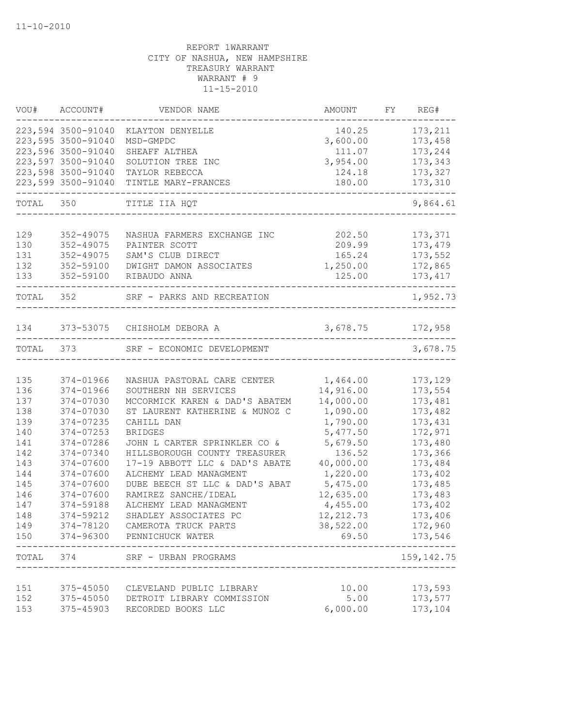|       | VOU# ACCOUNT#      | VENDOR NAME                    | AMOUNT     | FY REG#     |
|-------|--------------------|--------------------------------|------------|-------------|
|       | 223,594 3500-91040 | KLAYTON DENYELLE               | 140.25     | 173,211     |
|       | 223,595 3500-91040 | MSD-GMPDC                      | 3,600.00   | 173,458     |
|       | 223,596 3500-91040 | SHEAFF ALTHEA                  | 111.07     | 173,244     |
|       | 223,597 3500-91040 | SOLUTION TREE INC              | 3,954.00   | 173,343     |
|       | 223,598 3500-91040 | TAYLOR REBECCA                 | 124.18     | 173,327     |
|       | 223,599 3500-91040 | TINTLE MARY-FRANCES            | 180.00     | 173,310     |
| TOTAL | 350                | TITLE IIA HQT                  |            | 9,864.61    |
|       |                    |                                |            |             |
| 129   | 352-49075          | NASHUA FARMERS EXCHANGE INC    | 202.50     | 173,371     |
| 130   | 352-49075          | PAINTER SCOTT                  | 209.99     | 173,479     |
| 131   | 352-49075          | SAM'S CLUB DIRECT              | 165.24     | 173,552     |
| 132   | 352-59100          | DWIGHT DAMON ASSOCIATES        | 1,250.00   | 172,865     |
| 133   | 352-59100          | RIBAUDO ANNA                   | 125.00     | 173, 417    |
| TOTAL | 352                | SRF - PARKS AND RECREATION     |            | 1,952.73    |
|       |                    |                                |            |             |
| 134   |                    | 373-53075 CHISHOLM DEBORA A    | 3,678.75   | 172,958     |
| TOTAL | 373                | SRF - ECONOMIC DEVELOPMENT     |            | 3,678.75    |
|       |                    |                                |            |             |
| 135   | 374-01966          | NASHUA PASTORAL CARE CENTER    | 1,464.00   | 173,129     |
| 136   | 374-01966          | SOUTHERN NH SERVICES           | 14,916.00  | 173,554     |
| 137   | 374-07030          | MCCORMICK KAREN & DAD'S ABATEM | 14,000.00  | 173,481     |
| 138   | 374-07030          | ST LAURENT KATHERINE & MUNOZ C | 1,090.00   | 173,482     |
| 139   | 374-07235          | CAHILL DAN                     | 1,790.00   | 173,431     |
| 140   | $374 - 07253$      | <b>BRIDGES</b>                 | 5,477.50   | 172,971     |
| 141   | 374-07286          | JOHN L CARTER SPRINKLER CO &   | 5,679.50   | 173,480     |
| 142   | 374-07340          | HILLSBOROUGH COUNTY TREASURER  | 136.52     | 173,366     |
| 143   | 374-07600          | 17-19 ABBOTT LLC & DAD'S ABATE | 40,000.00  | 173,484     |
| 144   | 374-07600          | ALCHEMY LEAD MANAGMENT         | 1,220.00   | 173,402     |
| 145   | 374-07600          | DUBE BEECH ST LLC & DAD'S ABAT | 5,475.00   | 173,485     |
| 146   | 374-07600          | RAMIREZ SANCHE/IDEAL           | 12,635.00  | 173,483     |
| 147   | 374-59188          | ALCHEMY LEAD MANAGMENT         | 4,455.00   | 173,402     |
| 148   | 374-59212          | SHADLEY ASSOCIATES PC          | 12, 212.73 | 173,406     |
| 149   |                    | 374-78120 CAMEROTA TRUCK PARTS | 38,522.00  | 172,960     |
| 150   |                    | 374-96300 PENNICHUCK WATER     | 69.50      | 173,546     |
| TOTAL | 374                | SRF - URBAN PROGRAMS           |            | 159, 142.75 |
|       |                    |                                |            |             |
| 151   | 375-45050          | CLEVELAND PUBLIC LIBRARY       | 10.00      | 173,593     |
| 152   | 375-45050          | DETROIT LIBRARY COMMISSION     | 5.00       | 173,577     |
| 153   | 375-45903          | RECORDED BOOKS LLC             | 6,000.00   | 173,104     |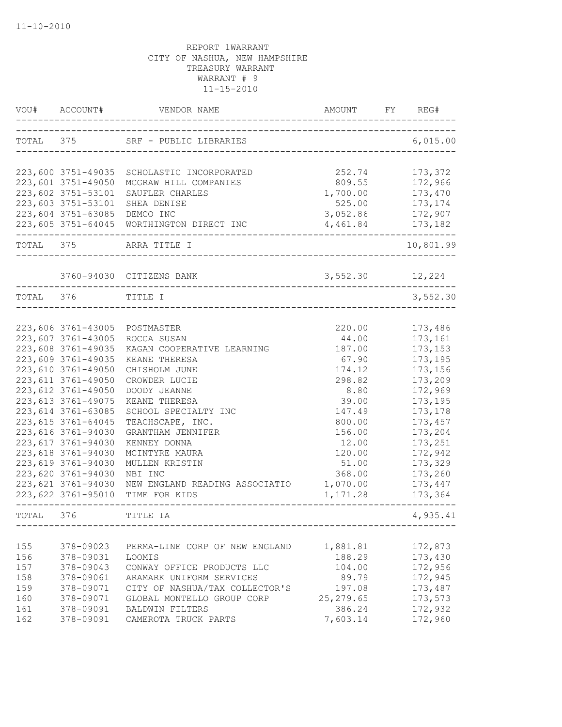| VOU#      | ACCOUNT#            | VENDOR NAME                                                           | AMOUNT                          | REG#<br>FY |
|-----------|---------------------|-----------------------------------------------------------------------|---------------------------------|------------|
|           |                     | TOTAL 375 SRF - PUBLIC LIBRARIES                                      | ------------------------------- | 6,015.00   |
|           | 223,600 3751-49035  | SCHOLASTIC INCORPORATED                                               | 252.74                          | 173,372    |
|           | 223,601 3751-49050  | MCGRAW HILL COMPANIES                                                 | 809.55                          | 172,966    |
|           | 223,602 3751-53101  | SAUFLER CHARLES                                                       | 1,700.00                        | 173,470    |
|           | 223,603 3751-53101  | SHEA DENISE                                                           | 525.00                          | 173, 174   |
|           | 223,604 3751-63085  | DEMCO INC                                                             | 3,052.86                        | 172,907    |
|           |                     | 223,605 3751-64045 WORTHINGTON DIRECT INC<br>------------------------ | 4,461.84                        | 173,182    |
| TOTAL 375 |                     | ARRA TITLE I<br>____________________                                  |                                 | 10,801.99  |
|           |                     | 3760-94030 CITIZENS BANK                                              | 3,552.30 12,224                 |            |
| TOTAL 376 |                     | TITLE I                                                               |                                 | 3,552.30   |
|           |                     |                                                                       |                                 |            |
|           | 223,606 3761-43005  | POSTMASTER                                                            | 220.00                          | 173,486    |
|           | 223,607 3761-43005  | ROCCA SUSAN                                                           | 44.00                           | 173,161    |
|           | 223,608 3761-49035  | KAGAN COOPERATIVE LEARNING                                            | 187.00                          | 173,153    |
|           | 223,609 3761-49035  | KEANE THERESA                                                         | 67.90                           | 173,195    |
|           | 223,610 3761-49050  | CHISHOLM JUNE                                                         | 174.12                          | 173,156    |
|           | 223, 611 3761-49050 | CROWDER LUCIE                                                         | 298.82                          | 173,209    |
|           | 223, 612 3761-49050 | DOODY JEANNE                                                          | 8.80                            | 172,969    |
|           | 223, 613 3761-49075 | KEANE THERESA                                                         | 39.00                           | 173,195    |
|           | 223, 614 3761-63085 | SCHOOL SPECIALTY INC                                                  | 147.49                          | 173,178    |
|           | 223, 615 3761-64045 | TEACHSCAPE, INC.                                                      | 800.00                          | 173,457    |
|           | 223,616 3761-94030  | GRANTHAM JENNIFER                                                     | 156.00                          | 173,204    |
|           | 223, 617 3761-94030 | KENNEY DONNA                                                          | 12.00                           | 173,251    |
|           | 223,618 3761-94030  | MCINTYRE MAURA                                                        | 120.00                          | 172,942    |
|           | 223,619 3761-94030  | MULLEN KRISTIN                                                        | 51.00                           | 173,329    |
|           | 223,620 3761-94030  | NBI INC                                                               | 368.00                          | 173,260    |
|           | 223,621 3761-94030  | NEW ENGLAND READING ASSOCIATIO                                        | 1,070.00                        | 173,447    |
|           | 223,622 3761-95010  | TIME FOR KIDS                                                         | 1,171.28                        | 173,364    |
| TOTAL 376 |                     | TITLE IA                                                              |                                 | 4,935.41   |
|           |                     |                                                                       |                                 |            |
| 155       | 378-09023           | PERMA-LINE CORP OF NEW ENGLAND                                        | 1,881.81                        | 172,873    |
| 156       | 378-09031           | LOOMIS                                                                | 188.29                          | 173,430    |
| 157       | 378-09043           | CONWAY OFFICE PRODUCTS LLC                                            | 104.00                          | 172,956    |
| 158       | 378-09061           | ARAMARK UNIFORM SERVICES                                              | 89.79                           | 172,945    |
| 159       | 378-09071           | CITY OF NASHUA/TAX COLLECTOR'S                                        | 197.08                          | 173,487    |
| 160       | 378-09071           | GLOBAL MONTELLO GROUP CORP                                            | 25, 279.65                      | 173,573    |
| 161       | 378-09091           | BALDWIN FILTERS                                                       | 386.24                          | 172,932    |
| 162       | 378-09091           | CAMEROTA TRUCK PARTS                                                  | 7,603.14                        | 172,960    |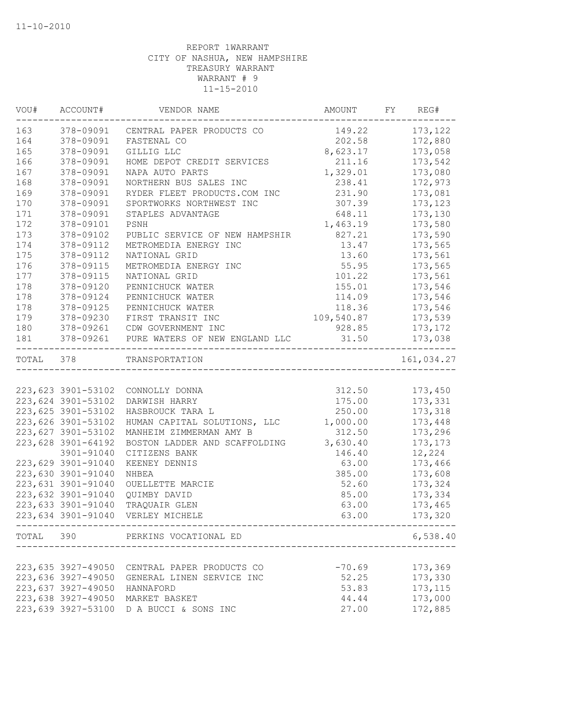|           | VOU# ACCOUNT#      | VENDOR NAME                                             | AMOUNT FY REG# |            |
|-----------|--------------------|---------------------------------------------------------|----------------|------------|
| 163       |                    | 378-09091 CENTRAL PAPER PRODUCTS CO                     | 149.22         | 173, 122   |
| 164       | 378-09091          | FASTENAL CO                                             | 202.58         | 172,880    |
| 165       | 378-09091          | GILLIG LLC                                              | 8,623.17       | 173,058    |
| 166       | 378-09091          | HOME DEPOT CREDIT SERVICES                              | 211.16         | 173,542    |
| 167       | 378-09091          | NAPA AUTO PARTS                                         | 1,329.01       | 173,080    |
| 168       | 378-09091          | NORTHERN BUS SALES INC                                  | 238.41         | 172,973    |
| 169       | 378-09091          | RYDER FLEET PRODUCTS.COM INC                            | 231.90         | 173,081    |
| 170       | 378-09091          | SPORTWORKS NORTHWEST INC                                | 307.39         | 173, 123   |
| 171       | 378-09091          | STAPLES ADVANTAGE                                       | 648.11         | 173,130    |
| 172       | 378-09101          | PSNH                                                    | 1,463.19       | 173,580    |
| 173       | 378-09102          | PUBLIC SERVICE OF NEW HAMPSHIR                          | 827.21         | 173,590    |
| 174       | 378-09112          | METROMEDIA ENERGY INC                                   | 13.47          | 173,565    |
| 175       | 378-09112          | NATIONAL GRID                                           | 13.60          | 173,561    |
| 176       | 378-09115          | METROMEDIA ENERGY INC                                   | 55.95          | 173,565    |
| 177       | 378-09115          | NATIONAL GRID                                           | 101.22         | 173,561    |
| 178       | 378-09120          | PENNICHUCK WATER                                        | 155.01         | 173,546    |
| 178       | 378-09124          | PENNICHUCK WATER                                        | 114.09         | 173,546    |
| 178       | 378-09125          | PENNICHUCK WATER                                        | 118.36         | 173,546    |
| 179       | 378-09230          | FIRST TRANSIT INC                                       | 109,540.87     | 173,539    |
| 180       | 378-09261          | CDW GOVERNMENT INC                                      | 928.85         | 173, 172   |
| 181       |                    | 378-09261 PURE WATERS OF NEW ENGLAND LLC 31.50          |                | 173,038    |
| TOTAL 378 |                    | TRANSPORTATION                                          |                | 161,034.27 |
|           |                    |                                                         |                |            |
|           |                    | 223,623 3901-53102 CONNOLLY DONNA                       | 312.50         | 173,450    |
|           | 223,624 3901-53102 | DARWISH HARRY                                           | 175.00         | 173,331    |
|           | 223,625 3901-53102 | HASBROUCK TARA L                                        | 250.00         | 173,318    |
|           | 223,626 3901-53102 | HUMAN CAPITAL SOLUTIONS, LLC                            | 1,000.00       | 173,448    |
|           | 223,627 3901-53102 | MANHEIM ZIMMERMAN AMY B                                 | 312.50         | 173,296    |
|           | 223,628 3901-64192 | BOSTON LADDER AND SCAFFOLDING                           | 3,630.40       | 173, 173   |
|           | 3901-91040         | CITIZENS BANK                                           | 146.40         | 12,224     |
|           | 223,629 3901-91040 | KEENEY DENNIS                                           | 63.00          | 173,466    |
|           | 223,630 3901-91040 | NHBEA                                                   | 385.00         | 173,608    |
|           | 223,631 3901-91040 | OUELLETTE MARCIE                                        | 52.60          | 173,324    |
|           | 223,632 3901-91040 | QUIMBY DAVID                                            | 85.00          | 173,334    |
|           | 223,633 3901-91040 | TRAQUAIR GLEN                                           | 63.00          | 173,465    |
|           | 223,634 3901-91040 | VERLEY MICHELE                                          | 63.00          | 173,320    |
|           |                    | TOTAL 390 PERKINS VOCATIONAL ED<br>____________________ |                | 6,538.40   |
|           |                    |                                                         |                |            |
|           | 223,635 3927-49050 | CENTRAL PAPER PRODUCTS CO                               | $-70.69$       | 173,369    |
|           | 223,636 3927-49050 | GENERAL LINEN SERVICE INC                               | 52.25          | 173,330    |
|           | 223,637 3927-49050 | HANNAFORD                                               | 53.83          | 173, 115   |
|           | 223,638 3927-49050 | MARKET BASKET                                           | 44.44          | 173,000    |
|           | 223,639 3927-53100 | D A BUCCI & SONS INC                                    | 27.00          | 172,885    |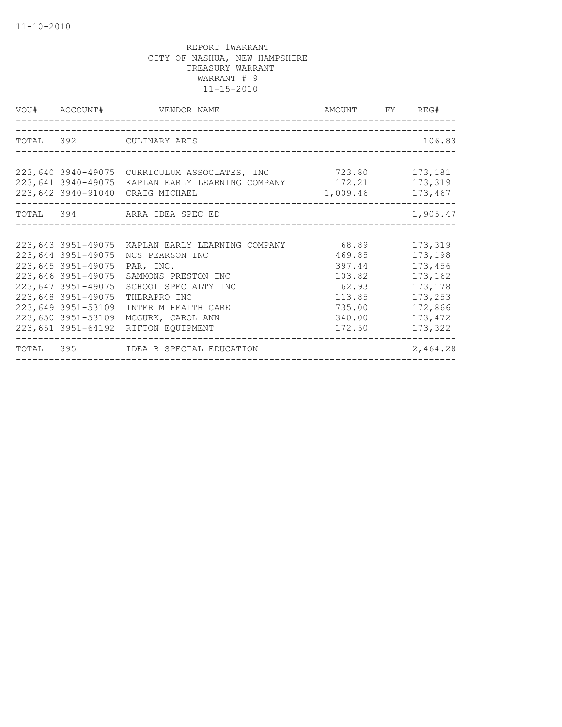|                    | VOU# ACCOUNT# VENDOR NAME                               | AMOUNT FY REG# |          |
|--------------------|---------------------------------------------------------|----------------|----------|
|                    |                                                         |                |          |
|                    | TOTAL 392 CULINARY ARTS                                 |                | 106.83   |
|                    |                                                         |                |          |
|                    | 223,640 3940-49075 CURRICULUM ASSOCIATES, INC 723.80    |                | 173,181  |
|                    | 223,641 3940-49075 KAPLAN EARLY LEARNING COMPANY 172.21 |                | 173,319  |
|                    | 223,642 3940-91040 CRAIG MICHAEL<br>1,009.46            |                | 173,467  |
|                    | TOTAL 394 ARRA IDEA SPEC ED                             |                | 1,905.47 |
|                    |                                                         |                |          |
|                    | 223,643 3951-49075 KAPLAN EARLY LEARNING COMPANY 68.89  |                | 173,319  |
| 223,644 3951-49075 | NCS PEARSON INC                                         | 469.85         | 173,198  |
| 223,645 3951-49075 | PAR, INC.                                               | 397.44         | 173,456  |
| 223,646 3951-49075 | SAMMONS PRESTON INC                                     | 103.82         | 173,162  |
| 223,647 3951-49075 | SCHOOL SPECIALTY INC                                    | 62.93          | 173,178  |
| 223,648 3951-49075 | THERAPRO INC                                            | 113.85         | 173,253  |
| 223,649 3951-53109 | INTERIM HEALTH CARE                                     | 735.00         | 172,866  |
| 223,650 3951-53109 | MCGURK, CAROL ANN                                       | 340.00         | 173,472  |
|                    | 223,651 3951-64192 RIFTON EQUIPMENT                     | 172.50         | 173,322  |
|                    | TOTAL 395 IDEA B SPECIAL EDUCATION                      |                | 2,464.28 |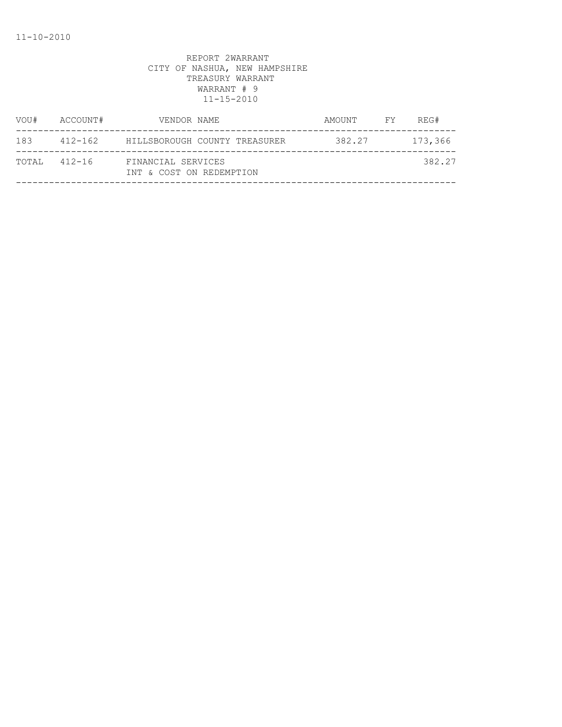| VOU#         | ACCOUNT# | VENDOR NAME                                    | AMOUNT | FY 1 | REG#    |
|--------------|----------|------------------------------------------------|--------|------|---------|
| 183          |          | 412-162 HILLSBOROUGH COUNTY TREASURER          | 382.27 |      | 173,366 |
| TOTAL 412-16 |          | FINANCIAL SERVICES<br>INT & COST ON REDEMPTION |        |      | 382.27  |
|              |          |                                                |        |      |         |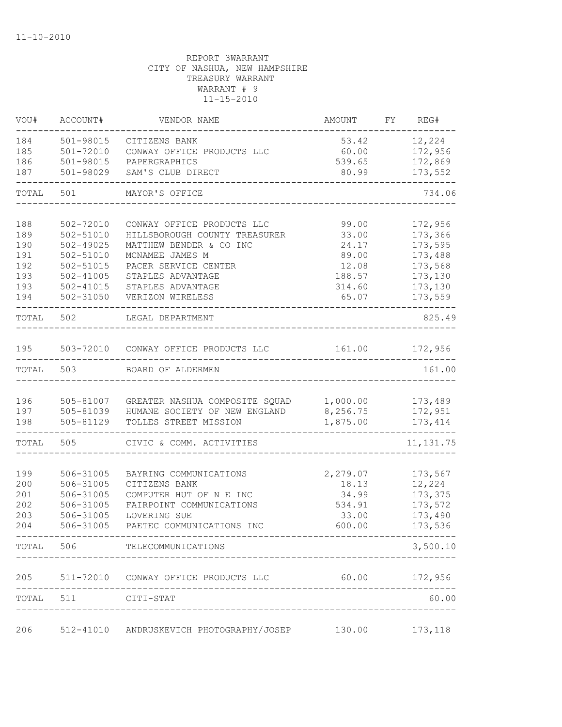| VOU#       | ACCOUNT#                   | VENDOR NAME                                     | AMOUNT          | FY REG#            |
|------------|----------------------------|-------------------------------------------------|-----------------|--------------------|
| 184        | 501-98015                  | CITIZENS BANK                                   |                 | 53.42 12,224       |
| 185        | 501-72010                  | CONWAY OFFICE PRODUCTS LLC                      | 60.00           | 172,956            |
| 186        | 501-98015                  | PAPERGRAPHICS                                   | 539.65          | 172,869            |
| 187        | 501-98029                  | SAM'S CLUB DIRECT                               | 80.99           | 173,552            |
| TOTAL 501  |                            | MAYOR'S OFFICE                                  |                 | 734.06             |
|            |                            |                                                 |                 |                    |
| 188        | 502-72010                  | CONWAY OFFICE PRODUCTS LLC                      | 99.00           | 172,956            |
| 189        | 502-51010<br>$502 - 49025$ | HILLSBOROUGH COUNTY TREASURER                   | 33.00           | 173,366            |
| 190<br>191 | 502-51010                  | MATTHEW BENDER & CO INC<br>MCNAMEE JAMES M      | 24.17<br>89.00  | 173,595<br>173,488 |
| 192        | $502 - 51015$              | PACER SERVICE CENTER                            | 12.08           | 173,568            |
| 193        | $502 - 41005$              | STAPLES ADVANTAGE                               | 188.57          | 173,130            |
| 193        | 502-41015                  | STAPLES ADVANTAGE                               | 314.60          | 173,130            |
| 194        | 502-31050                  | VERIZON WIRELESS                                | 65.07           | 173,559            |
| TOTAL 502  |                            | LEGAL DEPARTMENT                                |                 | 825.49             |
|            |                            |                                                 |                 |                    |
| 195        |                            | 503-72010 CONWAY OFFICE PRODUCTS LLC            | 161.00          | 172,956            |
| TOTAL      | 503                        | BOARD OF ALDERMEN                               |                 | 161.00             |
| 196        |                            | GREATER NASHUA COMPOSITE SQUAD 1,000.00 173,489 |                 |                    |
| 197        | 505-81007<br>505-81039     | HUMANE SOCIETY OF NEW ENGLAND                   | 8,256.75        | 172,951            |
| 198        | 505-81129                  | TOLLES STREET MISSION                           | 1,875.00        | 173,414            |
| TOTAL 505  |                            | CIVIC & COMM. ACTIVITIES                        |                 | 11, 131.75         |
|            |                            |                                                 |                 |                    |
| 199        | 506-31005                  | BAYRING COMMUNICATIONS                          | 2,279.07        | 173,567            |
| 200        | 506-31005                  | CITIZENS BANK                                   | 18.13           | 12,224             |
| 201        | 506-31005                  | COMPUTER HUT OF N E INC                         | 34.99           | 173,375            |
| 202        | 506-31005                  | FAIRPOINT COMMUNICATIONS                        | 534.91          | 173,572            |
| 203        | 506-31005                  | LOVERING SUE                                    | 33.00           | 173,490            |
| 204        | 506-31005                  | PAETEC COMMUNICATIONS INC                       | 600.00          | 173,536            |
|            |                            | TOTAL 506 TELECOMMUNICATIONS                    |                 | 3,500.10           |
|            |                            | 205 511-72010 CONWAY OFFICE PRODUCTS LLC        | $60.00$ 172,956 |                    |
|            | TOTAL 511 CITI-STAT        |                                                 |                 | 60.00              |
|            |                            |                                                 |                 |                    |
| 206        |                            | 512-41010 ANDRUSKEVICH PHOTOGRAPHY/JOSEP        | 130.00          | 173, 118           |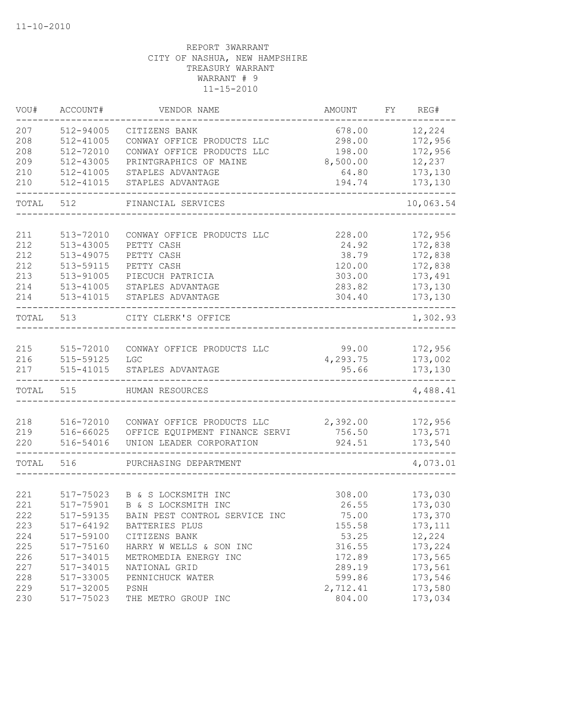| VOU#  | ACCOUNT#  | VENDOR NAME                    | AMOUNT   | FY | REG#      |
|-------|-----------|--------------------------------|----------|----|-----------|
| 207   | 512-94005 | CITIZENS BANK                  | 678.00   |    | 12,224    |
| 208   | 512-41005 | CONWAY OFFICE PRODUCTS LLC     | 298.00   |    | 172,956   |
| 208   | 512-72010 | CONWAY OFFICE PRODUCTS LLC     | 198.00   |    | 172,956   |
| 209   | 512-43005 | PRINTGRAPHICS OF MAINE         | 8,500.00 |    | 12,237    |
| 210   | 512-41005 | STAPLES ADVANTAGE              | 64.80    |    | 173,130   |
| 210   | 512-41015 | STAPLES ADVANTAGE              | 194.74   |    | 173,130   |
| TOTAL | 512       | FINANCIAL SERVICES             |          |    | 10,063.54 |
|       |           |                                |          |    |           |
| 211   | 513-72010 | CONWAY OFFICE PRODUCTS LLC     | 228.00   |    | 172,956   |
| 212   | 513-43005 | PETTY CASH                     | 24.92    |    | 172,838   |
| 212   | 513-49075 | PETTY CASH                     | 38.79    |    | 172,838   |
| 212   | 513-59115 | PETTY CASH                     | 120.00   |    | 172,838   |
| 213   | 513-91005 | PIECUCH PATRICIA               | 303.00   |    | 173,491   |
| 214   | 513-41005 | STAPLES ADVANTAGE              | 283.82   |    | 173,130   |
| 214   | 513-41015 | STAPLES ADVANTAGE              | 304.40   |    | 173,130   |
| TOTAL | 513       | CITY CLERK'S OFFICE            |          |    | 1,302.93  |
| 215   | 515-72010 | CONWAY OFFICE PRODUCTS LLC     | 99.00    |    | 172,956   |
| 216   | 515-59125 | LGC                            | 4,293.75 |    | 173,002   |
| 217   | 515-41015 | STAPLES ADVANTAGE              | 95.66    |    | 173,130   |
| TOTAL | 515       | HUMAN RESOURCES                |          |    | 4,488.41  |
|       |           |                                |          |    |           |
| 218   | 516-72010 | CONWAY OFFICE PRODUCTS LLC     | 2,392.00 |    | 172,956   |
| 219   | 516-66025 | OFFICE EQUIPMENT FINANCE SERVI | 756.50   |    | 173,571   |
| 220   | 516-54016 | UNION LEADER CORPORATION       | 924.51   |    | 173,540   |
| TOTAL | 516       | PURCHASING DEPARTMENT          |          |    | 4,073.01  |
|       |           |                                |          |    |           |
| 221   | 517-75023 | B & S LOCKSMITH INC            | 308.00   |    | 173,030   |
| 221   | 517-75901 | B & S LOCKSMITH INC            | 26.55    |    | 173,030   |
| 222   | 517-59135 | BAIN PEST CONTROL SERVICE INC  | 75.00    |    | 173,370   |
| 223   | 517-64192 | BATTERIES PLUS                 | 155.58   |    | 173, 111  |
| 224   | 517-59100 | CITIZENS BANK                  | 53.25    |    | 12,224    |
| 225   | 517-75160 | HARRY W WELLS & SON INC        | 316.55   |    | 173,224   |
| 226   | 517-34015 | METROMEDIA ENERGY INC          | 172.89   |    | 173,565   |
| 227   | 517-34015 | NATIONAL GRID                  | 289.19   |    | 173,561   |
| 228   | 517-33005 | PENNICHUCK WATER               | 599.86   |    | 173,546   |
| 229   | 517-32005 | PSNH                           | 2,712.41 |    | 173,580   |
| 230   | 517-75023 | THE METRO GROUP INC            | 804.00   |    | 173,034   |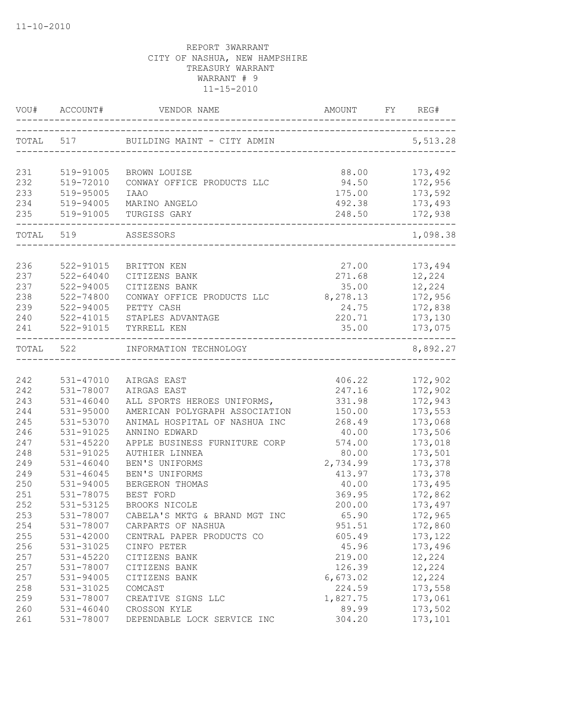|           | VOU# ACCOUNT# | VENDOR NAME                               |          | REG#      |
|-----------|---------------|-------------------------------------------|----------|-----------|
|           |               | TOTAL 517 BUILDING MAINT - CITY ADMIN     |          | 5, 513.28 |
|           |               |                                           |          |           |
| 231       | 519-91005     | BROWN LOUISE                              | 88.00    | 173,492   |
| 232       | 519-72010     | CONWAY OFFICE PRODUCTS LLC                | 94.50    | 172,956   |
| 233       | 519-95005     | <b>IAAO</b>                               | 175.00   | 173,592   |
| 234       | 519-94005     | MARINO ANGELO                             | 492.38   | 173,493   |
| 235       |               | 519-91005 TURGISS GARY                    | 248.50   | 172,938   |
| TOTAL 519 |               | ASSESSORS<br>____________________________ |          | 1,098.38  |
|           |               |                                           |          |           |
| 236       | 522-91015     | BRITTON KEN                               | 27.00    | 173,494   |
| 237       | $522 - 64040$ | CITIZENS BANK                             | 271.68   | 12,224    |
| 237       | 522-94005     | CITIZENS BANK                             | 35.00    | 12,224    |
| 238       | 522-74800     | CONWAY OFFICE PRODUCTS LLC                | 8,278.13 | 172,956   |
| 239       | 522-94005     | PETTY CASH                                | 24.75    | 172,838   |
| 240       |               | 522-41015 STAPLES ADVANTAGE               | 220.71   | 173,130   |
| 241       | 522-91015     | TYRRELL KEN                               | 35.00    | 173,075   |
| TOTAL 522 |               | INFORMATION TECHNOLOGY                    |          | 8,892.27  |
|           |               |                                           |          |           |
| 242       | 531-47010     | AIRGAS EAST                               | 406.22   | 172,902   |
| 242       | 531-78007     | AIRGAS EAST                               | 247.16   | 172,902   |
| 243       | $531 - 46040$ | ALL SPORTS HEROES UNIFORMS,               | 331.98   | 172,943   |
| 244       | 531-95000     | AMERICAN POLYGRAPH ASSOCIATION            | 150.00   | 173,553   |
| 245       | 531-53070     | ANIMAL HOSPITAL OF NASHUA INC             | 268.49   | 173,068   |
| 246       | 531-91025     | ANNINO EDWARD                             | 40.00    | 173,506   |
| 247       | 531-45220     | APPLE BUSINESS FURNITURE CORP             | 574.00   | 173,018   |
| 248       | 531-91025     | AUTHIER LINNEA                            | 80.00    | 173,501   |
| 249       | 531-46040     | BEN'S UNIFORMS                            | 2,734.99 | 173,378   |
| 249       | $531 - 46045$ | BEN'S UNIFORMS                            | 413.97   | 173,378   |
| 250       | 531-94005     | BERGERON THOMAS                           | 40.00    | 173,495   |
| 251       | 531-78075     | BEST FORD                                 | 369.95   | 172,862   |
| 252       | 531-53125     | BROOKS NICOLE                             | 200.00   | 173,497   |
| 253       | 531-78007     | CABELA'S MKTG & BRAND MGT INC             | 65.90    | 172,965   |
| 254       | 531-78007     | CARPARTS OF NASHUA                        | 951.51   | 172,860   |
| 255       | 531-42000     | CENTRAL PAPER PRODUCTS CO                 | 605.49   | 173, 122  |
| 256       | 531-31025     | CINFO PETER                               | 45.96    | 173,496   |
| 257       | 531-45220     | CITIZENS BANK                             | 219.00   | 12,224    |
| 257       | 531-78007     | CITIZENS BANK                             | 126.39   | 12,224    |
| 257       | 531-94005     | CITIZENS BANK                             | 6,673.02 | 12,224    |
| 258       | 531-31025     | COMCAST                                   | 224.59   | 173,558   |
| 259       | 531-78007     | CREATIVE SIGNS LLC                        | 1,827.75 | 173,061   |
| 260       | 531-46040     | CROSSON KYLE                              | 89.99    | 173,502   |
| 261       | 531-78007     | DEPENDABLE LOCK SERVICE INC               | 304.20   | 173,101   |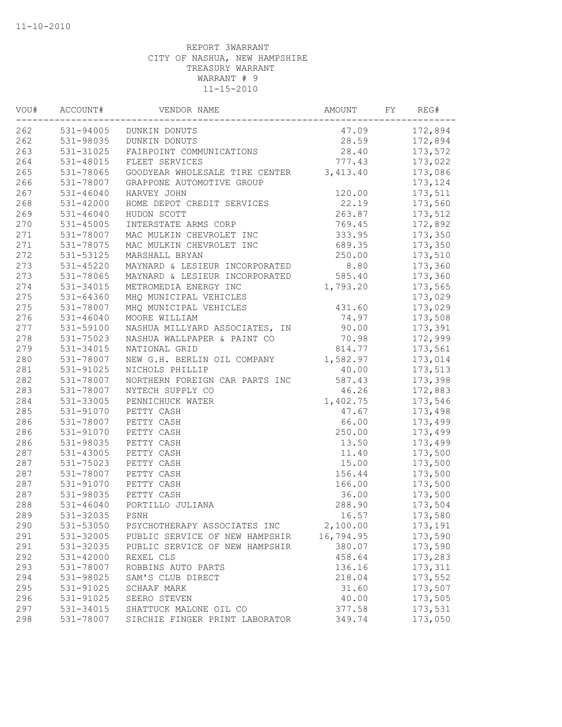| VOU# | ACCOUNT#      | VENDOR NAME                    | AMOUNT    | FY | REG#     |
|------|---------------|--------------------------------|-----------|----|----------|
| 262  | 531-94005     | DUNKIN DONUTS                  | 47.09     |    | 172,894  |
| 262  | 531-98035     | DUNKIN DONUTS                  | 28.59     |    | 172,894  |
| 263  | 531-31025     | FAIRPOINT COMMUNICATIONS       | 28.40     |    | 173,572  |
| 264  | 531-48015     | FLEET SERVICES                 | 777.43    |    | 173,022  |
| 265  | 531-78065     | GOODYEAR WHOLESALE TIRE CENTER | 3,413.40  |    | 173,086  |
| 266  | 531-78007     | GRAPPONE AUTOMOTIVE GROUP      |           |    | 173, 124 |
| 267  | $531 - 46040$ | HARVEY JOHN                    | 120.00    |    | 173,511  |
| 268  | 531-42000     | HOME DEPOT CREDIT SERVICES     | 22.19     |    | 173,560  |
| 269  | $531 - 46040$ | HUDON SCOTT                    | 263.87    |    | 173,512  |
| 270  | 531-45005     | INTERSTATE ARMS CORP           | 769.45    |    | 172,892  |
| 271  | 531-78007     | MAC MULKIN CHEVROLET INC       | 333.95    |    | 173,350  |
| 271  | 531-78075     | MAC MULKIN CHEVROLET INC       | 689.35    |    | 173,350  |
| 272  | 531-53125     | MARSHALL BRYAN                 | 250.00    |    | 173,510  |
| 273  | 531-45220     | MAYNARD & LESIEUR INCORPORATED | 8.80      |    | 173,360  |
| 273  | 531-78065     | MAYNARD & LESIEUR INCORPORATED | 585.40    |    | 173,360  |
| 274  | 531-34015     | METROMEDIA ENERGY INC          | 1,793.20  |    | 173,565  |
| 275  | $531 - 64360$ | MHQ MUNICIPAL VEHICLES         |           |    | 173,029  |
| 275  | 531-78007     | MHQ MUNICIPAL VEHICLES         | 431.60    |    | 173,029  |
| 276  | $531 - 46040$ | MOORE WILLIAM                  | 74.97     |    | 173,508  |
| 277  | 531-59100     | NASHUA MILLYARD ASSOCIATES, IN | 90.00     |    | 173,391  |
| 278  | 531-75023     | NASHUA WALLPAPER & PAINT CO    | 70.98     |    | 172,999  |
| 279  | 531-34015     | NATIONAL GRID                  | 814.77    |    | 173,561  |
| 280  | 531-78007     | NEW G.H. BERLIN OIL COMPANY    | 1,582.97  |    | 173,014  |
| 281  | 531-91025     | NICHOLS PHILLIP                | 40.00     |    | 173,513  |
| 282  | 531-78007     | NORTHERN FOREIGN CAR PARTS INC | 587.43    |    | 173,398  |
| 283  | 531-78007     | NYTECH SUPPLY CO               | 46.26     |    | 172,883  |
| 284  | 531-33005     | PENNICHUCK WATER               | 1,402.75  |    | 173,546  |
| 285  | 531-91070     | PETTY CASH                     | 47.67     |    | 173,498  |
| 286  | 531-78007     | PETTY CASH                     | 66.00     |    | 173,499  |
| 286  | 531-91070     | PETTY CASH                     | 250.00    |    | 173,499  |
| 286  | 531-98035     | PETTY CASH                     | 13.50     |    | 173,499  |
| 287  | 531-43005     | PETTY CASH                     | 11.40     |    | 173,500  |
| 287  | 531-75023     | PETTY CASH                     | 15.00     |    | 173,500  |
| 287  | 531-78007     | PETTY CASH                     | 156.44    |    | 173,500  |
| 287  | 531-91070     | PETTY CASH                     | 166.00    |    | 173,500  |
| 287  | 531-98035     | PETTY CASH                     | 36.00     |    | 173,500  |
| 288  | $531 - 46040$ | PORTILLO JULIANA               | 288.90    |    | 173,504  |
| 289  | 531-32035     | PSNH                           | 16.57     |    | 173,580  |
| 290  | 531-53050     | PSYCHOTHERAPY ASSOCIATES INC   | 2,100.00  |    | 173,191  |
| 291  | 531-32005     | PUBLIC SERVICE OF NEW HAMPSHIR | 16,794.95 |    | 173,590  |
| 291  | 531-32035     | PUBLIC SERVICE OF NEW HAMPSHIR | 380.07    |    | 173,590  |
| 292  | 531-42000     | REXEL CLS                      | 458.64    |    | 173,283  |
| 293  | 531-78007     | ROBBINS AUTO PARTS             | 136.16    |    | 173, 311 |
| 294  | 531-98025     | SAM'S CLUB DIRECT              | 218.04    |    | 173,552  |
| 295  | 531-91025     | SCHAAF MARK                    | 31.60     |    | 173,507  |
| 296  | 531-91025     | SEERO STEVEN                   | 40.00     |    | 173,505  |
| 297  | 531-34015     | SHATTUCK MALONE OIL CO         | 377.58    |    | 173,531  |
| 298  | 531-78007     | SIRCHIE FINGER PRINT LABORATOR | 349.74    |    | 173,050  |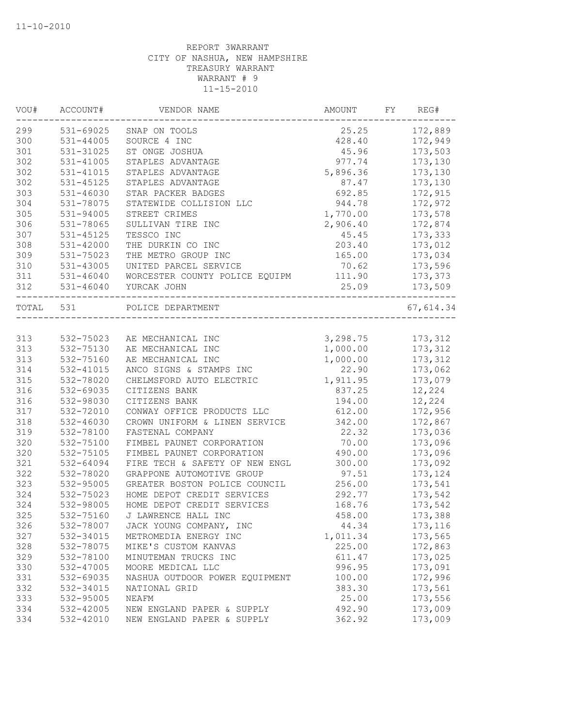| VOU#      | ACCOUNT#      | VENDOR NAME                    | AMOUNT   | FY. | REG#      |
|-----------|---------------|--------------------------------|----------|-----|-----------|
| 299       | 531-69025     | SNAP ON TOOLS                  | 25.25    |     | 172,889   |
| 300       | 531-44005     | SOURCE 4 INC                   | 428.40   |     | 172,949   |
| 301       | 531-31025     | ST ONGE JOSHUA                 | 45.96    |     | 173,503   |
| 302       | 531-41005     | STAPLES ADVANTAGE              | 977.74   |     | 173,130   |
| 302       | 531-41015     | STAPLES ADVANTAGE              | 5,896.36 |     | 173,130   |
| 302       | 531-45125     | STAPLES ADVANTAGE              | 87.47    |     | 173,130   |
| 303       | $531 - 46030$ | STAR PACKER BADGES             | 692.85   |     | 172,915   |
| 304       | 531-78075     | STATEWIDE COLLISION LLC        | 944.78   |     | 172,972   |
| 305       | $531 - 94005$ | STREET CRIMES                  | 1,770.00 |     | 173,578   |
| 306       | 531-78065     | SULLIVAN TIRE INC              | 2,906.40 |     | 172,874   |
| 307       | 531-45125     | TESSCO INC                     | 45.45    |     | 173,333   |
| 308       | $531 - 42000$ | THE DURKIN CO INC              | 203.40   |     | 173,012   |
| 309       | 531-75023     | THE METRO GROUP INC            | 165.00   |     | 173,034   |
| 310       | 531-43005     | UNITED PARCEL SERVICE          | 70.62    |     | 173,596   |
| 311       | 531-46040     | WORCESTER COUNTY POLICE EQUIPM | 111.90   |     | 173,373   |
| 312       | $531 - 46040$ | YURCAK JOHN                    | 25.09    |     | 173,509   |
| TOTAL 531 |               | POLICE DEPARTMENT              |          |     | 67,614.34 |
|           |               |                                |          |     |           |
| 313       | 532-75023     | AE MECHANICAL INC              | 3,298.75 |     | 173,312   |
| 313       | 532-75130     | AE MECHANICAL INC              | 1,000.00 |     | 173,312   |
| 313       | 532-75160     | AE MECHANICAL INC              | 1,000.00 |     | 173,312   |
| 314       | 532-41015     | ANCO SIGNS & STAMPS INC        | 22.90    |     | 173,062   |
| 315       | 532-78020     | CHELMSFORD AUTO ELECTRIC       | 1,911.95 |     | 173,079   |
| 316       | 532-69035     | CITIZENS BANK                  | 837.25   |     | 12,224    |
| 316       | 532-98030     | CITIZENS BANK                  | 194.00   |     | 12,224    |
| 317       | 532-72010     | CONWAY OFFICE PRODUCTS LLC     | 612.00   |     | 172,956   |
| 318       | 532-46030     | CROWN UNIFORM & LINEN SERVICE  | 342.00   |     | 172,867   |
| 319       | 532-78100     | FASTENAL COMPANY               | 22.32    |     | 173,036   |
| 320       | 532-75100     | FIMBEL PAUNET CORPORATION      | 70.00    |     | 173,096   |
| 320       | 532-75105     | FIMBEL PAUNET CORPORATION      | 490.00   |     | 173,096   |
| 321       | 532-64094     | FIRE TECH & SAFETY OF NEW ENGL | 300.00   |     | 173,092   |
| 322       | 532-78020     | GRAPPONE AUTOMOTIVE GROUP      | 97.51    |     | 173,124   |
| 323       | 532-95005     | GREATER BOSTON POLICE COUNCIL  | 256.00   |     | 173,541   |
| 324       | 532-75023     | HOME DEPOT CREDIT SERVICES     | 292.77   |     | 173,542   |
| 324       | 532-98005     | HOME DEPOT CREDIT SERVICES     | 168.76   |     | 173,542   |
| 325       | 532-75160     | J LAWRENCE HALL INC            | 458.00   |     | 173,388   |
| 326       | 532-78007     | JACK YOUNG COMPANY, INC        | 44.34    |     | 173,116   |
| 327       | 532-34015     | METROMEDIA ENERGY INC          | 1,011.34 |     | 173,565   |
| 328       | 532-78075     | MIKE'S CUSTOM KANVAS           | 225.00   |     | 172,863   |
| 329       | 532-78100     | MINUTEMAN TRUCKS INC           | 611.47   |     | 173,025   |
| 330       | 532-47005     | MOORE MEDICAL LLC              | 996.95   |     | 173,091   |
| 331       | 532-69035     | NASHUA OUTDOOR POWER EQUIPMENT | 100.00   |     | 172,996   |
| 332       | 532-34015     | NATIONAL GRID                  | 383.30   |     | 173,561   |
| 333       | 532-95005     | NEAFM                          | 25.00    |     | 173,556   |
| 334       | 532-42005     | NEW ENGLAND PAPER & SUPPLY     | 492.90   |     | 173,009   |
| 334       | 532-42010     | NEW ENGLAND PAPER & SUPPLY     | 362.92   |     | 173,009   |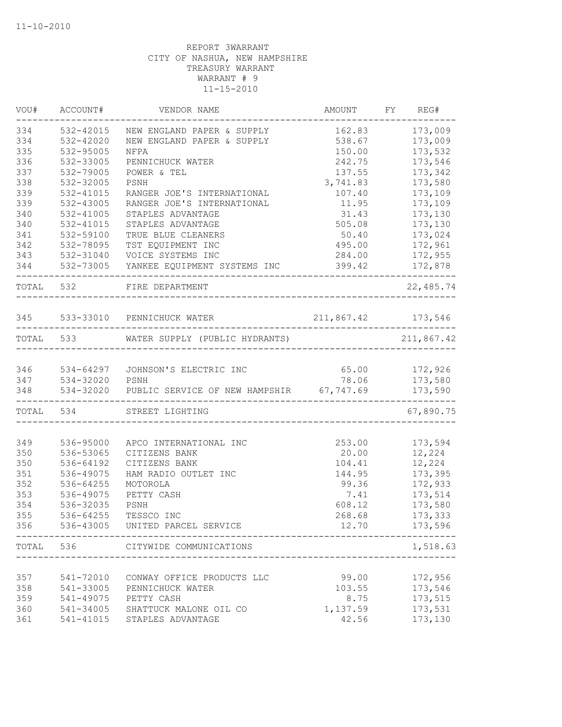| VOU#      | ACCOUNT#               | VENDOR NAME                                                                   | AMOUNT             | FY REG#                                       |
|-----------|------------------------|-------------------------------------------------------------------------------|--------------------|-----------------------------------------------|
| 334       | 532-42015              | NEW ENGLAND PAPER & SUPPLY                                                    | 162.83             | 173,009                                       |
| 334       | 532-42020              | NEW ENGLAND PAPER & SUPPLY                                                    | 538.67             | 173,009                                       |
| 335       | 532-95005              | NFPA                                                                          | 150.00             | 173,532                                       |
| 336       | 532-33005              | PENNICHUCK WATER                                                              | 242.75             | 173,546                                       |
| 337       | 532-79005              | POWER & TEL                                                                   | 137.55             | 173,342                                       |
| 338       | 532-32005              | PSNH                                                                          | 3,741.83           | 173,580                                       |
| 339       | 532-41015              | RANGER JOE'S INTERNATIONAL                                                    | 107.40             | 173,109                                       |
| 339       | 532-43005              | RANGER JOE'S INTERNATIONAL                                                    | 11.95              | 173,109                                       |
| 340       | 532-41005              | STAPLES ADVANTAGE                                                             | 31.43              | 173,130                                       |
| 340       | 532-41015              | STAPLES ADVANTAGE                                                             | 505.08             | 173,130                                       |
| 341       | 532-59100              | TRUE BLUE CLEANERS                                                            | 50.40              | 173,024                                       |
| 342       | 532-78095              | TST EQUIPMENT INC                                                             | 495.00             | 172,961                                       |
| 343       | 532-31040              | VOICE SYSTEMS INC                                                             | 284.00             | 172,955                                       |
| 344       |                        | 532-73005 YANKEE EQUIPMENT SYSTEMS INC                                        | 399.42             | 172,878<br>-------                            |
| TOTAL 532 |                        | FIRE DEPARTMENT                                                               |                    | 22,485.74                                     |
|           |                        | 345 533-33010 PENNICHUCK WATER                                                | 211,867.42 173,546 |                                               |
|           |                        | ---------------------------------<br>TOTAL 533 WATER SUPPLY (PUBLIC HYDRANTS) |                    | . _ _ _ _ _ _ _ _ _ _ _ _ _ _ _<br>211,867.42 |
|           |                        |                                                                               |                    |                                               |
| 346       |                        | 534-64297 JOHNSON'S ELECTRIC INC                                              | 65.00              | 172,926                                       |
| 347       | 534-32020<br>534-32020 | PSNH                                                                          | 78.06              | 173,580                                       |
| 348       |                        | 534-32020 PUBLIC SERVICE OF NEW HAMPSHIR 67,747.69                            |                    | 173,590                                       |
|           | TOTAL 534              | STREET LIGHTING                                                               |                    | 67,890.75                                     |
|           |                        |                                                                               |                    |                                               |
| 349       | 536-95000              | APCO INTERNATIONAL INC                                                        | 253.00             | 173,594                                       |
| 350       | 536-53065              | CITIZENS BANK                                                                 | 20.00              | 12,224                                        |
| 350       | 536-64192              | CITIZENS BANK                                                                 | 104.41             | 12,224                                        |
| 351       | 536-49075              | HAM RADIO OUTLET INC                                                          | 144.95             | 173,395                                       |
| 352       | 536-64255              | MOTOROLA                                                                      | 99.36              | 172,933                                       |
| 353       | 536-49075              | PETTY CASH                                                                    | 7.41               | 173,514                                       |
| 354       | 536-32035              | PSNH                                                                          | 608.12             | 173,580                                       |
| 355       | 536-64255              | TESSCO INC                                                                    | 268.68             | 173,333                                       |
| 356       |                        | 536-43005 UNITED PARCEL SERVICE                                               | 12.70              | 173,596                                       |
| TOTAL     | 536                    | CITYWIDE COMMUNICATIONS                                                       |                    | 1,518.63                                      |
|           |                        |                                                                               |                    |                                               |
| 357       | 541-72010              | CONWAY OFFICE PRODUCTS LLC                                                    | 99.00              | 172,956                                       |
| 358       | 541-33005              | PENNICHUCK WATER                                                              | 103.55             | 173,546                                       |
| 359       | 541-49075              | PETTY CASH                                                                    | 8.75               | 173,515                                       |
| 360       | 541-34005              | SHATTUCK MALONE OIL CO                                                        | 1,137.59           | 173,531                                       |
| 361       | 541-41015              | STAPLES ADVANTAGE                                                             | 42.56              | 173,130                                       |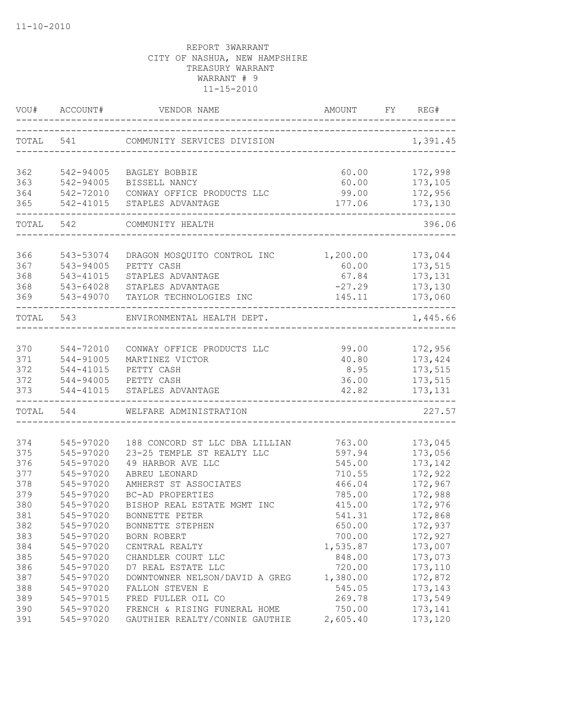| VOU#       | ACCOUNT#               | VENDOR NAME                                       | AMOUNT<br>_______________________ | FY | REG#               |
|------------|------------------------|---------------------------------------------------|-----------------------------------|----|--------------------|
| TOTAL 541  |                        | COMMUNITY SERVICES DIVISION                       |                                   |    | 1,391.45           |
|            |                        |                                                   |                                   |    |                    |
| 362<br>363 | 542-94005<br>542-94005 | BAGLEY BOBBIE<br>BISSELL NANCY                    | 60.00<br>60.00                    |    | 172,998<br>173,105 |
| 364        | 542-72010              | CONWAY OFFICE PRODUCTS LLC                        | 99.00                             |    | 172,956            |
| 365        | 542-41015              | STAPLES ADVANTAGE                                 | 177.06                            |    | 173,130            |
|            | TOTAL 542              | COMMUNITY HEALTH                                  |                                   |    | 396.06             |
|            |                        |                                                   |                                   |    |                    |
| 366        | 543-53074              | DRAGON MOSQUITO CONTROL INC                       | 1,200.00                          |    | 173,044            |
| 367        | 543-94005              | PETTY CASH                                        | 60.00                             |    | 173,515            |
| 368        | 543-41015              | STAPLES ADVANTAGE                                 | 67.84                             |    | 173,131            |
| 368        | 543-64028              | STAPLES ADVANTAGE                                 | $-27.29$                          |    | 173,130            |
| 369        | 543-49070              | TAYLOR TECHNOLOGIES INC                           | 145.11                            |    | 173,060            |
| TOTAL 543  |                        | ENVIRONMENTAL HEALTH DEPT.                        |                                   |    | 1,445.66           |
|            |                        |                                                   |                                   |    |                    |
| 370<br>371 | 544-72010<br>544-91005 | CONWAY OFFICE PRODUCTS LLC<br>MARTINEZ VICTOR     | 99.00<br>40.80                    |    | 172,956            |
| 372        | 544-41015              | PETTY CASH                                        | 8.95                              |    | 173,424<br>173,515 |
| 372        | 544-94005              | PETTY CASH                                        | 36.00                             |    | 173,515            |
| 373        | 544-41015              | STAPLES ADVANTAGE                                 | 42.82                             |    | 173, 131           |
|            | TOTAL 544              | WELFARE ADMINISTRATION                            |                                   |    | 227.57             |
|            |                        |                                                   |                                   |    |                    |
| 374        | 545-97020              | 188 CONCORD ST LLC DBA LILLIAN                    | 763.00                            |    | 173,045            |
| 375        | 545-97020              | 23-25 TEMPLE ST REALTY LLC                        | 597.94                            |    | 173,056            |
| 376        | 545-97020              | 49 HARBOR AVE LLC                                 | 545.00                            |    | 173,142            |
| 377        | 545-97020              | ABREU LEONARD<br>AMHERST ST ASSOCIATES            | 710.55                            |    | 172,922            |
| 378<br>379 | 545-97020<br>545-97020 | BC-AD PROPERTIES                                  | 466.04                            |    | 172,967            |
| 380        | 545-97020              | BISHOP REAL ESTATE MGMT INC                       | 785.00<br>415.00                  |    | 172,988<br>172,976 |
| 381        | 545-97020              | BONNETTE PETER                                    | 541.31                            |    | 172,868            |
|            |                        | BONNETTE STEPHEN                                  |                                   |    |                    |
| 382<br>383 | 545-97020              |                                                   | 650.00<br>700.00                  |    | 172,937            |
| 384        | 545-97020              | BORN ROBERT<br>CENTRAL REALTY                     |                                   |    | 172,927<br>173,007 |
| 385        | 545-97020<br>545-97020 | CHANDLER COURT LLC                                | 1,535.87<br>848.00                |    | 173,073            |
| 386        | 545-97020              | D7 REAL ESTATE LLC                                | 720.00                            |    | 173,110            |
| 387        |                        |                                                   | 1,380.00                          |    | 172,872            |
| 388        | 545-97020<br>545-97020 | DOWNTOWNER NELSON/DAVID A GREG<br>FALLON STEVEN E | 545.05                            |    | 173,143            |
| 389        | 545-97015              | FRED FULLER OIL CO                                | 269.78                            |    | 173,549            |
| 390        | 545-97020              | FRENCH & RISING FUNERAL HOME                      | 750.00                            |    | 173,141            |
| 391        | 545-97020              | GAUTHIER REALTY/CONNIE GAUTHIE                    | 2,605.40                          |    | 173,120            |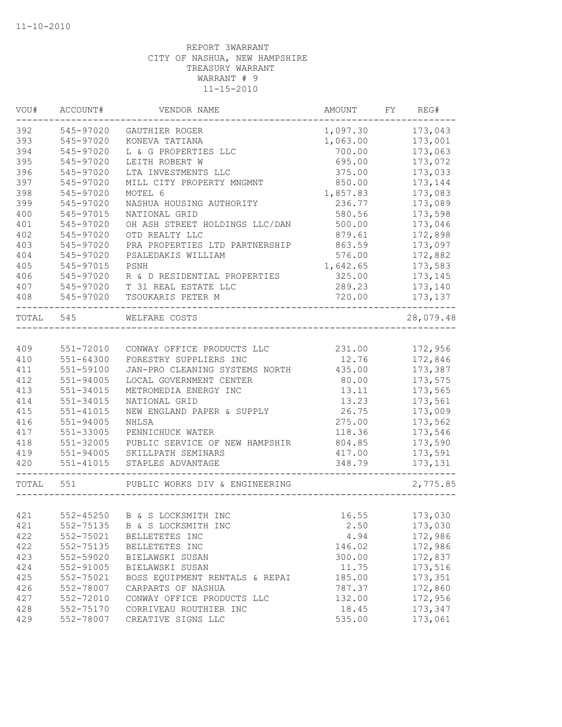| VOU#      | ACCOUNT#      | VENDOR NAME                    | AMOUNT   | FY REG#   |
|-----------|---------------|--------------------------------|----------|-----------|
| 392       | 545-97020     | GAUTHIER ROGER                 | 1,097.30 | 173,043   |
| 393       | 545-97020     | KONEVA TATIANA                 | 1,063.00 | 173,001   |
| 394       | 545-97020     | L & G PROPERTIES LLC           | 700.00   | 173,063   |
| 395       | 545-97020     | LEITH ROBERT W                 | 695.00   | 173,072   |
| 396       | 545-97020     | LTA INVESTMENTS LLC            | 375.00   | 173,033   |
| 397       | 545-97020     | MILL CITY PROPERTY MNGMNT      | 850.00   | 173,144   |
| 398       | 545-97020     | MOTEL 6                        | 1,857.83 | 173,083   |
| 399       | 545-97020     | NASHUA HOUSING AUTHORITY       | 236.77   | 173,089   |
| 400       | 545-97015     | NATIONAL GRID                  | 580.56   | 173,598   |
| 401       | 545-97020     | OH ASH STREET HOLDINGS LLC/DAN | 500.00   | 173,046   |
| 402       | 545-97020     | OTD REALTY LLC                 | 879.61   | 172,898   |
| 403       | 545-97020     | PRA PROPERTIES LTD PARTNERSHIP | 863.59   | 173,097   |
| 404       | 545-97020     | PSALEDAKIS WILLIAM             | 576.00   | 172,882   |
| 405       | 545-97015     | PSNH                           | 1,642.65 | 173,583   |
| 406       | 545-97020     | R & D RESIDENTIAL PROPERTIES   | 325.00   | 173,145   |
| 407       | 545-97020     | T 31 REAL ESTATE LLC           | 289.23   | 173,140   |
| 408       | 545-97020     | TSOUKARIS PETER M              | 720.00   | 173, 137  |
| TOTAL 545 |               | WELFARE COSTS                  |          | 28,079.48 |
|           |               |                                |          |           |
| 409       | $551 - 72010$ | CONWAY OFFICE PRODUCTS LLC     | 231.00   | 172,956   |
| 410       | $551 - 64300$ | FORESTRY SUPPLIERS INC         | 12.76    | 172,846   |
| 411       | 551-59100     | JAN-PRO CLEANING SYSTEMS NORTH | 435.00   | 173,387   |
| 412       | 551-94005     | LOCAL GOVERNMENT CENTER        | 80.00    | 173,575   |
| 413       | 551-34015     | METROMEDIA ENERGY INC          | 13.11    | 173,565   |
| 414       | $551 - 34015$ | NATIONAL GRID                  | 13.23    | 173,561   |
| 415       | $551 - 41015$ | NEW ENGLAND PAPER & SUPPLY     | 26.75    | 173,009   |
| 416       | 551-94005     | NHLSA                          | 275.00   | 173,562   |
| 417       | 551-33005     | PENNICHUCK WATER               | 118.36   | 173,546   |
| 418       | 551-32005     | PUBLIC SERVICE OF NEW HAMPSHIR | 804.85   | 173,590   |
| 419       | 551-94005     | SKILLPATH SEMINARS             | 417.00   | 173,591   |
| 420       | 551-41015     | STAPLES ADVANTAGE              | 348.79   | 173,131   |
| TOTAL     | 551           | PUBLIC WORKS DIV & ENGINEERING |          | 2,775.85  |
|           |               |                                |          |           |
| 421       |               | 552-45250 B & S LOCKSMITH INC  | 16.55    | 173,030   |
| 421       | 552-75135     | B & S LOCKSMITH INC            | 2.50     | 173,030   |
| 422       | 552-75021     | BELLETETES INC                 | 4.94     | 172,986   |
| 422       | 552-75135     | BELLETETES INC                 | 146.02   | 172,986   |
| 423       | 552-59020     | BIELAWSKI SUSAN                | 300.00   | 172,837   |
| 424       | 552-91005     | BIELAWSKI SUSAN                | 11.75    | 173,516   |
| 425       | 552-75021     | BOSS EQUIPMENT RENTALS & REPAI | 185.00   | 173,351   |
| 426       | 552-78007     | CARPARTS OF NASHUA             | 787.37   | 172,860   |
| 427       | 552-72010     | CONWAY OFFICE PRODUCTS LLC     | 132.00   | 172,956   |
| 428       | 552-75170     | CORRIVEAU ROUTHIER INC         | 18.45    | 173,347   |
| 429       | 552-78007     | CREATIVE SIGNS LLC             | 535.00   | 173,061   |
|           |               |                                |          |           |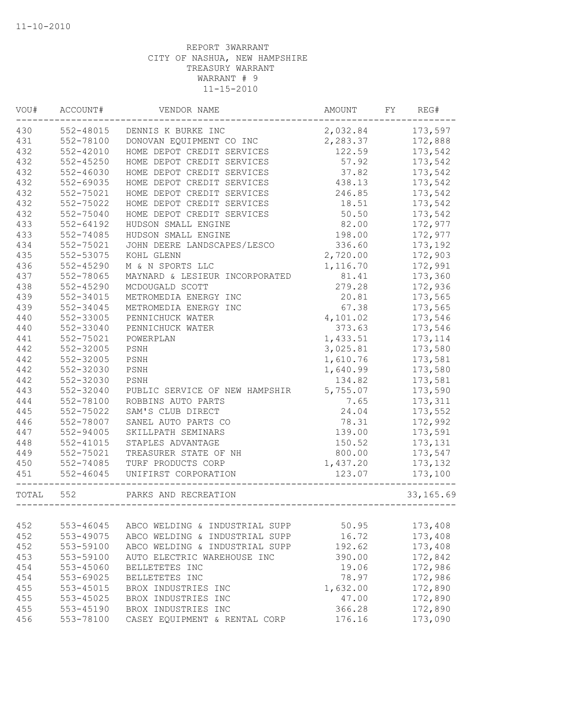| VOU#  | ACCOUNT#      | VENDOR NAME                    | AMOUNT   | FY | REG#       |
|-------|---------------|--------------------------------|----------|----|------------|
| 430   | 552-48015     | DENNIS K BURKE INC             | 2,032.84 |    | 173,597    |
| 431   | 552-78100     | DONOVAN EQUIPMENT CO INC       | 2,283.37 |    | 172,888    |
| 432   | $552 - 42010$ | HOME DEPOT CREDIT SERVICES     | 122.59   |    | 173,542    |
| 432   | 552-45250     | HOME DEPOT CREDIT SERVICES     | 57.92    |    | 173,542    |
| 432   | $552 - 46030$ | HOME DEPOT CREDIT SERVICES     | 37.82    |    | 173,542    |
| 432   | 552-69035     | HOME DEPOT CREDIT SERVICES     | 438.13   |    | 173,542    |
| 432   | 552-75021     | HOME DEPOT CREDIT SERVICES     | 246.85   |    | 173,542    |
| 432   | 552-75022     | HOME DEPOT CREDIT SERVICES     | 18.51    |    | 173,542    |
| 432   | 552-75040     | HOME DEPOT CREDIT SERVICES     | 50.50    |    | 173,542    |
| 433   | $552 - 64192$ | HUDSON SMALL ENGINE            | 82.00    |    | 172,977    |
| 433   | 552-74085     | HUDSON SMALL ENGINE            | 198.00   |    | 172,977    |
| 434   | 552-75021     | JOHN DEERE LANDSCAPES/LESCO    | 336.60   |    | 173,192    |
| 435   | 552-53075     | KOHL GLENN                     | 2,720.00 |    | 172,903    |
| 436   | 552-45290     | M & N SPORTS LLC               | 1,116.70 |    | 172,991    |
| 437   | 552-78065     | MAYNARD & LESIEUR INCORPORATED | 81.41    |    | 173,360    |
| 438   | 552-45290     | MCDOUGALD SCOTT                | 279.28   |    | 172,936    |
| 439   | 552-34015     | METROMEDIA ENERGY INC          | 20.81    |    | 173,565    |
| 439   | 552-34045     | METROMEDIA ENERGY INC          | 67.38    |    | 173,565    |
| 440   | 552-33005     | PENNICHUCK WATER               | 4,101.02 |    | 173,546    |
| 440   | 552-33040     | PENNICHUCK WATER               | 373.63   |    | 173,546    |
| 441   | 552-75021     | POWERPLAN                      | 1,433.51 |    | 173, 114   |
| 442   | 552-32005     | PSNH                           | 3,025.81 |    | 173,580    |
| 442   | 552-32005     | PSNH                           | 1,610.76 |    | 173,581    |
| 442   | 552-32030     | PSNH                           | 1,640.99 |    | 173,580    |
| 442   | 552-32030     | PSNH                           | 134.82   |    | 173,581    |
| 443   | 552-32040     | PUBLIC SERVICE OF NEW HAMPSHIR | 5,755.07 |    | 173,590    |
| 444   | 552-78100     | ROBBINS AUTO PARTS             | 7.65     |    | 173,311    |
| 445   | 552-75022     | SAM'S CLUB DIRECT              | 24.04    |    | 173,552    |
| 446   | 552-78007     | SANEL AUTO PARTS CO            | 78.31    |    | 172,992    |
| 447   | $552 - 94005$ | SKILLPATH SEMINARS             | 139.00   |    | 173,591    |
| 448   | 552-41015     | STAPLES ADVANTAGE              | 150.52   |    | 173, 131   |
| 449   | 552-75021     | TREASURER STATE OF NH          | 800.00   |    | 173,547    |
| 450   | 552-74085     | TURF PRODUCTS CORP             | 1,437.20 |    | 173, 132   |
| 451   | $552 - 46045$ | UNIFIRST CORPORATION           | 123.07   |    | 173,100    |
| TOTAL | 552           | PARKS AND RECREATION           |          |    | 33, 165.69 |
|       |               |                                |          |    |            |
| 452   | 553-46045     | ABCO WELDING & INDUSTRIAL SUPP | 50.95    |    | 173,408    |
| 452   | 553-49075     | ABCO WELDING & INDUSTRIAL SUPP | 16.72    |    | 173,408    |
| 452   | 553-59100     | ABCO WELDING & INDUSTRIAL SUPP | 192.62   |    | 173,408    |
| 453   | 553-59100     | AUTO ELECTRIC WAREHOUSE INC    | 390.00   |    | 172,842    |
| 454   | 553-45060     | BELLETETES INC                 | 19.06    |    | 172,986    |
| 454   | 553-69025     | BELLETETES INC                 | 78.97    |    | 172,986    |
| 455   | 553-45015     | BROX INDUSTRIES INC            | 1,632.00 |    | 172,890    |
| 455   | 553-45025     | BROX INDUSTRIES INC            | 47.00    |    | 172,890    |
| 455   | 553-45190     | BROX INDUSTRIES INC            | 366.28   |    | 172,890    |
| 456   | 553-78100     | CASEY EQUIPMENT & RENTAL CORP  | 176.16   |    | 173,090    |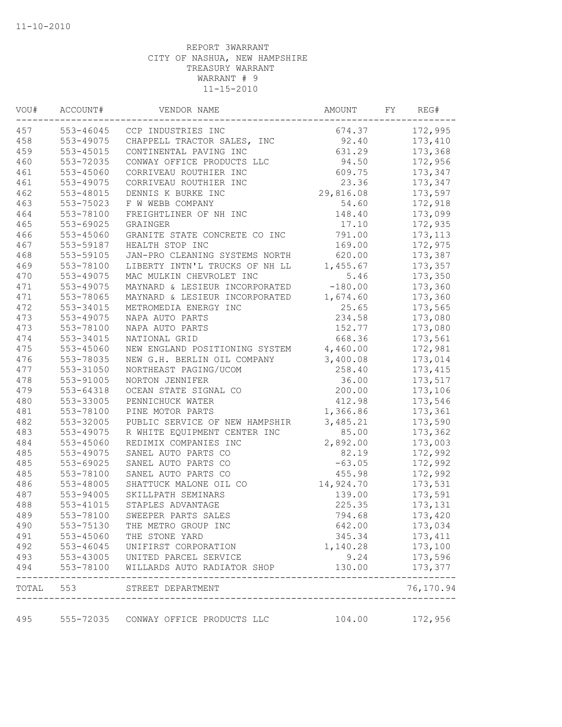| VOU# | ACCOUNT#  | VENDOR NAME                                                                                                                          | AMOUNT    | FY | REG#      |
|------|-----------|--------------------------------------------------------------------------------------------------------------------------------------|-----------|----|-----------|
| 457  | 553-46045 | CCP INDUSTRIES INC                                                                                                                   | 674.37    |    | 172,995   |
| 458  | 553-49075 | CHAPPELL TRACTOR SALES, INC                                                                                                          | 92.40     |    | 173,410   |
| 459  | 553-45015 | CONTINENTAL PAVING INC                                                                                                               | 631.29    |    | 173,368   |
| 460  | 553-72035 | CONWAY OFFICE PRODUCTS LLC                                                                                                           | 94.50     |    | 172,956   |
| 461  | 553-45060 | CORRIVEAU ROUTHIER INC                                                                                                               | 609.75    |    | 173,347   |
| 461  | 553-49075 | CORRIVEAU ROUTHIER INC                                                                                                               | 23.36     |    | 173,347   |
| 462  | 553-48015 | DENNIS K BURKE INC                                                                                                                   | 29,816.08 |    | 173,597   |
| 463  | 553-75023 | F W WEBB COMPANY                                                                                                                     | 54.60     |    | 172,918   |
| 464  | 553-78100 | FREIGHTLINER OF NH INC                                                                                                               | 148.40    |    | 173,099   |
| 465  | 553-69025 | GRAINGER                                                                                                                             | 17.10     |    | 172,935   |
| 466  | 553-45060 | GRANITE STATE CONCRETE CO INC                                                                                                        | 791.00    |    | 173, 113  |
| 467  | 553-59187 | HEALTH STOP INC                                                                                                                      | 169.00    |    | 172,975   |
| 468  | 553-59105 | JAN-PRO CLEANING SYSTEMS NORTH                                                                                                       | 620.00    |    | 173,387   |
| 469  | 553-78100 | LIBERTY INTN'L TRUCKS OF NH LL                                                                                                       | 1,455.67  |    | 173,357   |
| 470  | 553-49075 | MAC MULKIN CHEVROLET INC                                                                                                             | 5.46      |    | 173,350   |
| 471  | 553-49075 | MAYNARD & LESIEUR INCORPORATED                                                                                                       | $-180.00$ |    | 173,360   |
| 471  | 553-78065 | MAYNARD & LESIEUR INCORPORATED                                                                                                       | 1,674.60  |    | 173,360   |
| 472  | 553-34015 | METROMEDIA ENERGY INC                                                                                                                | 25.65     |    | 173,565   |
| 473  | 553-49075 | NAPA AUTO PARTS                                                                                                                      | 234.58    |    | 173,080   |
| 473  | 553-78100 | NAPA AUTO PARTS                                                                                                                      | 152.77    |    | 173,080   |
| 474  | 553-34015 | NATIONAL GRID                                                                                                                        | 668.36    |    | 173,561   |
| 475  | 553-45060 | NEW ENGLAND POSITIONING SYSTEM 4,460.00                                                                                              |           |    | 172,981   |
| 476  | 553-78035 | NEW G.H. BERLIN OIL COMPANY                                                                                                          | 3,400.08  |    | 173,014   |
| 477  | 553-31050 | NORTHEAST PAGING/UCOM                                                                                                                | 258.40    |    | 173, 415  |
| 478  | 553-91005 | NORTON JENNIFER                                                                                                                      | 36.00     |    | 173,517   |
| 479  | 553-64318 | OCEAN STATE SIGNAL CO                                                                                                                | 200.00    |    | 173,106   |
| 480  | 553-33005 | PENNICHUCK WATER                                                                                                                     | 412.98    |    | 173,546   |
| 481  | 553-78100 | PINE MOTOR PARTS                                                                                                                     | 1,366.86  |    | 173,361   |
| 482  | 553-32005 | PUBLIC SERVICE OF NEW HAMPSHIR                                                                                                       | 3,485.21  |    | 173,590   |
| 483  | 553-49075 | R WHITE EQUIPMENT CENTER INC                                                                                                         | 85.00     |    | 173,362   |
| 484  | 553-45060 | REDIMIX COMPANIES INC                                                                                                                | 2,892.00  |    | 173,003   |
| 485  | 553-49075 | SANEL AUTO PARTS CO                                                                                                                  | 82.19     |    | 172,992   |
| 485  | 553-69025 | SANEL AUTO PARTS CO                                                                                                                  | $-63.05$  |    | 172,992   |
| 485  | 553-78100 | SANEL AUTO PARTS CO                                                                                                                  | 455.98    |    | 172,992   |
| 486  | 553-48005 | SHATTUCK MALONE OIL CO                                                                                                               | 14,924.70 |    | 173,531   |
| 487  | 553-94005 | SKILLPATH SEMINARS                                                                                                                   | 139.00    |    | 173,591   |
| 488  | 553-41015 | STAPLES ADVANTAGE                                                                                                                    | 225.35    |    | 173,131   |
| 489  | 553-78100 | SWEEPER PARTS SALES                                                                                                                  | 794.68    |    | 173,420   |
| 490  | 553-75130 | THE METRO GROUP INC                                                                                                                  | 642.00    |    | 173,034   |
| 491  | 553-45060 | THE STONE YARD                                                                                                                       | 345.34    |    | 173, 411  |
| 492  |           |                                                                                                                                      | 1,140.28  |    | 173,100   |
| 493  |           |                                                                                                                                      | 9.24      |    | 173,596   |
| 494  |           | 553-46045 UNIFIRST CORPORATION<br>553-43005 UNITED PARCEL SERVICE<br>553-78100 WILLARDS AUTO RADIATOI<br>WILLARDS AUTO RADIATOR SHOP | 130.00    |    | 173,377   |
|      |           | TOTAL 553 STREET DEPARTMENT                                                                                                          |           |    | 76,170.94 |
| 495  |           | 555-72035 CONWAY OFFICE PRODUCTS LLC                                                                                                 | 104.00    |    | 172,956   |
|      |           |                                                                                                                                      |           |    |           |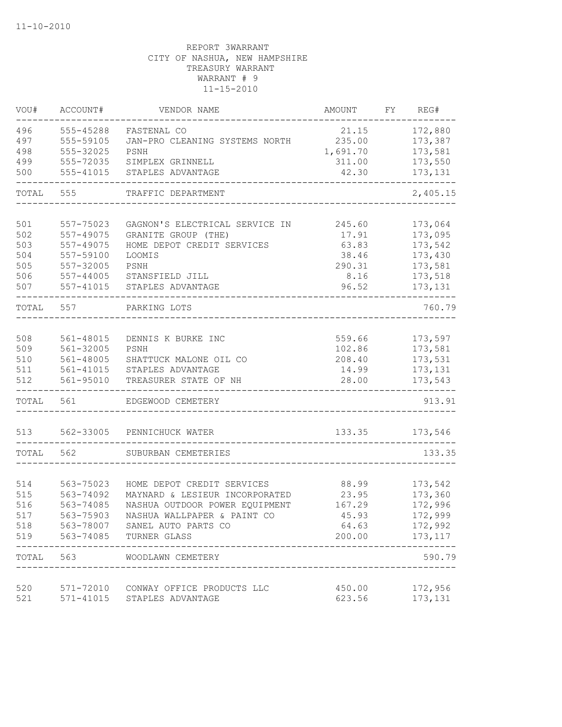| VOU#              | ACCOUNT#                            | VENDOR NAME                                                  | AMOUNT                      | FY | REG#                          |
|-------------------|-------------------------------------|--------------------------------------------------------------|-----------------------------|----|-------------------------------|
| 496<br>497<br>498 | 555-45288<br>555-59105<br>555-32025 | FASTENAL CO<br>JAN-PRO CLEANING SYSTEMS NORTH<br>PSNH        | 21.15<br>235.00<br>1,691.70 |    | 172,880<br>173,387<br>173,581 |
| 499               | 555-72035                           | SIMPLEX GRINNELL                                             | 311.00                      |    | 173,550                       |
| 500               | 555-41015                           | STAPLES ADVANTAGE                                            | 42.30                       |    | 173,131                       |
| TOTAL             | 555                                 | TRAFFIC DEPARTMENT                                           |                             |    | 2,405.15                      |
| 501               | 557-75023                           | GAGNON'S ELECTRICAL SERVICE IN                               | 245.60                      |    | 173,064                       |
| 502<br>503        | 557-49075<br>557-49075              | GRANITE GROUP (THE)<br>HOME DEPOT CREDIT SERVICES            | 17.91<br>63.83              |    | 173,095<br>173,542            |
| 504               | 557-59100                           | LOOMIS                                                       | 38.46                       |    | 173,430                       |
| 505               | 557-32005                           | PSNH                                                         | 290.31                      |    | 173,581                       |
| 506               | 557-44005                           | STANSFIELD JILL                                              | 8.16                        |    | 173,518                       |
| 507               | 557-41015                           | STAPLES ADVANTAGE                                            | 96.52                       |    | 173, 131                      |
| TOTAL             | 557                                 | PARKING LOTS                                                 |                             |    | 760.79                        |
| 508               | 561-48015                           | DENNIS K BURKE INC                                           | 559.66                      |    | 173,597                       |
| 509               | 561-32005                           | PSNH                                                         | 102.86                      |    | 173,581                       |
| 510<br>511        | 561-48005<br>561-41015              | SHATTUCK MALONE OIL CO<br>STAPLES ADVANTAGE                  | 208.40<br>14.99             |    | 173,531<br>173, 131           |
| 512               | 561-95010                           | TREASURER STATE OF NH                                        | 28.00                       |    | 173,543                       |
| TOTAL             | 561                                 | EDGEWOOD CEMETERY                                            |                             |    | 913.91                        |
| 513               | 562-33005                           | PENNICHUCK WATER                                             | 133.35                      |    | 173,546                       |
| TOTAL             | 562                                 | SUBURBAN CEMETERIES                                          |                             |    | 133.35                        |
|                   |                                     |                                                              |                             |    |                               |
| 514<br>515        | 563-75023<br>563-74092              | HOME DEPOT CREDIT SERVICES<br>MAYNARD & LESIEUR INCORPORATED | 88.99<br>23.95              |    | 173,542<br>173,360            |
| 516               | 563-74085                           | NASHUA OUTDOOR POWER EQUIPMENT                               | 167.29                      |    | 172,996                       |
| 517               | 563-75903                           | NASHUA WALLPAPER & PAINT CO                                  | 45.93                       |    | 172,999                       |
| 518               |                                     | 563-78007 SANEL AUTO PARTS CO                                | 64.63                       |    | 172,992                       |
| 519               |                                     | 563-74085 TURNER GLASS                                       | 200.00                      |    | 173, 117                      |
|                   | TOTAL 563                           | WOODLAWN CEMETERY                                            |                             |    | 590.79                        |
| 520               |                                     | 571-72010 CONWAY OFFICE PRODUCTS LLC                         | 450.00                      |    | 172,956                       |
| 521               | 571-41015                           | STAPLES ADVANTAGE                                            | 623.56                      |    | 173,131                       |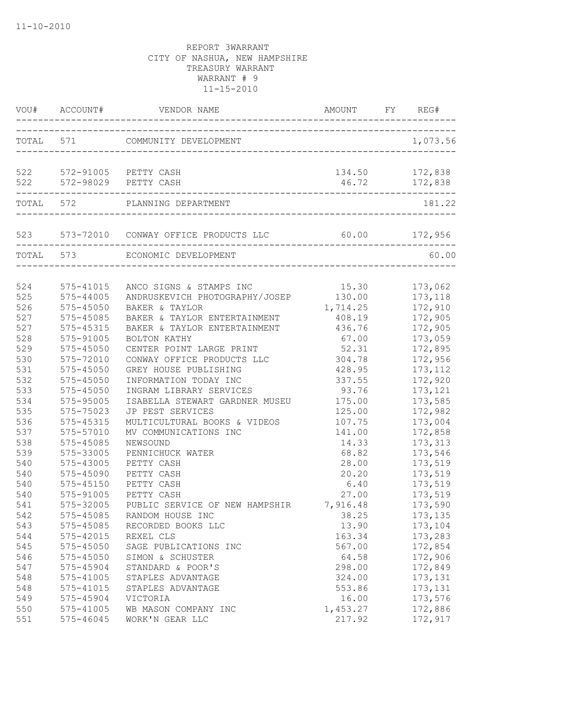|            | VOU# ACCOUNT#              |                                                                        | AMOUNT                           | FY REG#                         |
|------------|----------------------------|------------------------------------------------------------------------|----------------------------------|---------------------------------|
|            |                            | TOTAL 571 COMMUNITY DEVELOPMENT                                        |                                  | 1,073.56                        |
|            |                            | 522 572-91005 PETTY CASH<br>522 572-98029 PETTY CASH                   |                                  | 134.50 172,838<br>46.72 172,838 |
|            |                            | -------------------------------------<br>TOTAL 572 PLANNING DEPARTMENT |                                  | 181.22                          |
|            |                            | 523 573-72010 CONWAY OFFICE PRODUCTS LLC 60.00 172,956                 | -------------------------------- |                                 |
| TOTAL 573  |                            | ECONOMIC DEVELOPMENT                                                   |                                  | 60.00                           |
| 524        | 575-41015                  | ANCO SIGNS & STAMPS INC                                                | 15.30                            | 173,062                         |
| 525        | 575-44005                  | ANDRUSKEVICH PHOTOGRAPHY/JOSEP                                         | 130.00                           | 173,118                         |
| 526<br>527 | $575 - 45050$<br>575-45085 | BAKER & TAYLOR<br>BAKER & TAYLOR ENTERTAINMENT                         | 1,714.25<br>408.19               | 172,910<br>172,905              |
| 527        | 575-45315                  | BAKER & TAYLOR ENTERTAINMENT                                           | 436.76                           | 172,905                         |
| 528        | 575-91005                  | BOLTON KATHY                                                           | 67.00                            | 173,059                         |
| 529        | $575 - 45050$              | CENTER POINT LARGE PRINT                                               | 52.31                            | 172,895                         |
| 530        | 575-72010                  | CONWAY OFFICE PRODUCTS LLC                                             | 304.78                           | 172,956                         |
| 531        | 575-45050                  | GREY HOUSE PUBLISHING                                                  | 428.95                           | 173, 112                        |
| 532        | 575-45050                  | INFORMATION TODAY INC                                                  | 337.55                           | 172,920                         |
| 533        | 575-45050                  | INGRAM LIBRARY SERVICES                                                | 93.76                            | 173, 121                        |
| 534        | 575-95005                  | ISABELLA STEWART GARDNER MUSEU                                         | 175.00                           | 173,585                         |
| 535        | 575-75023                  | JP PEST SERVICES                                                       | 125.00                           | 172,982                         |
| 536        | 575-45315                  | MULTICULTURAL BOOKS & VIDEOS                                           | 107.75                           | 173,004                         |
| 537        | 575-57010                  | MV COMMUNICATIONS INC                                                  | 141.00                           | 172,858                         |
| 538        | 575-45085                  | NEWSOUND                                                               | 14.33                            | 173,313                         |
| 539        | 575-33005                  | PENNICHUCK WATER                                                       | 68.82                            | 173,546                         |
| 540        | 575-43005                  | PETTY CASH                                                             | 28.00                            | 173,519                         |
| 540        | 575-45090                  | PETTY CASH                                                             | 20.20                            | 173,519                         |
| 540        | 575-45150                  | PETTY CASH                                                             | 6.40                             | 173,519                         |
| 540        | 575-91005                  | PETTY CASH                                                             | 27.00                            | 173,519                         |
| 541        | 575-32005                  | PUBLIC SERVICE OF NEW HAMPSHIR                                         | 7,916.48                         | 173,590                         |
| 542        | 575-45085                  | 38.25<br>RANDOM HOUSE INC                                              |                                  | 173, 135                        |
| 543        | 575-45085                  | RECORDED BOOKS LLC                                                     | 13.90                            | 173,104                         |
| 544        | 575-42015                  | REXEL CLS                                                              | 163.34                           | 173,283                         |
| 545        | 575-45050                  | SAGE PUBLICATIONS INC                                                  | 567.00                           | 172,854                         |
| 546        | 575-45050                  | SIMON & SCHUSTER                                                       | 64.58                            | 172,906                         |
| 547        | 575-45904                  | STANDARD & POOR'S                                                      | 298.00                           | 172,849                         |
| 548        | 575-41005                  | STAPLES ADVANTAGE                                                      | 324.00                           | 173, 131                        |
| 548        | 575-41015                  | STAPLES ADVANTAGE                                                      | 553.86                           | 173,131                         |
| 549        | 575-45904                  | VICTORIA                                                               | 16.00                            | 173,576                         |
| 550        | 575-41005                  | WB MASON COMPANY INC                                                   | 1,453.27                         | 172,886                         |
| 551        | 575-46045                  | WORK'N GEAR LLC                                                        | 217.92                           | 172,917                         |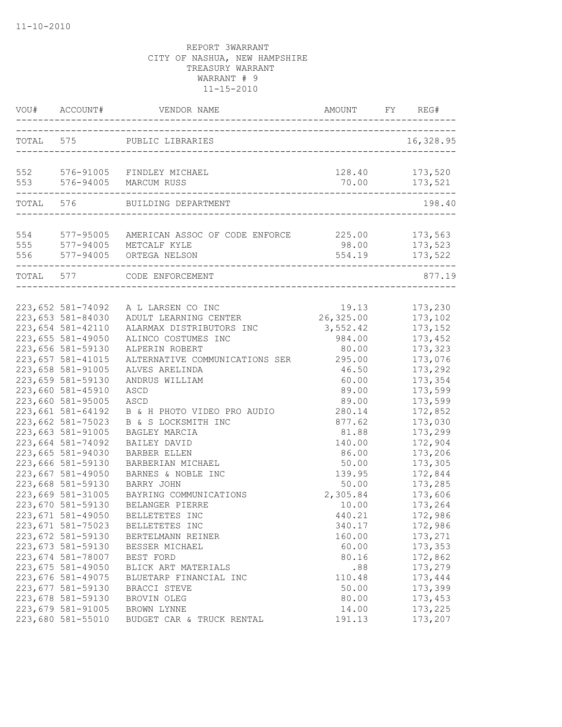|     | VOU# ACCOUNT#                                                                                         |                                                                                                                                            |                                                   | REG#                                                |
|-----|-------------------------------------------------------------------------------------------------------|--------------------------------------------------------------------------------------------------------------------------------------------|---------------------------------------------------|-----------------------------------------------------|
|     |                                                                                                       | TOTAL 575 PUBLIC LIBRARIES                                                                                                                 |                                                   | 16,328.95                                           |
|     |                                                                                                       | 552 576-91005 FINDLEY MICHAEL<br>553 576-94005 MARCUM RUSS                                                                                 |                                                   | 128.40 173,520                                      |
|     |                                                                                                       | TOTAL 576 BUILDING DEPARTMENT                                                                                                              |                                                   | 198.40                                              |
| 555 | 577-94005                                                                                             | 554 577-95005 AMERICAN ASSOC OF CODE ENFORCE 225.00 173,563<br>METCALF KYLE<br>556 577-94005 ORTEGA NELSON<br>____________________________ |                                                   | 98.00 173,523<br>554.19 173,522                     |
|     | TOTAL 577                                                                                             | CODE ENFORCEMENT                                                                                                                           |                                                   | 877.19                                              |
|     | 223,652 581-74092<br>223,653 581-84030<br>223,654 581-42110<br>223,655 581-49050<br>223,656 581-59130 | A L LARSEN CO INC<br>ADULT LEARNING CENTER<br>ALARMAX DISTRIBUTORS INC<br>ALINCO COSTUMES INC<br>ALPERIN ROBERT                            | 19.13<br>26,325.00<br>3,552.42<br>984.00<br>80.00 | 173,230<br>173,102<br>173,152<br>173,452<br>173,323 |
|     | 223,657 581-41015<br>223,658 581-91005<br>223,659 581-59130<br>223,660 581-45910<br>223,660 581-95005 | ALTERNATIVE COMMUNICATIONS SER<br>ALVES ARELINDA<br>ANDRUS WILLIAM<br>ASCD<br>ASCD                                                         | 295.00<br>46.50<br>60.00<br>89.00<br>89.00        | 173,076<br>173,292<br>173,354<br>173,599<br>173,599 |
|     | 223,661 581-64192<br>223,662 581-75023<br>223,663 581-91005<br>223,664 581-74092                      | B & H PHOTO VIDEO PRO AUDIO<br>B & S LOCKSMITH INC<br>BAGLEY MARCIA<br>BAILEY DAVID                                                        | 280.14<br>877.62<br>81.88<br>140.00               | 172,852<br>173,030<br>173,299<br>172,904            |
|     | 223,665 581-94030<br>223,666 581-59130<br>223,667 581-49050<br>223,668 581-59130<br>223,669 581-31005 | BARBER ELLEN<br>BARBERIAN MICHAEL<br>BARNES & NOBLE INC<br>BARRY JOHN<br>BAYRING COMMUNICATIONS                                            | 86.00<br>50.00<br>139.95<br>50.00<br>2,305.84     | 173,206<br>173,305<br>172,844<br>173,285<br>173,606 |
|     | 223,670 581-59130<br>223,671 581-49050<br>223,671 581-75023<br>223,672 581-59130                      | BELANGER PIERRE<br>BELLETETES INC<br>BELLETETES INC<br>BERTELMANN REINER                                                                   | 10.00<br>440.21<br>340.17<br>160.00               | 173,264<br>172,986<br>172,986<br>173,271            |
|     | 223,673 581-59130<br>223,674 581-78007<br>223,675 581-49050<br>223,676 581-49075                      | BESSER MICHAEL<br>BEST FORD<br>BLICK ART MATERIALS<br>BLUETARP FINANCIAL INC                                                               | 60.00<br>80.16<br>.88<br>110.48                   | 173,353<br>172,862<br>173,279<br>173,444            |
|     | 223,677 581-59130<br>223,678 581-59130<br>223,679 581-91005<br>223,680 581-55010                      | BRACCI STEVE<br>BROVIN OLEG<br>BROWN LYNNE<br>BUDGET CAR & TRUCK RENTAL                                                                    | 50.00<br>80.00<br>14.00<br>191.13                 | 173,399<br>173,453<br>173,225<br>173,207            |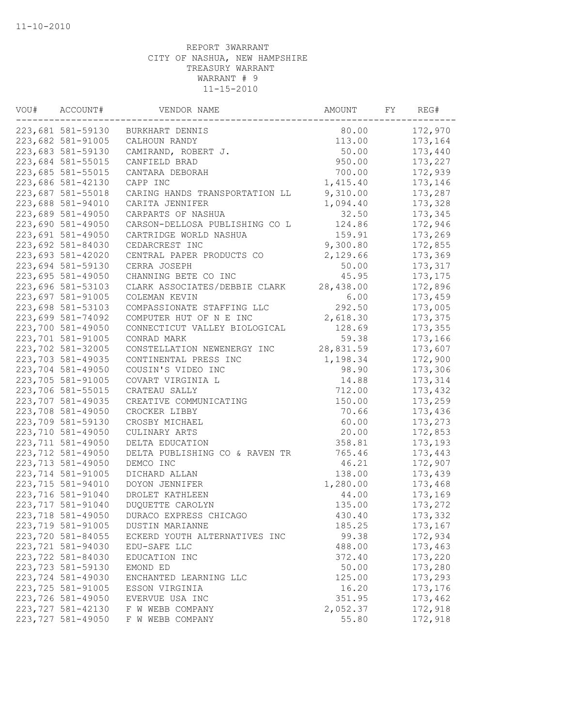| VOU# | ACCOUNT#           | VENDOR NAME                    | AMOUNT    | FY | REG#     |
|------|--------------------|--------------------------------|-----------|----|----------|
|      | 223,681 581-59130  | BURKHART DENNIS                | 80.00     |    | 172,970  |
|      | 223,682 581-91005  | CALHOUN RANDY                  | 113.00    |    | 173,164  |
|      | 223,683 581-59130  | CAMIRAND, ROBERT J.            | 50.00     |    | 173,440  |
|      | 223,684 581-55015  | CANFIELD BRAD                  | 950.00    |    | 173,227  |
|      | 223,685 581-55015  | CANTARA DEBORAH                | 700.00    |    | 172,939  |
|      | 223,686 581-42130  | CAPP INC                       | 1,415.40  |    | 173,146  |
|      | 223,687 581-55018  | CARING HANDS TRANSPORTATION LL | 9,310.00  |    | 173,287  |
|      | 223,688 581-94010  | CARITA JENNIFER                | 1,094.40  |    | 173,328  |
|      | 223,689 581-49050  | CARPARTS OF NASHUA             | 32.50     |    | 173,345  |
|      | 223,690 581-49050  | CARSON-DELLOSA PUBLISHING CO L | 124.86    |    | 172,946  |
|      | 223,691 581-49050  | CARTRIDGE WORLD NASHUA         | 159.91    |    | 173,269  |
|      | 223,692 581-84030  | CEDARCREST INC                 | 9,300.80  |    | 172,855  |
|      | 223,693 581-42020  | CENTRAL PAPER PRODUCTS CO      | 2,129.66  |    | 173,369  |
|      | 223,694 581-59130  | CERRA JOSEPH                   | 50.00     |    | 173,317  |
|      | 223,695 581-49050  | CHANNING BETE CO INC           | 45.95     |    | 173, 175 |
|      | 223,696 581-53103  | CLARK ASSOCIATES/DEBBIE CLARK  | 28,438.00 |    | 172,896  |
|      | 223,697 581-91005  | COLEMAN KEVIN                  | 6.00      |    | 173,459  |
|      | 223,698 581-53103  | COMPASSIONATE STAFFING LLC     | 292.50    |    | 173,005  |
|      | 223,699 581-74092  | COMPUTER HUT OF N E INC        | 2,618.30  |    | 173,375  |
|      | 223,700 581-49050  | CONNECTICUT VALLEY BIOLOGICAL  | 128.69    |    | 173,355  |
|      | 223,701 581-91005  | CONRAD MARK                    | 59.38     |    | 173,166  |
|      | 223,702 581-32005  | CONSTELLATION NEWENERGY INC    | 28,831.59 |    | 173,607  |
|      | 223,703 581-49035  | CONTINENTAL PRESS INC          | 1,198.34  |    | 172,900  |
|      | 223,704 581-49050  | COUSIN'S VIDEO INC             | 98.90     |    | 173,306  |
|      | 223,705 581-91005  | COVART VIRGINIA L              | 14.88     |    | 173,314  |
|      | 223,706 581-55015  | CRATEAU SALLY                  | 712.00    |    | 173,432  |
|      | 223,707 581-49035  | CREATIVE COMMUNICATING         | 150.00    |    | 173,259  |
|      | 223,708 581-49050  | CROCKER LIBBY                  | 70.66     |    | 173,436  |
|      | 223,709 581-59130  | CROSBY MICHAEL                 | 60.00     |    | 173,273  |
|      | 223,710 581-49050  | CULINARY ARTS                  | 20.00     |    | 172,853  |
|      |                    |                                |           |    |          |
|      | 223,711 581-49050  | DELTA EDUCATION                | 358.81    |    | 173,193  |
|      | 223,712 581-49050  | DELTA PUBLISHING CO & RAVEN TR | 765.46    |    | 173,443  |
|      | 223,713 581-49050  | DEMCO INC                      | 46.21     |    | 172,907  |
|      | 223,714 581-91005  | DICHARD ALLAN                  | 138.00    |    | 173,439  |
|      | 223,715 581-94010  | DOYON JENNIFER                 | 1,280.00  |    | 173,468  |
|      | 223,716 581-91040  | DROLET KATHLEEN                | 44.00     |    | 173,169  |
|      | 223,717 581-91040  | DUQUETTE CAROLYN               | 135.00    |    | 173,272  |
|      | 223,718 581-49050  | DURACO EXPRESS CHICAGO         | 430.40    |    | 173,332  |
|      | 223,719 581-91005  | DUSTIN MARIANNE                | 185.25    |    | 173,167  |
|      | 223,720 581-84055  | ECKERD YOUTH ALTERNATIVES INC  | 99.38     |    | 172,934  |
|      | 223,721 581-94030  | EDU-SAFE LLC                   | 488.00    |    | 173,463  |
|      | 223,722 581-84030  | EDUCATION INC                  | 372.40    |    | 173,220  |
|      | 223, 723 581-59130 | EMOND ED                       | 50.00     |    | 173,280  |
|      | 223,724 581-49030  | ENCHANTED LEARNING LLC         | 125.00    |    | 173,293  |
|      | 223,725 581-91005  | ESSON VIRGINIA                 | 16.20     |    | 173,176  |
|      | 223,726 581-49050  | EVERVUE USA INC                | 351.95    |    | 173,462  |
|      | 223,727 581-42130  | F W WEBB COMPANY               | 2,052.37  |    | 172,918  |
|      | 223,727 581-49050  | F W WEBB COMPANY               | 55.80     |    | 172,918  |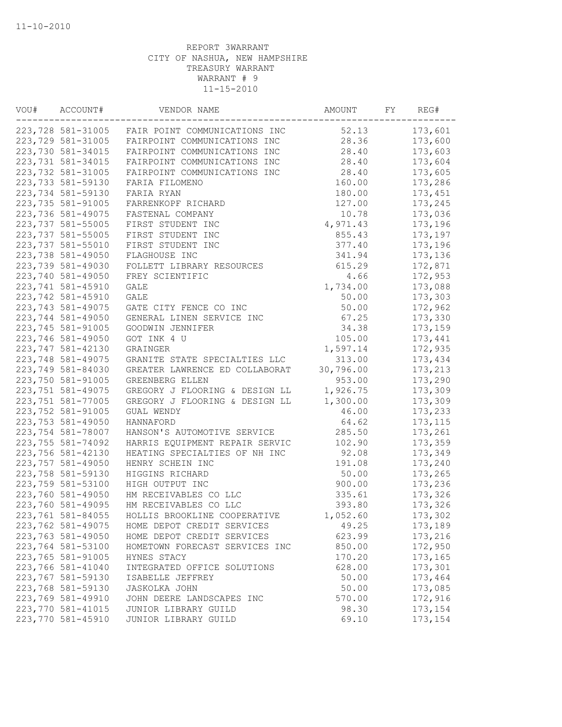| VOU# | ACCOUNT#           | VENDOR NAME                    | AMOUNT    | FΥ | REG#     |
|------|--------------------|--------------------------------|-----------|----|----------|
|      | 223,728 581-31005  | FAIR POINT COMMUNICATIONS INC  | 52.13     |    | 173,601  |
|      | 223,729 581-31005  | FAIRPOINT COMMUNICATIONS INC   | 28.36     |    | 173,600  |
|      | 223,730 581-34015  | FAIRPOINT COMMUNICATIONS INC   | 28.40     |    | 173,603  |
|      | 223, 731 581-34015 | FAIRPOINT COMMUNICATIONS INC   | 28.40     |    | 173,604  |
|      | 223,732 581-31005  | FAIRPOINT COMMUNICATIONS INC   | 28.40     |    | 173,605  |
|      | 223,733 581-59130  | FARIA FILOMENO                 | 160.00    |    | 173,286  |
|      | 223,734 581-59130  | FARIA RYAN                     | 180.00    |    | 173,451  |
|      | 223,735 581-91005  | FARRENKOPF RICHARD             | 127.00    |    | 173,245  |
|      | 223,736 581-49075  | FASTENAL COMPANY               | 10.78     |    | 173,036  |
|      | 223,737 581-55005  | FIRST STUDENT INC              | 4,971.43  |    | 173,196  |
|      | 223,737 581-55005  | FIRST STUDENT INC              | 855.43    |    | 173,197  |
|      | 223,737 581-55010  | FIRST STUDENT INC              | 377.40    |    | 173,196  |
|      | 223,738 581-49050  | FLAGHOUSE INC                  | 341.94    |    | 173,136  |
|      | 223,739 581-49030  | FOLLETT LIBRARY RESOURCES      | 615.29    |    | 172,871  |
|      | 223,740 581-49050  | FREY SCIENTIFIC                | 4.66      |    | 172,953  |
|      | 223,741 581-45910  | <b>GALE</b>                    | 1,734.00  |    | 173,088  |
|      | 223,742 581-45910  | GALE                           | 50.00     |    | 173,303  |
|      | 223, 743 581-49075 | GATE CITY FENCE CO INC         | 50.00     |    | 172,962  |
|      | 223,744 581-49050  | GENERAL LINEN SERVICE INC      | 67.25     |    | 173,330  |
|      | 223,745 581-91005  | GOODWIN JENNIFER               | 34.38     |    | 173,159  |
|      | 223,746 581-49050  | GOT INK 4 U                    | 105.00    |    | 173,441  |
|      | 223,747 581-42130  | GRAINGER                       | 1,597.14  |    | 172,935  |
|      | 223,748 581-49075  | GRANITE STATE SPECIALTIES LLC  | 313.00    |    | 173,434  |
|      | 223,749 581-84030  | GREATER LAWRENCE ED COLLABORAT | 30,796.00 |    | 173,213  |
|      | 223,750 581-91005  | GREENBERG ELLEN                | 953.00    |    | 173,290  |
|      | 223,751 581-49075  | GREGORY J FLOORING & DESIGN LL | 1,926.75  |    | 173,309  |
|      | 223,751 581-77005  | GREGORY J FLOORING & DESIGN LL | 1,300.00  |    | 173,309  |
|      | 223,752 581-91005  | GUAL WENDY                     | 46.00     |    | 173,233  |
|      |                    |                                |           |    |          |
|      | 223,753 581-49050  | HANNAFORD                      | 64.62     |    | 173, 115 |
|      | 223,754 581-78007  | HANSON'S AUTOMOTIVE SERVICE    | 285.50    |    | 173,261  |
|      | 223,755 581-74092  | HARRIS EQUIPMENT REPAIR SERVIC | 102.90    |    | 173,359  |
|      | 223,756 581-42130  | HEATING SPECIALTIES OF NH INC  | 92.08     |    | 173,349  |
|      | 223,757 581-49050  | HENRY SCHEIN INC               | 191.08    |    | 173,240  |
|      | 223,758 581-59130  | HIGGINS RICHARD                | 50.00     |    | 173,265  |
|      | 223,759 581-53100  | HIGH OUTPUT INC                | 900.00    |    | 173,236  |
|      | 223,760 581-49050  | HM RECEIVABLES CO LLC          | 335.61    |    | 173,326  |
|      | 223,760 581-49095  | HM RECEIVABLES CO LLC          | 393.80    |    | 173,326  |
|      | 223,761 581-84055  | HOLLIS BROOKLINE COOPERATIVE   | 1,052.60  |    | 173,302  |
|      | 223,762 581-49075  | HOME DEPOT CREDIT SERVICES     | 49.25     |    | 173,189  |
|      | 223,763 581-49050  | HOME DEPOT CREDIT SERVICES     | 623.99    |    | 173,216  |
|      | 223,764 581-53100  | HOMETOWN FORECAST SERVICES INC | 850.00    |    | 172,950  |
|      | 223,765 581-91005  | HYNES STACY                    | 170.20    |    | 173,165  |
|      | 223,766 581-41040  | INTEGRATED OFFICE SOLUTIONS    | 628.00    |    | 173,301  |
|      | 223,767 581-59130  | ISABELLE JEFFREY               | 50.00     |    | 173,464  |
|      | 223,768 581-59130  | <b>JASKOLKA JOHN</b>           | 50.00     |    | 173,085  |
|      | 223,769 581-49910  | JOHN DEERE LANDSCAPES INC      | 570.00    |    | 172,916  |
|      | 223,770 581-41015  | JUNIOR LIBRARY GUILD           | 98.30     |    | 173,154  |
|      | 223,770 581-45910  | JUNIOR LIBRARY GUILD           | 69.10     |    | 173,154  |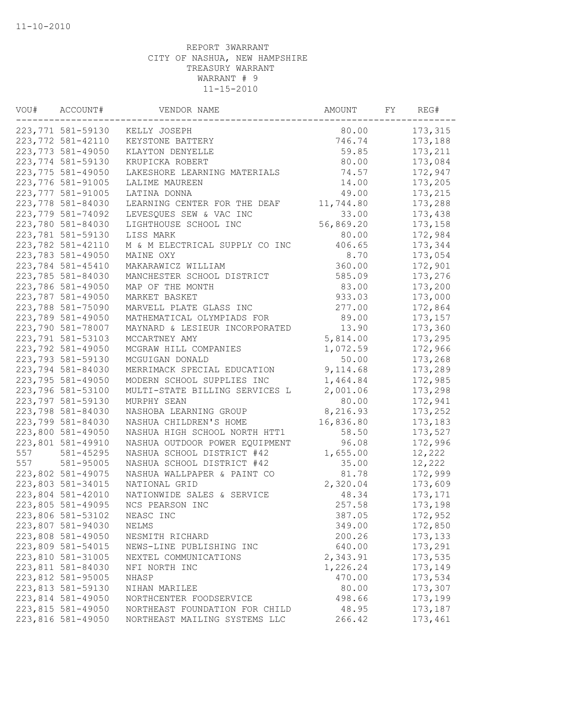| VOU# | ACCOUNT#          | VENDOR NAME                    | AMOUNT    | FY | REG#     |
|------|-------------------|--------------------------------|-----------|----|----------|
|      | 223,771 581-59130 | KELLY JOSEPH                   | 80.00     |    | 173,315  |
|      | 223,772 581-42110 | KEYSTONE BATTERY               | 746.74    |    | 173,188  |
|      | 223,773 581-49050 | KLAYTON DENYELLE               | 59.85     |    | 173,211  |
|      | 223,774 581-59130 | KRUPICKA ROBERT                | 80.00     |    | 173,084  |
|      | 223,775 581-49050 | LAKESHORE LEARNING MATERIALS   | 74.57     |    | 172,947  |
|      | 223,776 581-91005 | LALIME MAUREEN                 | 14.00     |    | 173,205  |
|      | 223,777 581-91005 | LATINA DONNA                   | 49.00     |    | 173,215  |
|      | 223,778 581-84030 | LEARNING CENTER FOR THE DEAF   | 11,744.80 |    | 173,288  |
|      | 223,779 581-74092 | LEVESQUES SEW & VAC INC        | 33.00     |    | 173,438  |
|      | 223,780 581-84030 | LIGHTHOUSE SCHOOL INC          | 56,869.20 |    | 173,158  |
|      | 223,781 581-59130 | LISS MARK                      | 80.00     |    | 172,984  |
|      | 223,782 581-42110 | M & M ELECTRICAL SUPPLY CO INC | 406.65    |    | 173,344  |
|      | 223,783 581-49050 | MAINE OXY                      | 8.70      |    | 173,054  |
|      | 223,784 581-45410 | MAKARAWICZ WILLIAM             | 360.00    |    | 172,901  |
|      | 223,785 581-84030 | MANCHESTER SCHOOL DISTRICT     | 585.09    |    | 173,276  |
|      | 223,786 581-49050 | MAP OF THE MONTH               | 83.00     |    | 173,200  |
|      | 223,787 581-49050 | MARKET BASKET                  | 933.03    |    | 173,000  |
|      | 223,788 581-75090 | MARVELL PLATE GLASS INC        | 277.00    |    | 172,864  |
|      | 223,789 581-49050 | MATHEMATICAL OLYMPIADS FOR     | 89.00     |    | 173,157  |
|      | 223,790 581-78007 | MAYNARD & LESIEUR INCORPORATED | 13.90     |    | 173,360  |
|      | 223,791 581-53103 | MCCARTNEY AMY                  | 5,814.00  |    | 173,295  |
|      | 223,792 581-49050 | MCGRAW HILL COMPANIES          | 1,072.59  |    | 172,966  |
|      | 223,793 581-59130 | MCGUIGAN DONALD                | 50.00     |    | 173,268  |
|      | 223,794 581-84030 | MERRIMACK SPECIAL EDUCATION    | 9,114.68  |    | 173,289  |
|      | 223,795 581-49050 | MODERN SCHOOL SUPPLIES INC     | 1,464.84  |    | 172,985  |
|      | 223,796 581-53100 | MULTI-STATE BILLING SERVICES L | 2,001.06  |    | 173,298  |
|      | 223,797 581-59130 | MURPHY SEAN                    | 80.00     |    | 172,941  |
|      | 223,798 581-84030 | NASHOBA LEARNING GROUP         | 8,216.93  |    | 173,252  |
|      | 223,799 581-84030 | NASHUA CHILDREN'S HOME         | 16,836.80 |    | 173,183  |
|      | 223,800 581-49050 | NASHUA HIGH SCHOOL NORTH HTT1  | 58.50     |    | 173,527  |
|      | 223,801 581-49910 | NASHUA OUTDOOR POWER EQUIPMENT | 96.08     |    | 172,996  |
| 557  | 581-45295         | NASHUA SCHOOL DISTRICT #42     | 1,655.00  |    | 12,222   |
| 557  | 581-95005         | NASHUA SCHOOL DISTRICT #42     | 35.00     |    | 12,222   |
|      | 223,802 581-49075 | NASHUA WALLPAPER & PAINT CO    | 81.78     |    | 172,999  |
|      | 223,803 581-34015 | NATIONAL GRID                  | 2,320.04  |    | 173,609  |
|      | 223,804 581-42010 | NATIONWIDE SALES & SERVICE     | 48.34     |    | 173, 171 |
|      | 223,805 581-49095 | NCS PEARSON INC                | 257.58    |    | 173,198  |
|      | 223,806 581-53102 | NEASC INC                      | 387.05    |    | 172,952  |
|      | 223,807 581-94030 | NELMS                          | 349.00    |    | 172,850  |
|      | 223,808 581-49050 | NESMITH RICHARD                | 200.26    |    | 173, 133 |
|      | 223,809 581-54015 | NEWS-LINE PUBLISHING INC       | 640.00    |    | 173,291  |
|      | 223,810 581-31005 | NEXTEL COMMUNICATIONS          | 2,343.91  |    | 173,535  |
|      | 223,811 581-84030 | NFI NORTH INC                  | 1,226.24  |    | 173,149  |
|      | 223,812 581-95005 | NHASP                          | 470.00    |    | 173,534  |
|      | 223,813 581-59130 | NIHAN MARILEE                  | 80.00     |    | 173,307  |
|      | 223,814 581-49050 | NORTHCENTER FOODSERVICE        | 498.66    |    | 173,199  |
|      | 223,815 581-49050 | NORTHEAST FOUNDATION FOR CHILD | 48.95     |    | 173,187  |
|      | 223,816 581-49050 | NORTHEAST MAILING SYSTEMS LLC  | 266.42    |    | 173,461  |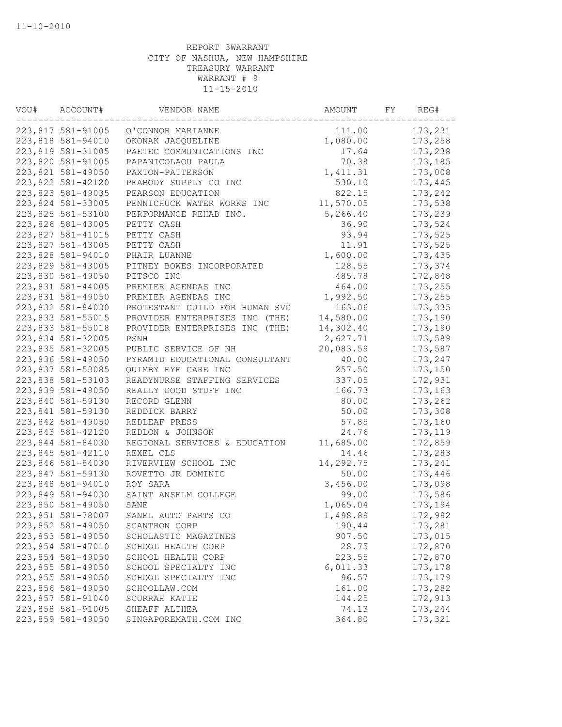| VOU# | ACCOUNT#          | VENDOR NAME                    | AMOUNT    | FY | REG#    |
|------|-------------------|--------------------------------|-----------|----|---------|
|      | 223,817 581-91005 | O'CONNOR MARIANNE              | 111.00    |    | 173,231 |
|      | 223,818 581-94010 | OKONAK JACQUELINE              | 1,080.00  |    | 173,258 |
|      | 223,819 581-31005 | PAETEC COMMUNICATIONS INC      | 17.64     |    | 173,238 |
|      | 223,820 581-91005 | PAPANICOLAOU PAULA             | 70.38     |    | 173,185 |
|      | 223,821 581-49050 | PAXTON-PATTERSON               | 1,411.31  |    | 173,008 |
|      | 223,822 581-42120 | PEABODY SUPPLY CO INC          | 530.10    |    | 173,445 |
|      | 223,823 581-49035 | PEARSON EDUCATION              | 822.15    |    | 173,242 |
|      | 223,824 581-33005 | PENNICHUCK WATER WORKS INC     | 11,570.05 |    | 173,538 |
|      | 223,825 581-53100 | PERFORMANCE REHAB INC.         | 5,266.40  |    | 173,239 |
|      | 223,826 581-43005 | PETTY CASH                     | 36.90     |    | 173,524 |
|      | 223,827 581-41015 | PETTY CASH                     | 93.94     |    | 173,525 |
|      | 223,827 581-43005 | PETTY CASH                     | 11.91     |    | 173,525 |
|      | 223,828 581-94010 | PHAIR LUANNE                   | 1,600.00  |    | 173,435 |
|      | 223,829 581-43005 | PITNEY BOWES INCORPORATED      | 128.55    |    | 173,374 |
|      | 223,830 581-49050 | PITSCO INC                     | 485.78    |    | 172,848 |
|      | 223,831 581-44005 | PREMIER AGENDAS INC            | 464.00    |    | 173,255 |
|      | 223,831 581-49050 | PREMIER AGENDAS INC            | 1,992.50  |    | 173,255 |
|      | 223,832 581-84030 | PROTESTANT GUILD FOR HUMAN SVC | 163.06    |    | 173,335 |
|      | 223,833 581-55015 | PROVIDER ENTERPRISES INC (THE) | 14,580.00 |    | 173,190 |
|      | 223,833 581-55018 | PROVIDER ENTERPRISES INC (THE) | 14,302.40 |    | 173,190 |
|      | 223,834 581-32005 | PSNH                           | 2,627.71  |    | 173,589 |
|      | 223,835 581-32005 | PUBLIC SERVICE OF NH           | 20,083.59 |    | 173,587 |
|      | 223,836 581-49050 | PYRAMID EDUCATIONAL CONSULTANT | 40.00     |    | 173,247 |
|      | 223,837 581-53085 | QUIMBY EYE CARE INC            | 257.50    |    | 173,150 |
|      | 223,838 581-53103 | READYNURSE STAFFING SERVICES   | 337.05    |    | 172,931 |
|      | 223,839 581-49050 | REALLY GOOD STUFF INC          | 166.73    |    | 173,163 |
|      | 223,840 581-59130 | RECORD GLENN                   | 80.00     |    | 173,262 |
|      | 223,841 581-59130 | REDDICK BARRY                  | 50.00     |    | 173,308 |
|      | 223,842 581-49050 | REDLEAF PRESS                  | 57.85     |    | 173,160 |
|      | 223,843 581-42120 | REDLON & JOHNSON               | 24.76     |    | 173,119 |
|      | 223,844 581-84030 | REGIONAL SERVICES & EDUCATION  | 11,685.00 |    | 172,859 |
|      | 223,845 581-42110 | REXEL CLS                      | 14.46     |    | 173,283 |
|      | 223,846 581-84030 | RIVERVIEW SCHOOL INC           | 14,292.75 |    | 173,241 |
|      | 223,847 581-59130 | ROVETTO JR DOMINIC             | 50.00     |    | 173,446 |
|      | 223,848 581-94010 | ROY SARA                       | 3,456.00  |    | 173,098 |
|      | 223,849 581-94030 | SAINT ANSELM COLLEGE           | 99.00     |    | 173,586 |
|      | 223,850 581-49050 | SANE                           | 1,065.04  |    | 173,194 |
|      | 223,851 581-78007 | SANEL AUTO PARTS CO            | 1,498.89  |    | 172,992 |
|      | 223,852 581-49050 | SCANTRON CORP                  | 190.44    |    | 173,281 |
|      | 223,853 581-49050 | SCHOLASTIC MAGAZINES           | 907.50    |    | 173,015 |
|      | 223,854 581-47010 | SCHOOL HEALTH CORP             | 28.75     |    | 172,870 |
|      | 223,854 581-49050 | SCHOOL HEALTH CORP             | 223.55    |    | 172,870 |
|      | 223,855 581-49050 | SCHOOL SPECIALTY INC           | 6,011.33  |    | 173,178 |
|      | 223,855 581-49050 | SCHOOL SPECIALTY INC           | 96.57     |    | 173,179 |
|      | 223,856 581-49050 | SCHOOLLAW.COM                  | 161.00    |    | 173,282 |
|      | 223,857 581-91040 | SCURRAH KATIE                  | 144.25    |    | 172,913 |
|      | 223,858 581-91005 | SHEAFF ALTHEA                  | 74.13     |    | 173,244 |
|      | 223,859 581-49050 | SINGAPOREMATH.COM INC          | 364.80    |    | 173,321 |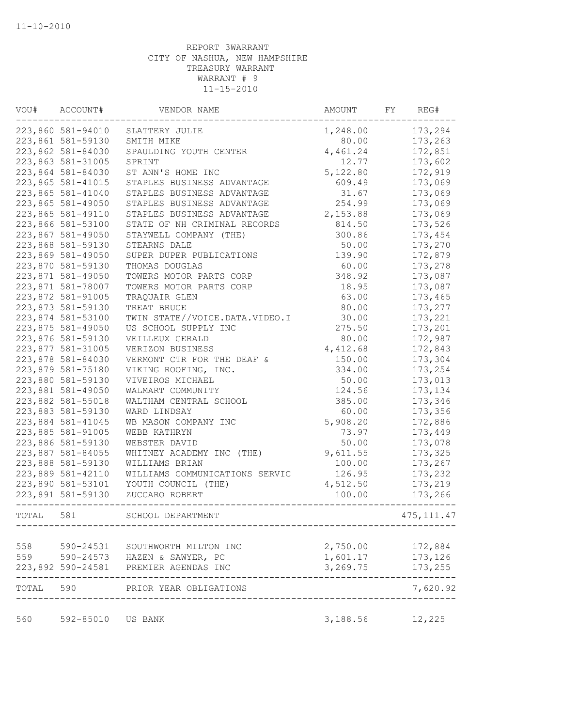| VOU#  | ACCOUNT#          | VENDOR NAME                                                               | AMOUNT   | FY | REG#        |
|-------|-------------------|---------------------------------------------------------------------------|----------|----|-------------|
|       | 223,860 581-94010 | SLATTERY JULIE                                                            | 1,248.00 |    | 173,294     |
|       | 223,861 581-59130 | SMITH MIKE                                                                | 80.00    |    | 173,263     |
|       | 223,862 581-84030 | SPAULDING YOUTH CENTER                                                    | 4,461.24 |    | 172,851     |
|       | 223,863 581-31005 | SPRINT                                                                    | 12.77    |    | 173,602     |
|       | 223,864 581-84030 | ST ANN'S HOME INC                                                         | 5,122.80 |    | 172,919     |
|       | 223,865 581-41015 | STAPLES BUSINESS ADVANTAGE                                                | 609.49   |    | 173,069     |
|       | 223,865 581-41040 | STAPLES BUSINESS ADVANTAGE                                                | 31.67    |    | 173,069     |
|       | 223,865 581-49050 | STAPLES BUSINESS ADVANTAGE                                                | 254.99   |    | 173,069     |
|       | 223,865 581-49110 | STAPLES BUSINESS ADVANTAGE                                                | 2,153.88 |    | 173,069     |
|       | 223,866 581-53100 | STATE OF NH CRIMINAL RECORDS                                              | 814.50   |    | 173,526     |
|       | 223,867 581-49050 | STAYWELL COMPANY (THE)                                                    | 300.86   |    | 173,454     |
|       | 223,868 581-59130 | STEARNS DALE                                                              | 50.00    |    | 173,270     |
|       | 223,869 581-49050 | SUPER DUPER PUBLICATIONS                                                  | 139.90   |    | 172,879     |
|       | 223,870 581-59130 | THOMAS DOUGLAS                                                            | 60.00    |    | 173,278     |
|       | 223,871 581-49050 | TOWERS MOTOR PARTS CORP                                                   | 348.92   |    | 173,087     |
|       | 223,871 581-78007 | TOWERS MOTOR PARTS CORP                                                   | 18.95    |    | 173,087     |
|       | 223,872 581-91005 | TRAQUAIR GLEN                                                             | 63.00    |    | 173,465     |
|       | 223,873 581-59130 | TREAT BRUCE                                                               | 80.00    |    | 173,277     |
|       | 223,874 581-53100 | TWIN STATE//VOICE.DATA.VIDEO.I                                            | 30.00    |    | 173,221     |
|       | 223,875 581-49050 | US SCHOOL SUPPLY INC                                                      | 275.50   |    | 173,201     |
|       | 223,876 581-59130 | VEILLEUX GERALD                                                           | 80.00    |    | 172,987     |
|       | 223,877 581-31005 | VERIZON BUSINESS                                                          | 4,412.68 |    | 172,843     |
|       | 223,878 581-84030 | VERMONT CTR FOR THE DEAF &                                                | 150.00   |    | 173,304     |
|       | 223,879 581-75180 | VIKING ROOFING, INC.                                                      | 334.00   |    | 173,254     |
|       | 223,880 581-59130 | VIVEIROS MICHAEL                                                          | 50.00    |    | 173,013     |
|       | 223,881 581-49050 | WALMART COMMUNITY                                                         | 124.56   |    | 173,134     |
|       | 223,882 581-55018 | WALTHAM CENTRAL SCHOOL                                                    | 385.00   |    | 173,346     |
|       | 223,883 581-59130 | WARD LINDSAY                                                              | 60.00    |    | 173,356     |
|       | 223,884 581-41045 | WB MASON COMPANY INC                                                      |          |    |             |
|       | 223,885 581-91005 |                                                                           | 5,908.20 |    | 172,886     |
|       |                   | WEBB KATHRYN                                                              | 73.97    |    | 173,449     |
|       | 223,886 581-59130 | WEBSTER DAVID                                                             | 50.00    |    | 173,078     |
|       | 223,887 581-84055 | WHITNEY ACADEMY INC (THE)                                                 | 9,611.55 |    | 173,325     |
|       | 223,888 581-59130 | WILLIAMS BRIAN                                                            | 100.00   |    | 173,267     |
|       | 223,889 581-42110 | WILLIAMS COMMUNICATIONS SERVIC                                            | 126.95   |    | 173,232     |
|       | 223,890 581-53101 | YOUTH COUNCIL (THE)                                                       | 4,512.50 |    | 173,219     |
|       | 223,891 581-59130 | ZUCCARO ROBERT                                                            | 100.00   |    | 173,266     |
| TOTAL | 581               | SCHOOL DEPARTMENT                                                         |          |    | 475, 111.47 |
|       |                   |                                                                           |          |    |             |
| 558   |                   | 590-24531 SOUTHWORTH MILTON INC                                           | 2,750.00 |    | 172,884     |
|       |                   | 559 590-24573 HAZEN & SAWYER, PC<br>223,892 590-24581 PREMIER AGENDAS INC | 1,601.17 |    | 173,126     |
|       |                   |                                                                           | 3,269.75 |    | 173,255     |
| TOTAL |                   | 590 PRIOR YEAR OBLIGATIONS                                                |          |    | 7,620.92    |
| 560   | 592-85010 US BANK |                                                                           | 3,188.56 |    | 12,225      |
|       |                   |                                                                           |          |    |             |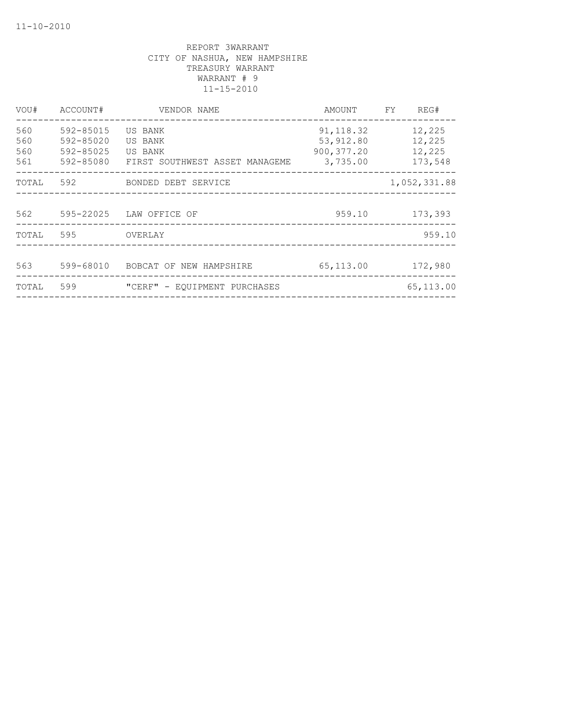| VOU#                     | ACCOUNT#                                         | VENDOR NAME                                                     | AMOUNT                                              | FY. | REG#                                  |
|--------------------------|--------------------------------------------------|-----------------------------------------------------------------|-----------------------------------------------------|-----|---------------------------------------|
| 560<br>560<br>560<br>561 | 592-85015<br>592-85020<br>592-85025<br>592-85080 | US BANK<br>US BANK<br>US BANK<br>FIRST SOUTHWEST ASSET MANAGEME | 91, 118.32<br>53, 912.80<br>900, 377.20<br>3,735.00 |     | 12,225<br>12,225<br>12,225<br>173,548 |
| TOTAL                    | 592                                              | BONDED DEBT SERVICE                                             |                                                     |     | 1,052,331.88                          |
| 562                      | 595-22025                                        | LAW OFFICE OF                                                   | 959.10                                              |     | 173,393                               |
| TOTAL                    | 595                                              | OVERLAY                                                         |                                                     |     | 959.10                                |
| 563                      | 599-68010                                        | BOBCAT OF NEW HAMPSHIRE                                         | 65,113.00                                           |     | 172,980                               |
| TOTAL                    | 599                                              | "CERF" - EQUIPMENT PURCHASES                                    |                                                     |     | 65,113.00                             |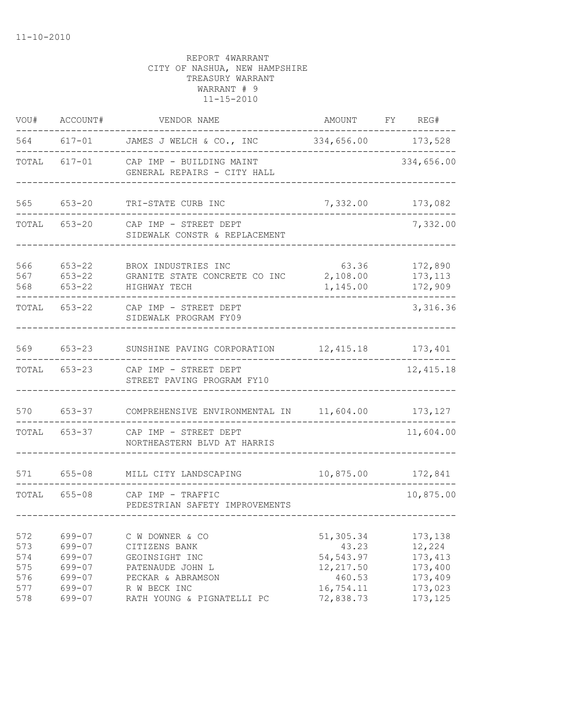| VOU#                            | ACCOUNT#                                       | VENDOR NAME                                                                                 | AMOUNT                                                   | FY | REG#                                                |
|---------------------------------|------------------------------------------------|---------------------------------------------------------------------------------------------|----------------------------------------------------------|----|-----------------------------------------------------|
| 564                             |                                                | 617-01 JAMES J WELCH & CO., INC 334,656.00 173,528                                          |                                                          |    |                                                     |
| TOTAL                           | $617 - 01$                                     | CAP IMP - BUILDING MAINT<br>GENERAL REPAIRS - CITY HALL                                     |                                                          |    | 334,656.00                                          |
| 565                             | $653 - 20$                                     | TRI-STATE CURB INC                                                                          | 7,332.00                                                 |    | 173,082                                             |
| TOTAL                           | 653-20                                         | CAP IMP - STREET DEPT<br>SIDEWALK CONSTR & REPLACEMENT                                      |                                                          |    | 7,332.00                                            |
| 566<br>567<br>568               | $653 - 22$<br>$653 - 22$<br>$653 - 22$         | BROX INDUSTRIES INC<br>GRANITE STATE CONCRETE CO INC<br>HIGHWAY TECH                        | 63.36<br>2,108.00<br>1,145.00                            |    | 172,890<br>173, 113<br>172,909                      |
| TOTAL                           | 653-22                                         | CAP IMP - STREET DEPT<br>SIDEWALK PROGRAM FY09                                              |                                                          |    | 3,316.36                                            |
| 569                             | $653 - 23$                                     | SUNSHINE PAVING CORPORATION                                                                 | 12,415.18                                                |    | 173,401                                             |
| TOTAL                           | $653 - 23$                                     | CAP IMP - STREET DEPT<br>STREET PAVING PROGRAM FY10                                         |                                                          |    | 12, 415.18                                          |
| 570                             | $653 - 37$                                     | COMPREHENSIVE ENVIRONMENTAL IN 11,604.00 173,127                                            |                                                          |    |                                                     |
| TOTAL                           | 653-37                                         | CAP IMP - STREET DEPT<br>NORTHEASTERN BLVD AT HARRIS                                        |                                                          |    | 11,604.00                                           |
|                                 | 571 655-08                                     | MILL CITY LANDSCAPING                                                                       | 10,875.00                                                |    | 172,841                                             |
| TOTAL                           | $655 - 08$                                     | CAP IMP - TRAFFIC<br>PEDESTRIAN SAFETY IMPROVEMENTS                                         |                                                          |    | 10,875.00                                           |
| 572<br>573<br>574<br>575<br>576 | 699-07<br>699-07<br>699-07<br>699-07<br>699-07 | C W DOWNER & CO<br>CITIZENS BANK<br>GEOINSIGHT INC<br>PATENAUDE JOHN L<br>PECKAR & ABRAMSON | 51,305.34<br>43.23<br>54, 543.97<br>12, 217.50<br>460.53 |    | 173,138<br>12,224<br>173, 413<br>173,400<br>173,409 |
| 577<br>578                      | 699-07<br>699-07                               | R W BECK INC<br>RATH YOUNG & PIGNATELLI PC                                                  | 16,754.11<br>72,838.73                                   |    | 173,023<br>173, 125                                 |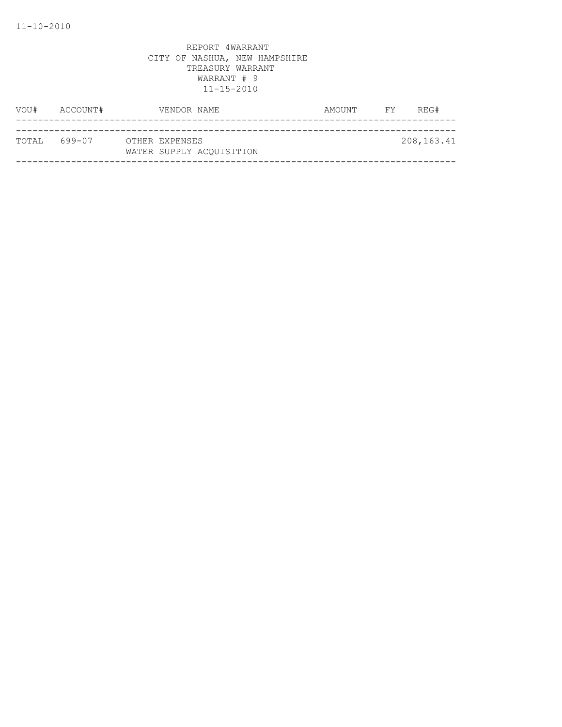| VOU#          | ACCOUNT# |  | VENDOR NAME                                | AMOUNT | <b>FY</b> | REG#         |
|---------------|----------|--|--------------------------------------------|--------|-----------|--------------|
|               |          |  |                                            |        |           |              |
| ТОТАІ, 699-07 |          |  | OTHER EXPENSES<br>WATER SUPPLY ACOUISITION |        |           | 208, 163. 41 |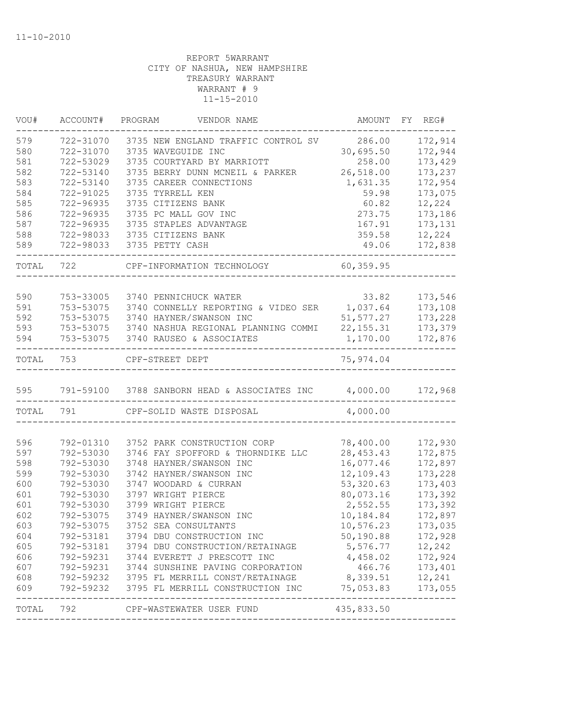| VOU#      | ACCOUNT#  | PROGRAM<br>VENDOR NAME                                                                                                                  |                                                                    | AMOUNT FY REG# |
|-----------|-----------|-----------------------------------------------------------------------------------------------------------------------------------------|--------------------------------------------------------------------|----------------|
| 579       | 722-31070 | 3735 NEW ENGLAND TRAFFIC CONTROL SV                                                                                                     | 286.00                                                             | 172,914        |
| 580       | 722-31070 | 3735 WAVEGUIDE INC                                                                                                                      | 30,695.50                                                          | 172,944        |
| 581       | 722-53029 | 3735 COURTYARD BY MARRIOTT                                                                                                              | 258.00                                                             | 173,429        |
| 582       | 722-53140 | 3735 BERRY DUNN MCNEIL & PARKER                                                                                                         | 26,518.00                                                          | 173,237        |
| 583       | 722-53140 | 3735 CAREER CONNECTIONS                                                                                                                 | 1,631.35                                                           | 172,954        |
| 584       | 722-91025 | 3735 TYRRELL KEN                                                                                                                        | 59.98                                                              | 173,075        |
| 585       | 722-96935 | 3735 CITIZENS BANK                                                                                                                      | 60.82                                                              | 12,224         |
| 586       | 722-96935 | 3735 PC MALL GOV INC                                                                                                                    | 273.75                                                             | 173,186        |
| 587       | 722-96935 | 3735 STAPLES ADVANTAGE                                                                                                                  | 167.91                                                             | 173,131        |
| 588       | 722-98033 | 3735 CITIZENS BANK                                                                                                                      | 359.58                                                             | 12,224         |
| 589       | 722-98033 | 3735 PETTY CASH                                                                                                                         | 49.06                                                              | 172,838        |
| TOTAL     | 722       | CPF-INFORMATION TECHNOLOGY                                                                                                              | 60, 359.95                                                         |                |
| 590       | 753-33005 | 3740 PENNICHUCK WATER                                                                                                                   | 33.82                                                              | 173,546        |
| 591       | 753-53075 | 3740 CONNELLY REPORTING & VIDEO SER 1,037.64                                                                                            |                                                                    | 173,108        |
| 592       | 753-53075 | 3740 HAYNER/SWANSON INC                                                                                                                 | 51, 577.27                                                         | 173,228        |
| 593       | 753-53075 | 3740 NASHUA REGIONAL PLANNING COMMI                                                                                                     | 22, 155. 31                                                        | 173,379        |
| 594       | 753-53075 | 3740 RAUSEO & ASSOCIATES                                                                                                                | 1,170.00                                                           | 172,876        |
|           |           |                                                                                                                                         |                                                                    |                |
| TOTAL 753 |           | CPF-STREET DEPT                                                                                                                         | 75, 974.04                                                         |                |
|           |           |                                                                                                                                         |                                                                    |                |
| 595       |           | 791-59100 3788 SANBORN HEAD & ASSOCIATES INC 4,000.00 172,968                                                                           |                                                                    |                |
| TOTAL     | 791       | CPF-SOLID WASTE DISPOSAL                                                                                                                | 4,000.00                                                           |                |
|           |           |                                                                                                                                         |                                                                    |                |
| 596       | 792-01310 | 3752 PARK CONSTRUCTION CORP                                                                                                             | 78,400.00                                                          | 172,930        |
| 597       | 792-53030 | 3746 FAY SPOFFORD & THORNDIKE LLC                                                                                                       | 28, 453. 43                                                        | 172,875        |
| 598       | 792-53030 | 3748 HAYNER/SWANSON INC                                                                                                                 | 16,077.46                                                          | 172,897        |
| 599       | 792-53030 | 3742 HAYNER/SWANSON INC                                                                                                                 | 12,109.43                                                          | 173,228        |
| 600       | 792-53030 | 3747 WOODARD & CURRAN                                                                                                                   | 53,320.63                                                          | 173,403        |
| 601       | 792-53030 | 3797 WRIGHT PIERCE                                                                                                                      | 80,073.16                                                          | 173,392        |
| 601       | 792-53030 | 3799 WRIGHT PIERCE                                                                                                                      | 2,552.55                                                           | 173,392        |
| 602       | 792-53075 | 3749 HAYNER/SWANSON INC                                                                                                                 | 10,184.84                                                          | 172,897        |
| 603       | 792-53075 | 3752 SEA CONSULTANTS                                                                                                                    | 10,576.23                                                          | 173,035        |
| 604       |           | 792-53181 3794 DBU CONSTRUCTION INC                                                                                                     | 50,190.88                                                          | 172,928        |
| 605       |           | 792-53181 3794 DBU CONSTRUCTION/RETAINAGE                                                                                               | $5,576.77$ 12,242                                                  |                |
| 606       |           | 792-59231 3744 EVERETT J PRESCOTT INC                                                                                                   | 4,458.02                                                           | 172,924        |
| 607       |           |                                                                                                                                         |                                                                    | 173,401        |
| 608       |           | 792-59231 3744 SUNSHINE PAVING CORPORATION<br>792-59232 3795 FL MERRILL CONST/RETAINAGE<br>700-50000 - 2705 FL MERRILL CONSTRUGTION ING |                                                                    |                |
| 609       |           | 792-59232 3795 FL MERRILL CONSTRUCTION INC                                                                                              | 466.76 173,401<br>8,339.51 12,241<br>75,053.83 173,055<br>-------- | 173,055        |
| TOTAL     | 792       | CPF-WASTEWATER USER FUND                                                                                                                | 435,833.50                                                         |                |
|           |           |                                                                                                                                         |                                                                    |                |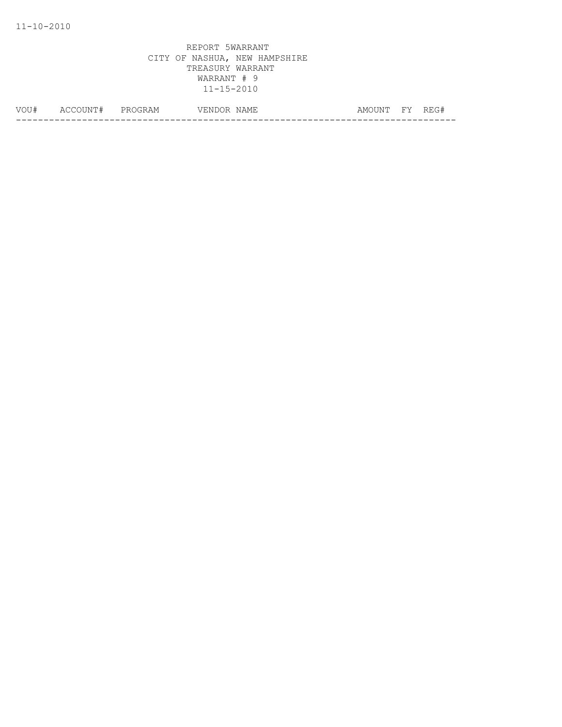| VOU# | $- - -$<br>TNE.<br>∸ | دا ب<br>___ | .)OR<br>. INF | AMF<br>N | AMC <sup>.</sup><br>. INE | ᄗᅜ | $\Box$ |
|------|----------------------|-------------|---------------|----------|---------------------------|----|--------|
|      |                      |             |               |          |                           |    |        |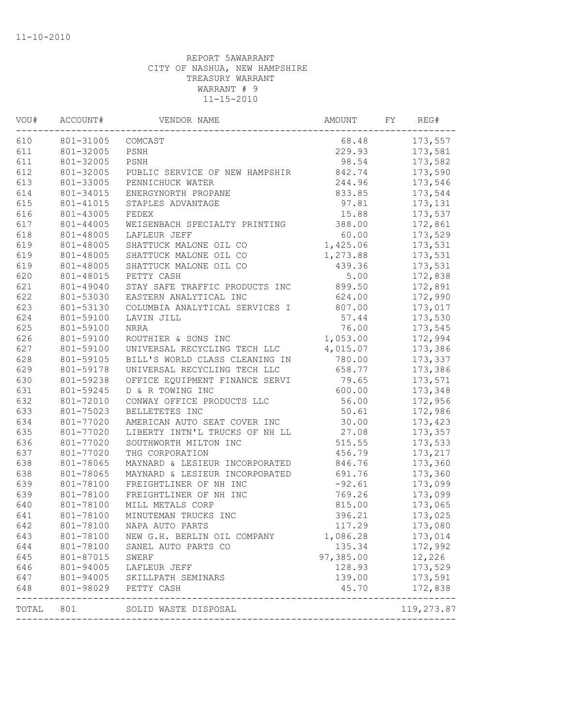| VOU#  | ACCOUNT#  | VENDOR NAME                       | AMOUNT    | FY. | REG#       |
|-------|-----------|-----------------------------------|-----------|-----|------------|
| 610   | 801-31005 | COMCAST                           | 68.48     |     | 173,557    |
| 611   | 801-32005 | PSNH                              | 229.93    |     | 173,581    |
| 611   | 801-32005 | PSNH                              | 98.54     |     | 173,582    |
| 612   | 801-32005 | PUBLIC SERVICE OF NEW HAMPSHIR    | 842.74    |     | 173,590    |
| 613   | 801-33005 | PENNICHUCK WATER                  | 244.96    |     | 173,546    |
| 614   | 801-34015 | ENERGYNORTH PROPANE               | 833.85    |     | 173,544    |
| 615   | 801-41015 | STAPLES ADVANTAGE                 | 97.81     |     | 173,131    |
| 616   | 801-43005 | FEDEX                             | 15.88     |     | 173,537    |
| 617   | 801-44005 | WEISENBACH SPECIALTY PRINTING     | 388.00    |     | 172,861    |
| 618   | 801-48005 | LAFLEUR JEFF                      | 60.00     |     | 173,529    |
| 619   | 801-48005 | SHATTUCK MALONE OIL CO            | 1,425.06  |     | 173,531    |
| 619   | 801-48005 | SHATTUCK MALONE OIL CO            | 1,273.88  |     | 173,531    |
| 619   | 801-48005 | SHATTUCK MALONE OIL CO            | 439.36    |     | 173,531    |
| 620   | 801-48015 | PETTY CASH                        | 5.00      |     | 172,838    |
| 621   | 801-49040 | STAY SAFE TRAFFIC PRODUCTS INC    | 899.50    |     | 172,891    |
| 622   | 801-53030 | EASTERN ANALYTICAL INC            | 624.00    |     | 172,990    |
| 623   | 801-53130 | COLUMBIA ANALYTICAL SERVICES I    | 807.00    |     | 173,017    |
| 624   | 801-59100 | LAVIN JILL                        | 57.44     |     | 173,530    |
| 625   | 801-59100 | NRRA                              | 76.00     |     | 173,545    |
| 626   | 801-59100 | ROUTHIER & SONS INC               | 1,053.00  |     | 172,994    |
| 627   | 801-59100 | UNIVERSAL RECYCLING TECH LLC      | 4,015.07  |     | 173,386    |
| 628   | 801-59105 | BILL'S WORLD CLASS CLEANING IN    | 780.00    |     | 173,337    |
| 629   | 801-59178 | UNIVERSAL RECYCLING TECH LLC      | 658.77    |     | 173,386    |
| 630   | 801-59238 | OFFICE EQUIPMENT FINANCE SERVI    | 79.65     |     | 173,571    |
| 631   | 801-59245 | D & R TOWING INC                  | 600.00    |     | 173,348    |
| 632   | 801-72010 | CONWAY OFFICE PRODUCTS LLC        | 56.00     |     | 172,956    |
| 633   | 801-75023 | BELLETETES INC                    | 50.61     |     | 172,986    |
| 634   | 801-77020 | AMERICAN AUTO SEAT COVER INC      | 30.00     |     | 173,423    |
| 635   | 801-77020 | LIBERTY INTN'L TRUCKS OF NH LL    | 27.08     |     | 173,357    |
| 636   | 801-77020 | SOUTHWORTH MILTON INC             | 515.55    |     | 173,533    |
| 637   | 801-77020 | THG CORPORATION                   | 456.79    |     | 173,217    |
| 638   | 801-78065 | MAYNARD & LESIEUR INCORPORATED    | 846.76    |     | 173,360    |
| 638   | 801-78065 | MAYNARD & LESIEUR INCORPORATED    | 691.76    |     | 173,360    |
| 639   | 801-78100 | FREIGHTLINER OF NH INC            | $-92.61$  |     | 173,099    |
| 639   | 801-78100 | FREIGHTLINER OF NH INC            | 769.26    |     | 173,099    |
| 640   | 801-78100 | MILL METALS CORP                  | 815.00    |     | 173,065    |
| 641   | 801-78100 | MINUTEMAN TRUCKS INC              | 396.21    |     | 173,025    |
| 642   | 801-78100 | NAPA AUTO PARTS                   | 117.29    |     | 173,080    |
| 643   | 801-78100 | NEW G.H. BERLIN OIL COMPANY       | 1,086.28  |     | 173,014    |
| 644   | 801-78100 | SANEL AUTO PARTS CO               | 135.34    |     | 172,992    |
| 645   | 801-87015 | <b>SWERF</b>                      | 97,385.00 |     | 12,226     |
| 646   | 801-94005 | LAFLEUR JEFF                      | 128.93    |     | 173,529    |
| 647   | 801-94005 | SKILLPATH SEMINARS                | 139.00    |     | 173,591    |
| 648   | 801-98029 | PETTY CASH<br>------------------- | 45.70     |     | 172,838    |
| TOTAL | 801       | SOLID WASTE DISPOSAL              |           |     | 119,273.87 |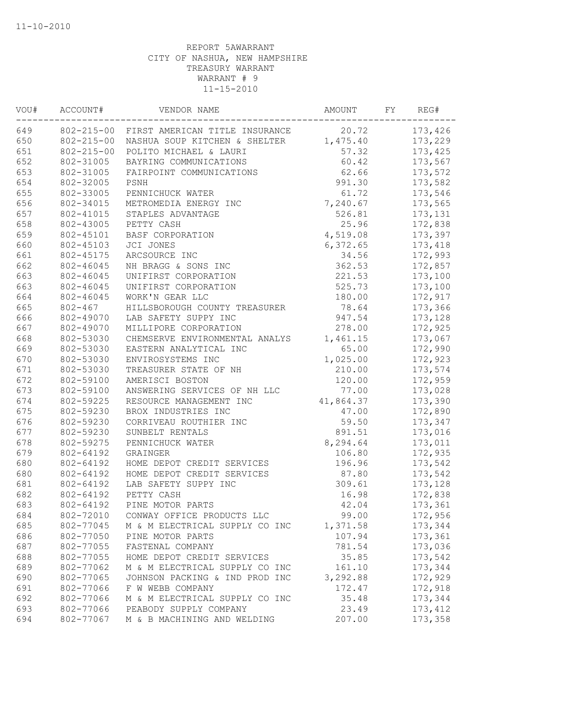| VOU# | ACCOUNT#         | VENDOR NAME                                     | AMOUNT    | FY | REG#     |
|------|------------------|-------------------------------------------------|-----------|----|----------|
| 649  |                  | 802-215-00 FIRST AMERICAN TITLE INSURANCE 20.72 |           |    | 173,426  |
| 650  | $802 - 215 - 00$ | NASHUA SOUP KITCHEN & SHELTER                   | 1,475.40  |    | 173,229  |
| 651  | $802 - 215 - 00$ | POLITO MICHAEL & LAURI                          | 57.32     |    | 173,425  |
| 652  | 802-31005        | BAYRING COMMUNICATIONS                          | 60.42     |    | 173,567  |
| 653  | 802-31005        | FAIRPOINT COMMUNICATIONS                        | 62.66     |    | 173,572  |
| 654  | 802-32005        | PSNH                                            | 991.30    |    | 173,582  |
| 655  | 802-33005        | PENNICHUCK WATER                                | 61.72     |    | 173,546  |
| 656  | 802-34015        | METROMEDIA ENERGY INC                           | 7,240.67  |    | 173,565  |
| 657  | 802-41015        | STAPLES ADVANTAGE                               | 526.81    |    | 173,131  |
| 658  | 802-43005        | PETTY CASH                                      | 25.96     |    | 172,838  |
| 659  | 802-45101        | BASF CORPORATION                                | 4,519.08  |    | 173,397  |
| 660  | 802-45103        | JCI JONES                                       | 6,372.65  |    | 173,418  |
| 661  | 802-45175        | ARCSOURCE INC                                   | 34.56     |    | 172,993  |
| 662  | 802-46045        | NH BRAGG & SONS INC                             | 362.53    |    | 172,857  |
| 663  | 802-46045        | UNIFIRST CORPORATION                            | 221.53    |    | 173,100  |
| 663  | 802-46045        | UNIFIRST CORPORATION                            | 525.73    |    | 173,100  |
| 664  | 802-46045        | WORK'N GEAR LLC                                 | 180.00    |    | 172,917  |
| 665  | $802 - 467$      | HILLSBOROUGH COUNTY TREASURER                   | 78.64     |    | 173,366  |
| 666  | 802-49070        | LAB SAFETY SUPPY INC                            | 947.54    |    | 173,128  |
| 667  | 802-49070        | MILLIPORE CORPORATION                           | 278.00    |    | 172,925  |
| 668  | 802-53030        | CHEMSERVE ENVIRONMENTAL ANALYS                  | 1,461.15  |    | 173,067  |
| 669  | 802-53030        | EASTERN ANALYTICAL INC                          | 65.00     |    | 172,990  |
| 670  | 802-53030        | ENVIROSYSTEMS INC                               | 1,025.00  |    | 172,923  |
| 671  | 802-53030        | TREASURER STATE OF NH                           | 210.00    |    | 173,574  |
| 672  | 802-59100        | AMERISCI BOSTON                                 | 120.00    |    | 172,959  |
| 673  | 802-59100        | ANSWERING SERVICES OF NH LLC                    | 77.00     |    | 173,028  |
| 674  | 802-59225        | RESOURCE MANAGEMENT INC                         | 41,864.37 |    | 173,390  |
| 675  | 802-59230        | BROX INDUSTRIES INC                             | 47.00     |    | 172,890  |
| 676  | 802-59230        | CORRIVEAU ROUTHIER INC                          | 59.50     |    | 173,347  |
| 677  | 802-59230        | SUNBELT RENTALS                                 | 891.51    |    | 173,016  |
| 678  | 802-59275        | PENNICHUCK WATER                                | 8,294.64  |    | 173,011  |
| 679  | 802-64192        | GRAINGER                                        | 106.80    |    | 172,935  |
| 680  | 802-64192        | HOME DEPOT CREDIT SERVICES                      | 196.96    |    | 173,542  |
| 680  | 802-64192        | HOME DEPOT CREDIT SERVICES                      | 87.80     |    | 173,542  |
| 681  | 802-64192        | LAB SAFETY SUPPY INC                            | 309.61    |    | 173,128  |
| 682  | 802-64192        | PETTY CASH                                      | 16.98     |    | 172,838  |
| 683  | 802-64192        | PINE MOTOR PARTS                                | 42.04     |    | 173,361  |
| 684  | 802-72010        | CONWAY OFFICE PRODUCTS LLC                      | 99.00     |    | 172,956  |
| 685  | 802-77045        | M & M ELECTRICAL SUPPLY CO INC                  | 1,371.58  |    | 173,344  |
| 686  | 802-77050        | PINE MOTOR PARTS                                | 107.94    |    | 173,361  |
| 687  | 802-77055        | FASTENAL COMPANY                                | 781.54    |    | 173,036  |
| 688  | 802-77055        | HOME DEPOT CREDIT SERVICES                      | 35.85     |    | 173,542  |
| 689  | 802-77062        | M & M ELECTRICAL SUPPLY CO INC                  | 161.10    |    | 173,344  |
| 690  | 802-77065        | JOHNSON PACKING & IND PROD INC                  | 3,292.88  |    | 172,929  |
| 691  | 802-77066        | F W WEBB COMPANY                                | 172.47    |    | 172,918  |
| 692  | 802-77066        | M & M ELECTRICAL SUPPLY CO INC                  | 35.48     |    | 173,344  |
| 693  | 802-77066        | PEABODY SUPPLY COMPANY                          | 23.49     |    | 173, 412 |
| 694  | 802-77067        | M & B MACHINING AND WELDING                     | 207.00    |    | 173,358  |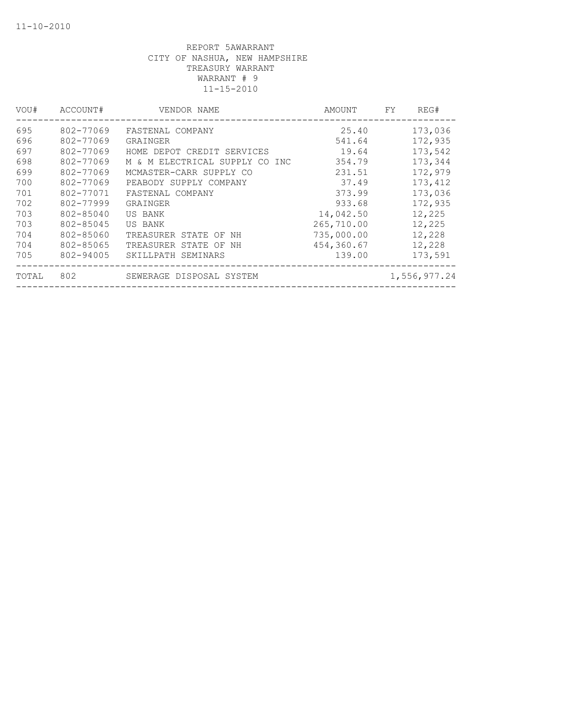| VOU#  | ACCOUNT#  | VENDOR NAME                       | AMOUNT     | FY | REG#         |
|-------|-----------|-----------------------------------|------------|----|--------------|
| 695   | 802-77069 | FASTENAL COMPANY                  | 25.40      |    | 173,036      |
| 696   | 802-77069 | GRAINGER                          | 541.64     |    | 172,935      |
| 697   | 802-77069 | HOME DEPOT CREDIT SERVICES        | 19.64      |    | 173,542      |
| 698   | 802-77069 | M & M ELECTRICAL SUPPLY CO<br>INC | 354.79     |    | 173,344      |
| 699   | 802-77069 | MCMASTER-CARR SUPPLY CO           | 231.51     |    | 172,979      |
| 700   | 802-77069 | PEABODY SUPPLY COMPANY            | 37.49      |    | 173,412      |
| 701   | 802-77071 | FASTENAL COMPANY                  | 373.99     |    | 173,036      |
| 702   | 802-77999 | GRAINGER                          | 933.68     |    | 172,935      |
| 703   | 802-85040 | US BANK                           | 14,042.50  |    | 12,225       |
| 703   | 802-85045 | US BANK                           | 265,710.00 |    | 12,225       |
| 704   | 802-85060 | TREASURER STATE OF<br>ΝH          | 735,000.00 |    | 12,228       |
| 704   | 802-85065 | TREASURER STATE OF<br>NΗ          | 454,360.67 |    | 12,228       |
| 705   | 802-94005 | SKILLPATH SEMINARS                | 139.00     |    | 173,591      |
| TOTAL | 802       | SEWERAGE DISPOSAL SYSTEM          |            |    | 1,556,977.24 |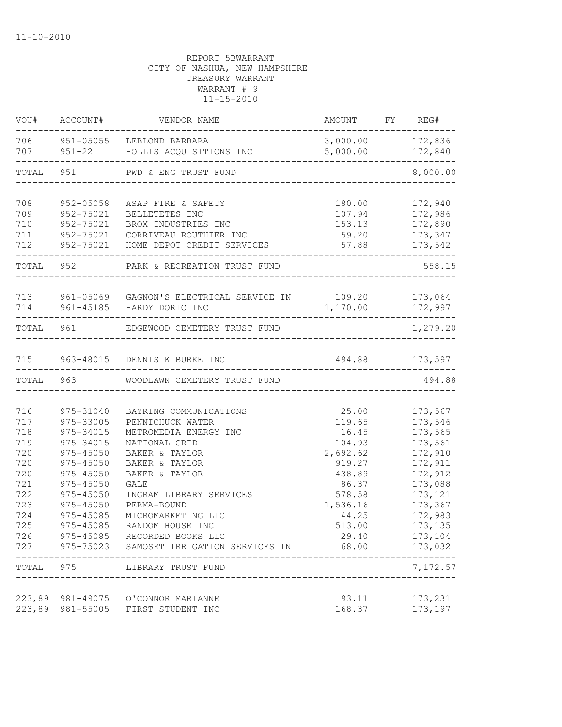| VOU#                                                                                                        | ACCOUNT#                                                                                                                                                     | VENDOR NAME                                                                                                                                                                                                                                                                                                                                     | AMOUNT FY REG#                                                                                                                         |                                                                                                                                                                     |
|-------------------------------------------------------------------------------------------------------------|--------------------------------------------------------------------------------------------------------------------------------------------------------------|-------------------------------------------------------------------------------------------------------------------------------------------------------------------------------------------------------------------------------------------------------------------------------------------------------------------------------------------------|----------------------------------------------------------------------------------------------------------------------------------------|---------------------------------------------------------------------------------------------------------------------------------------------------------------------|
|                                                                                                             |                                                                                                                                                              | 706 951-05055 LEBLOND BARBARA<br>707 951-22 HOLLIS ACQUISITIONS INC                                                                                                                                                                                                                                                                             | 3,000.00 172,836<br>5,000.00                                                                                                           | 172,840<br>-------------                                                                                                                                            |
|                                                                                                             |                                                                                                                                                              | TOTAL 951 PWD & ENG TRUST FUND                                                                                                                                                                                                                                                                                                                  |                                                                                                                                        | 8,000.00                                                                                                                                                            |
| 708<br>709<br>710                                                                                           | 952-05058<br>952-75021<br>952-75021                                                                                                                          | ASAP FIRE & SAFETY<br>BELLETETES INC<br>BROX INDUSTRIES INC                                                                                                                                                                                                                                                                                     | 180.00<br>107.94<br>153.13                                                                                                             | 172,940<br>172,986<br>172,890                                                                                                                                       |
| 711                                                                                                         |                                                                                                                                                              | 952-75021 CORRIVEAU ROUTHIER INC<br>712 952-75021 HOME DEPOT CREDIT SERVICES                                                                                                                                                                                                                                                                    |                                                                                                                                        | 59.20 173,347<br>57.88 173,542                                                                                                                                      |
|                                                                                                             |                                                                                                                                                              | TOTAL 952 PARK & RECREATION TRUST FUND                                                                                                                                                                                                                                                                                                          |                                                                                                                                        | 558.15                                                                                                                                                              |
| 714                                                                                                         |                                                                                                                                                              | 713 961-05069 GAGNON'S ELECTRICAL SERVICE IN 109.20 173,064<br>961-45185 HARDY DORIC INC                                                                                                                                                                                                                                                        | 1,170.00                                                                                                                               | 172,997                                                                                                                                                             |
| TOTAL 961                                                                                                   |                                                                                                                                                              | EDGEWOOD CEMETERY TRUST FUND                                                                                                                                                                                                                                                                                                                    |                                                                                                                                        | 1,279.20                                                                                                                                                            |
|                                                                                                             |                                                                                                                                                              | 715 963-48015 DENNIS K BURKE INC                                                                                                                                                                                                                                                                                                                | 494.88 173,597                                                                                                                         |                                                                                                                                                                     |
|                                                                                                             |                                                                                                                                                              | TOTAL 963 WOODLAWN CEMETERY TRUST FUND                                                                                                                                                                                                                                                                                                          |                                                                                                                                        | 494.88                                                                                                                                                              |
| 716<br>717<br>718<br>719<br>720<br>720<br>720<br>721<br>722<br>723<br>724<br>725<br>726<br>727<br>TOTAL 975 | 975-31040<br>975-33005<br>975-34015<br>975-34015<br>975-45050<br>975-45050<br>975-45050<br>$975 - 45050$<br>975-45050<br>975-45050<br>975-45085<br>975-45085 | BAYRING COMMUNICATIONS<br>PENNICHUCK WATER<br>METROMEDIA ENERGY INC<br>NATIONAL GRID<br>BAKER & TAYLOR<br>BAKER & TAYLOR<br>BAKER & TAYLOR<br><b>GALE</b><br>INGRAM LIBRARY SERVICES<br>PERMA-BOUND<br>MICROMARKETING LLC<br>RANDOM HOUSE INC<br>975-45085 RECORDED BOOKS LLC<br>975-75023 SAMOSET IRRIGATION SERVICES IN<br>LIBRARY TRUST FUND | 25.00<br>119.65<br>16.45<br>104.93<br>2,692.62<br>919.27<br>438.89<br>86.37<br>578.58<br>1,536.16<br>44.25<br>513.00<br>29.40<br>68.00 | 173,567<br>173,546<br>173,565<br>173,561<br>172,910<br>172,911<br>172,912<br>173,088<br>173, 121<br>173,367<br>172,983<br>173,135<br>173,104<br>173,032<br>7,172.57 |
|                                                                                                             |                                                                                                                                                              | 223,89 981-49075 O'CONNOR MARIANNE<br>223,89 981-55005 FIRST STUDENT INC                                                                                                                                                                                                                                                                        | 93.11<br>168.37                                                                                                                        | 173,231<br>173,197                                                                                                                                                  |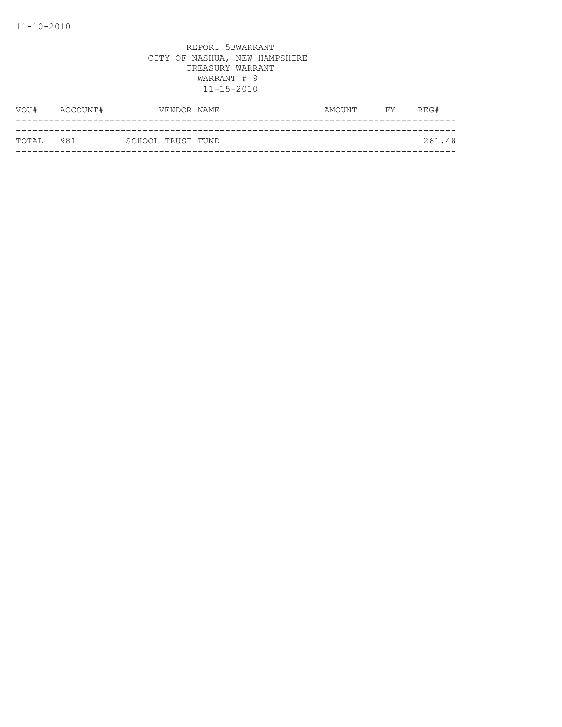| VOU#       | ACCOUNT# |                   | VENDOR NAME | AMOUNT | <b>FY</b> | REG#   |
|------------|----------|-------------------|-------------|--------|-----------|--------|
|            |          |                   |             |        |           |        |
| ТОТАІ. 981 |          | SCHOOL TRUST FUND |             |        |           | 261.48 |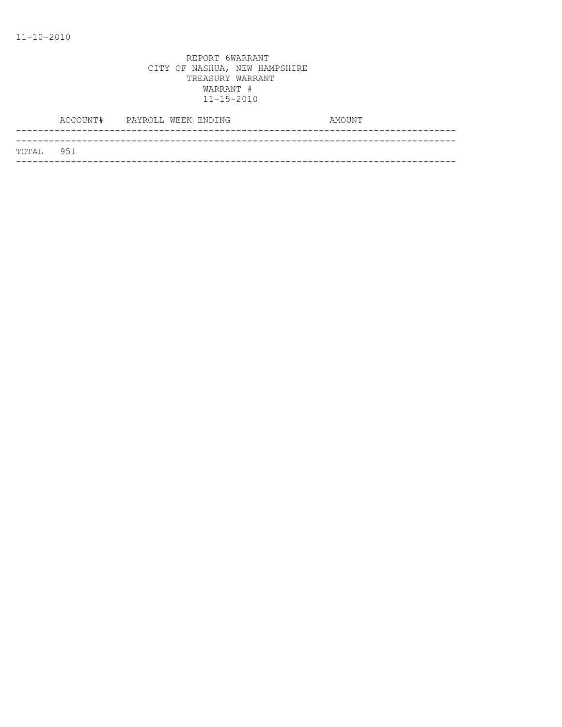| TOTAL 951 |  |  |
|-----------|--|--|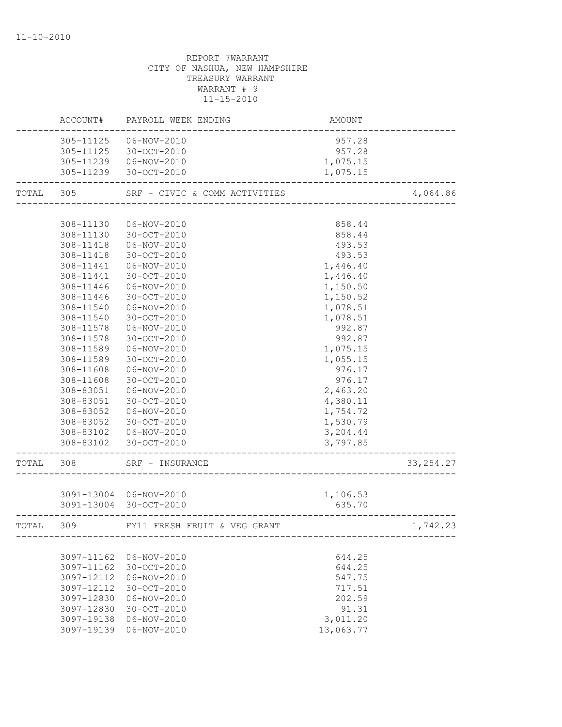# REPORT 7WARRANT CITY OF NASHUA, NEW HAMPSHIRE TREASURY WARRANT WARRANT # 9 11-15-2010 ACCOUNT# PAYROLL WEEK ENDING CONTROLL AMOUNT -------------------------------------------------------------------------------- 305-11125 06-NOV-2010 957.28 305-11125 30-OCT-2010 957.28

|           | 305-11239  06-NOV-2010   |                                         | 1,075.15 |             |
|-----------|--------------------------|-----------------------------------------|----------|-------------|
|           |                          | 305-11239 30-OCT-2010                   | 1,075.15 |             |
| TOTAL     | 305                      | SRF - CIVIC & COMM ACTIVITIES           |          | 4,064.86    |
|           |                          |                                         |          |             |
|           | 308-11130                | 06-NOV-2010                             | 858.44   |             |
|           | 308-11130                | 30-OCT-2010                             | 858.44   |             |
|           | 308-11418                | 06-NOV-2010                             | 493.53   |             |
|           | 308-11418                | 30-OCT-2010                             | 493.53   |             |
|           | 308-11441                | 06-NOV-2010                             | 1,446.40 |             |
|           | 308-11441                | 30-OCT-2010                             | 1,446.40 |             |
|           | 308-11446                | 06-NOV-2010                             | 1,150.50 |             |
|           | 308-11446                | 30-OCT-2010                             | 1,150.52 |             |
|           | 308-11540                | 06-NOV-2010                             | 1,078.51 |             |
|           | 308-11540                | 30-OCT-2010                             | 1,078.51 |             |
|           | 308-11578                | 06-NOV-2010                             | 992.87   |             |
|           | 308-11578                | 30-OCT-2010                             | 992.87   |             |
|           | 308-11589                | 06-NOV-2010                             | 1,075.15 |             |
|           | 308-11589                | 30-OCT-2010                             | 1,055.15 |             |
|           | 308-11608                | 06-NOV-2010                             | 976.17   |             |
|           | 308-11608                | $30 - OCT - 2010$                       | 976.17   |             |
|           | 308-83051                | 06-NOV-2010                             | 2,463.20 |             |
|           | 308-83051                | 30-OCT-2010                             | 4,380.11 |             |
|           | 308-83052                | 06-NOV-2010                             | 1,754.72 |             |
|           | 308-83052                | 30-OCT-2010                             | 1,530.79 |             |
|           |                          | 308-83102  06-NOV-2010                  | 3,204.44 |             |
|           | ------------------------ | 308-83102 30-OCT-2010                   | 3,797.85 |             |
| TOTAL 308 |                          | SRF - INSURANCE<br>-------------------- |          | 33, 254. 27 |
|           |                          |                                         |          |             |
|           |                          | 3091-13004 06-NOV-2010                  | 1,106.53 |             |
|           | ----------------------   | 3091-13004 30-OCT-2010                  | 635.70   |             |
| TOTAL     | 309                      | FY11 FRESH FRUIT & VEG GRANT            |          | 1,742.23    |
|           |                          |                                         |          |             |
|           |                          | 3097-11162 06-NOV-2010                  | 644.25   |             |
|           | 3097-11162               | 30-OCT-2010                             | 644.25   |             |
|           | 3097-12112               | 06-NOV-2010                             | 547.75   |             |
|           | 3097-12112               | 30-OCT-2010                             | 717.51   |             |
|           | 3097-12830               | 06-NOV-2010                             | 202.59   |             |
|           | 3097-12830               | 30-OCT-2010                             | 91.31    |             |
|           | 3097-19138               | $06 - NOV - 2010$                       | 3,011.20 |             |

3097-19139 06-NOV-2010 13,063.77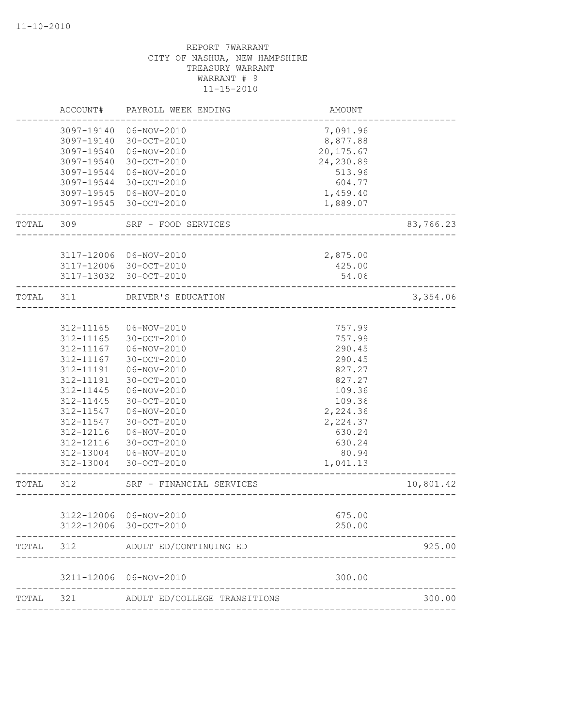|           | ACCOUNT#                 | PAYROLL WEEK ENDING                                              | AMOUNT                               |           |
|-----------|--------------------------|------------------------------------------------------------------|--------------------------------------|-----------|
|           | 3097-19540               | 3097-19140  06-NOV-2010<br>3097-19140 30-OCT-2010<br>06-NOV-2010 | 7,091.96<br>8,877.88<br>20,175.67    |           |
|           | 3097-19540<br>3097-19544 | $30 - OCT - 2010$<br>06-NOV-2010                                 | 24,230.89<br>513.96                  |           |
|           | 3097-19544               | 30-OCT-2010                                                      | 604.77                               |           |
|           |                          | 3097-19545 06-NOV-2010                                           | 1,459.40                             |           |
|           |                          | 3097-19545 30-OCT-2010                                           | 1,889.07                             |           |
|           | TOTAL 309                | SRF - FOOD SERVICES                                              | _________________                    | 83,766.23 |
|           |                          |                                                                  |                                      |           |
|           |                          | 3117-12006 06-NOV-2010                                           | 2,875.00                             |           |
|           |                          | 3117-12006 30-OCT-2010<br>3117-13032 30-OCT-2010                 | 425.00<br>54.06                      |           |
| TOTAL 311 |                          | DRIVER'S EDUCATION                                               |                                      | 3,354.06  |
|           |                          |                                                                  | ____________________________         |           |
|           | 312-11165                | 06-NOV-2010                                                      | 757.99                               |           |
|           | 312-11165                | 30-OCT-2010                                                      | 757.99                               |           |
|           | 312-11167                | 06-NOV-2010                                                      | 290.45                               |           |
|           | 312-11167                | $30 - OCT - 2010$                                                | 290.45                               |           |
|           | 312-11191                | $06 - NOV - 2010$                                                | 827.27                               |           |
|           | 312-11191                | 30-OCT-2010                                                      | 827.27                               |           |
|           | 312-11445                | 06-NOV-2010                                                      | 109.36                               |           |
|           | 312-11445                | 30-OCT-2010                                                      | 109.36                               |           |
|           | 312-11547                | 06-NOV-2010                                                      | 2,224.36                             |           |
|           | 312-11547                | 30-OCT-2010                                                      | 2,224.37                             |           |
|           | 312-12116                | 06-NOV-2010                                                      | 630.24                               |           |
|           | 312-12116                | 30-OCT-2010                                                      | 630.24                               |           |
|           | 312-13004                | 06-NOV-2010                                                      | 80.94                                |           |
|           |                          | 312-13004 30-OCT-2010                                            | 1,041.13                             |           |
| TOTAL 312 |                          | SRF - FINANCIAL SERVICES                                         | ------------------------------------ | 10,801.42 |
|           |                          |                                                                  |                                      |           |
|           |                          | 3122-12006 06-NOV-2010                                           | 675.00                               |           |
|           | 3122-12006               | 30-OCT-2010                                                      | 250.00                               |           |
| TOTAL     | 312                      | ADULT ED/CONTINUING ED                                           |                                      | 925.00    |
|           | 3211-12006               | 06-NOV-2010                                                      | 300.00                               |           |
| TOTAL     | 321                      | ADULT ED/COLLEGE TRANSITIONS                                     |                                      | 300.00    |
|           |                          |                                                                  |                                      |           |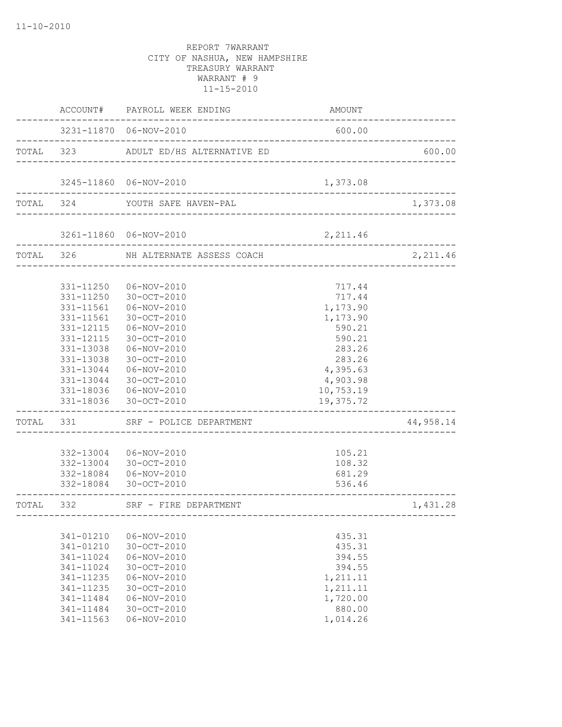|           |                                                                                                                                             | ACCOUNT# PAYROLL WEEK ENDING                                                                                                                                                                      | AMOUNT                                                                                                                             |           |
|-----------|---------------------------------------------------------------------------------------------------------------------------------------------|---------------------------------------------------------------------------------------------------------------------------------------------------------------------------------------------------|------------------------------------------------------------------------------------------------------------------------------------|-----------|
|           |                                                                                                                                             | 3231-11870 06-NOV-2010                                                                                                                                                                            | 600.00                                                                                                                             |           |
|           | TOTAL 323                                                                                                                                   | ADULT ED/HS ALTERNATIVE ED                                                                                                                                                                        |                                                                                                                                    | 600.00    |
|           |                                                                                                                                             | 3245-11860 06-NOV-2010                                                                                                                                                                            | 1,373.08                                                                                                                           |           |
| TOTAL 324 |                                                                                                                                             | YOUTH SAFE HAVEN-PAL                                                                                                                                                                              | _____________________________________                                                                                              | 1,373.08  |
|           |                                                                                                                                             | 3261-11860 06-NOV-2010                                                                                                                                                                            | 2,211.46                                                                                                                           |           |
|           |                                                                                                                                             | TOTAL 326 NH ALTERNATE ASSESS COACH                                                                                                                                                               |                                                                                                                                    | 2,211.46  |
|           | 331-11250<br>331-11250<br>331-11561<br>331-11561<br>331-12115<br>331-12115<br>331-13038<br>331-13038<br>331-13044<br>331-13044<br>331-18036 | 06-NOV-2010<br>30-OCT-2010<br>06-NOV-2010<br>$30 - OCT - 2010$<br>06-NOV-2010<br>30-OCT-2010<br>06-NOV-2010<br>30-OCT-2010<br>06-NOV-2010<br>30-OCT-2010<br>331-18036  06-NOV-2010<br>30-OCT-2010 | 717.44<br>717.44<br>1,173.90<br>1,173.90<br>590.21<br>590.21<br>283.26<br>283.26<br>4,395.63<br>4,903.98<br>10,753.19<br>19,375.72 |           |
| TOTAL     |                                                                                                                                             | 331 SRF - POLICE DEPARTMENT                                                                                                                                                                       |                                                                                                                                    | 44,958.14 |
|           |                                                                                                                                             | 332-13004  06-NOV-2010<br>332-13004 30-OCT-2010<br>332-18084   06-NOV-2010<br>332-18084 30-OCT-2010                                                                                               | 105.21<br>108.32<br>681.29<br>536.46                                                                                               |           |
| TOTAL     | 332                                                                                                                                         | SRF - FIRE DEPARTMENT                                                                                                                                                                             |                                                                                                                                    | 1,431.28  |
|           | 341-01210<br>341-01210<br>341-11024<br>341-11024<br>341-11235<br>341-11235<br>341-11484<br>341-11484<br>341-11563                           | $06 - NOV - 2010$<br>30-OCT-2010<br>$06 - NOV - 2010$<br>30-OCT-2010<br>06-NOV-2010<br>30-OCT-2010<br>06-NOV-2010<br>30-OCT-2010<br>$06 - NOV - 2010$                                             | 435.31<br>435.31<br>394.55<br>394.55<br>1,211.11<br>1,211.11<br>1,720.00<br>880.00<br>1,014.26                                     |           |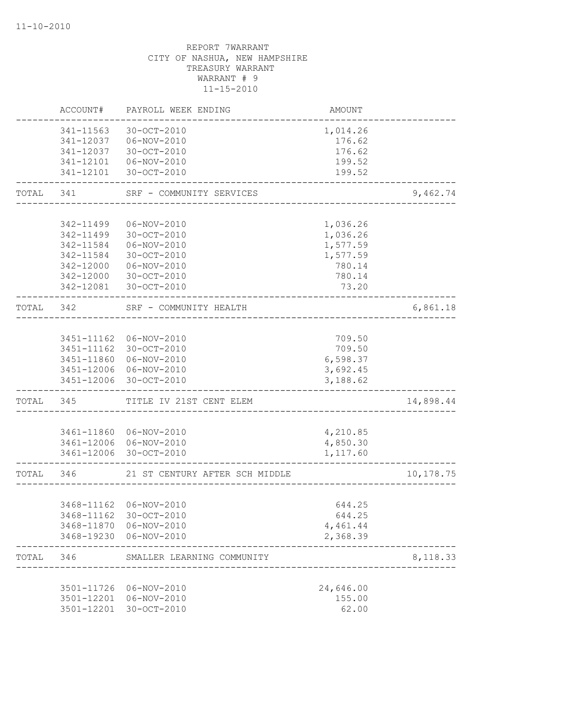|           | ACCOUNT#   | PAYROLL WEEK ENDING                           | <b>AMOUNT</b> |            |
|-----------|------------|-----------------------------------------------|---------------|------------|
|           | 341-11563  | 30-OCT-2010                                   | 1,014.26      |            |
|           |            | 341-12037   06-NOV-2010                       | 176.62        |            |
|           | 341-12037  | 30-OCT-2010                                   | 176.62        |            |
|           | 341-12101  | 06-NOV-2010                                   | 199.52        |            |
|           | 341-12101  | 30-OCT-2010                                   | 199.52        |            |
| TOTAL     | 341        | SRF - COMMUNITY SERVICES                      |               | 9,462.74   |
|           |            |                                               |               |            |
|           | 342-11499  | 06-NOV-2010                                   | 1,036.26      |            |
|           | 342-11499  | 30-OCT-2010                                   | 1,036.26      |            |
|           | 342-11584  | $06 - NOV - 2010$                             | 1,577.59      |            |
|           | 342-11584  | 30-OCT-2010                                   | 1,577.59      |            |
|           | 342-12000  | 06-NOV-2010                                   | 780.14        |            |
|           | 342-12000  | 30-OCT-2010                                   | 780.14        |            |
|           | 342-12081  | 30-OCT-2010                                   | 73.20         |            |
| TOTAL     | 342        | SRF - COMMUNITY HEALTH<br>___________________ |               | 6,861.18   |
|           |            |                                               |               |            |
|           |            | 3451-11162 06-NOV-2010                        | 709.50        |            |
|           |            | 3451-11162 30-OCT-2010                        | 709.50        |            |
|           | 3451-11860 | 06-NOV-2010                                   | 6,598.37      |            |
|           |            | 3451-12006 06-NOV-2010                        | 3,692.45      |            |
|           | 3451-12006 | 30-OCT-2010                                   | 3,188.62      |            |
| TOTAL     | 345        | TITLE IV 21ST CENT ELEM                       |               | 14,898.44  |
|           |            |                                               |               |            |
|           |            | 3461-11860 06-NOV-2010                        | 4,210.85      |            |
|           |            | 3461-12006 06-NOV-2010                        | 4,850.30      |            |
|           |            | 3461-12006 30-OCT-2010                        | 1,117.60      |            |
| TOTAL 346 |            | 21 ST CENTURY AFTER SCH MIDDLE                |               | 10, 178.75 |
|           |            |                                               |               |            |
|           |            | 3468-11162 06-NOV-2010                        | 644.25        |            |
|           |            | 3468-11162 30-OCT-2010                        | 644.25        |            |
|           | 3468-11870 | 06-NOV-2010                                   | 4,461.44      |            |
|           |            | 3468-19230 06-NOV-2010                        | 2,368.39      |            |
| TOTAL     | 346        | SMALLER LEARNING COMMUNITY                    |               | 8,118.33   |
|           |            |                                               |               |            |
|           | 3501-11726 | 06-NOV-2010                                   | 24,646.00     |            |
|           | 3501-12201 | 06-NOV-2010                                   | 155.00        |            |
|           | 3501-12201 | 30-OCT-2010                                   | 62.00         |            |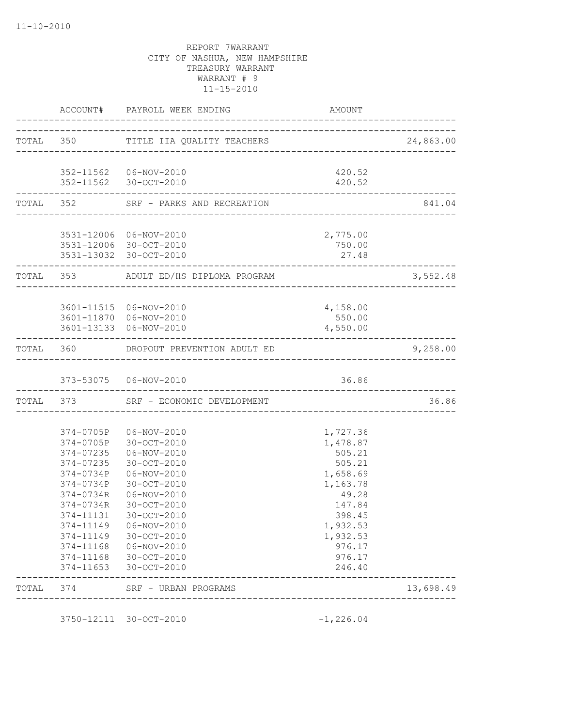|                          | ACCOUNT# PAYROLL WEEK ENDING                     | AMOUNT                                    |           |
|--------------------------|--------------------------------------------------|-------------------------------------------|-----------|
|                          |                                                  |                                           | 24,863.00 |
|                          |                                                  |                                           |           |
|                          | 352-11562  06-NOV-2010                           | 420.52                                    |           |
|                          | 352-11562 30-OCT-2010                            | 420.52<br>------------------------------- |           |
| ------------------------ | TOTAL 352 SRF - PARKS AND RECREATION             |                                           | 841.04    |
|                          |                                                  |                                           |           |
|                          | 3531-12006 06-NOV-2010<br>3531-12006 30-OCT-2010 | 2,775.00<br>750.00                        |           |
|                          | 3531-13032 30-OCT-2010                           | 27.48                                     |           |
| ------------------       | TOTAL 353 ADULT ED/HS DIPLOMA PROGRAM            |                                           | 3,552.48  |
|                          |                                                  |                                           |           |
|                          | 3601-11515 06-NOV-2010                           | 4,158.00                                  |           |
|                          | 3601-11870 06-NOV-2010                           | 550.00                                    |           |
|                          | 3601-13133 06-NOV-2010                           | 4,550.00                                  |           |
|                          | TOTAL 360 DROPOUT PREVENTION ADULT ED            |                                           | 9,258.00  |
|                          | 373-53075   06-NOV-2010                          | 36.86                                     |           |
|                          | TOTAL 373 SRF - ECONOMIC DEVELOPMENT             |                                           | 36.86     |
|                          |                                                  |                                           |           |
|                          | 374-0705P 06-NOV-2010                            | 1,727.36                                  |           |
|                          | 374-0705P 30-OCT-2010<br>374-07235  06-NOV-2010  | 1,478.87<br>505.21                        |           |
|                          | 374-07235 30-OCT-2010                            | 505.21                                    |           |
|                          | 374-0734P 06-NOV-2010                            | 1,658.69                                  |           |
| 374-0734P                | 30-OCT-2010                                      | 1,163.78                                  |           |
| 374-0734R                | 06-NOV-2010                                      | 49.28                                     |           |
| 374-0734R                | 30-OCT-2010                                      | 147.84                                    |           |
| 374-11131                | 30-OCT-2010                                      | 398.45                                    |           |
| 374-11149                | 06-NOV-2010                                      | 1,932.53                                  |           |
|                          | 374-11149 30-OCT-2010                            | 1,932.53                                  |           |
|                          | 374-11168  06-NOV-2010                           | 976.17                                    |           |
|                          | 374-11168 30-OCT-2010                            | 976.17                                    |           |
| $374 - 11653$            | 30-OCT-2010                                      | 246.40                                    |           |
|                          |                                                  |                                           |           |

3750-12111 30-OCT-2010 -1,226.04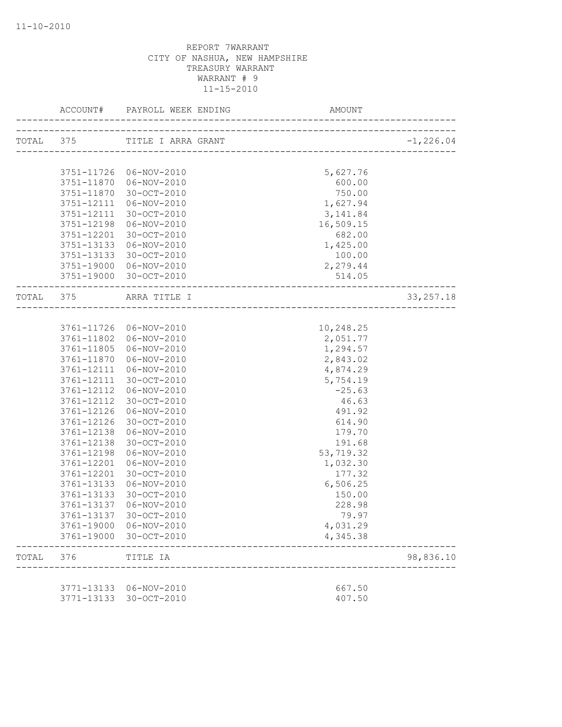|           |            | ACCOUNT# PAYROLL WEEK ENDING | AMOUNT    |              |
|-----------|------------|------------------------------|-----------|--------------|
| TOTAL 375 |            | TITLE I ARRA GRANT           |           | $-1, 226.04$ |
|           |            |                              |           |              |
|           |            | 3751-11726 06-NOV-2010       | 5,627.76  |              |
|           |            | 3751-11870  06-NOV-2010      | 600.00    |              |
|           | 3751-11870 | 30-OCT-2010                  | 750.00    |              |
|           | 3751-12111 | 06-NOV-2010                  | 1,627.94  |              |
|           | 3751-12111 | 30-OCT-2010                  | 3, 141.84 |              |
|           | 3751-12198 | 06-NOV-2010                  | 16,509.15 |              |
|           | 3751-12201 | 30-OCT-2010                  | 682.00    |              |
|           | 3751-13133 | 06-NOV-2010                  | 1,425.00  |              |
|           |            | 3751-13133 30-OCT-2010       | 100.00    |              |
|           |            | 3751-19000 06-NOV-2010       | 2,279.44  |              |
|           |            | 3751-19000 30-OCT-2010       | 514.05    |              |
|           |            | TOTAL 375 ARRA TITLE I       |           | 33, 257.18   |
|           |            |                              |           |              |
|           |            | 3761-11726 06-NOV-2010       | 10,248.25 |              |
|           |            | 3761-11802  06-NOV-2010      | 2,051.77  |              |
|           | 3761-11805 | 06-NOV-2010                  | 1,294.57  |              |
|           | 3761-11870 | 06-NOV-2010                  | 2,843.02  |              |
|           | 3761-12111 | 06-NOV-2010                  | 4,874.29  |              |
|           | 3761-12111 | 30-OCT-2010                  | 5,754.19  |              |
|           | 3761-12112 | 06-NOV-2010                  | $-25.63$  |              |
|           | 3761-12112 | 30-OCT-2010                  | 46.63     |              |
|           | 3761-12126 | 06-NOV-2010                  | 491.92    |              |
|           | 3761-12126 | 30-OCT-2010                  | 614.90    |              |
|           | 3761-12138 | 06-NOV-2010                  | 179.70    |              |
|           | 3761-12138 | 30-OCT-2010                  | 191.68    |              |
|           | 3761-12198 | 06-NOV-2010                  | 53,719.32 |              |
|           | 3761-12201 | 06-NOV-2010                  | 1,032.30  |              |
|           | 3761-12201 | 30-OCT-2010                  | 177.32    |              |
|           | 3761-13133 | 06-NOV-2010                  | 6,506.25  |              |
|           | 3761-13133 | 30-OCT-2010                  | 150.00    |              |
|           | 3761-13137 | 06-NOV-2010                  | 228.98    |              |
|           |            | 3761-13137 30-OCT-2010       | 79.97     |              |
|           | 3761-19000 | 06-NOV-2010                  | 4,031.29  |              |
|           | 3761-19000 | 30-OCT-2010                  | 4,345.38  |              |
| TOTAL     | 376        | TITLE IA                     |           | 98,836.10    |
|           |            |                              |           |              |
|           | 3771-13133 | 06-NOV-2010                  | 667.50    |              |
|           | 3771-13133 | 30-OCT-2010                  | 407.50    |              |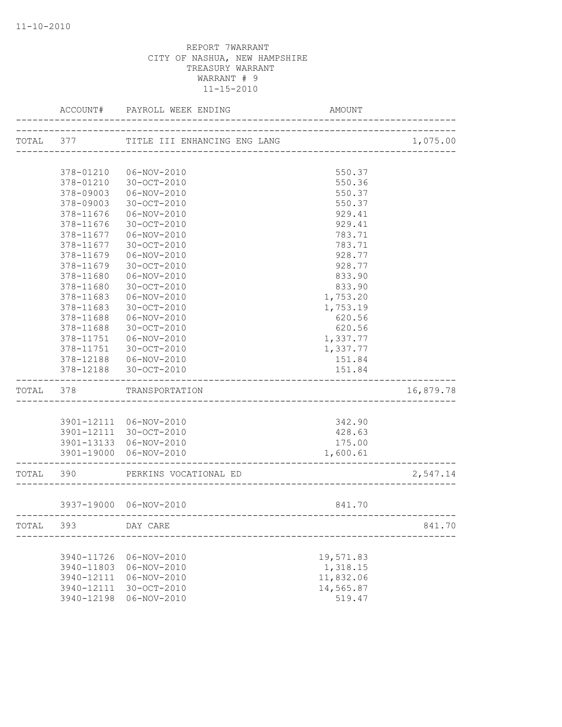|           | ACCOUNT#   | PAYROLL WEEK ENDING          | AMOUNT                           |           |
|-----------|------------|------------------------------|----------------------------------|-----------|
| TOTAL 377 |            | TITLE III ENHANCING ENG LANG |                                  | 1,075.00  |
|           |            |                              | -------------------------------- |           |
|           | 378-01210  | 06-NOV-2010                  | 550.37                           |           |
|           | 378-01210  | 30-OCT-2010                  | 550.36                           |           |
|           | 378-09003  | 06-NOV-2010                  | 550.37                           |           |
|           | 378-09003  | 30-OCT-2010                  | 550.37                           |           |
|           | 378-11676  | 06-NOV-2010                  | 929.41                           |           |
|           | 378-11676  | 30-OCT-2010                  | 929.41                           |           |
|           | 378-11677  | 06-NOV-2010                  | 783.71                           |           |
|           | 378-11677  | 30-OCT-2010                  | 783.71                           |           |
|           | 378-11679  | 06-NOV-2010                  | 928.77                           |           |
|           | 378-11679  | 30-OCT-2010                  | 928.77                           |           |
|           | 378-11680  | 06-NOV-2010                  | 833.90                           |           |
|           | 378-11680  | 30-OCT-2010                  | 833.90                           |           |
|           | 378-11683  | 06-NOV-2010                  | 1,753.20                         |           |
|           | 378-11683  | 30-OCT-2010                  | 1,753.19                         |           |
|           | 378-11688  | 06-NOV-2010                  | 620.56                           |           |
|           | 378-11688  | 30-OCT-2010                  | 620.56                           |           |
|           | 378-11751  | 06-NOV-2010                  | 1,337.77                         |           |
|           | 378-11751  | 30-OCT-2010                  | 1,337.77                         |           |
|           | 378-12188  | 06-NOV-2010                  | 151.84                           |           |
|           | 378-12188  | 30-OCT-2010                  | 151.84                           |           |
| TOTAL 378 |            | TRANSPORTATION               |                                  | 16,879.78 |
|           |            |                              |                                  |           |
|           |            | 3901-12111 06-NOV-2010       | 342.90                           |           |
|           |            | 3901-12111 30-OCT-2010       | 428.63                           |           |
|           |            | 3901-13133 06-NOV-2010       | 175.00                           |           |
|           |            | 3901-19000 06-NOV-2010       | 1,600.61                         |           |
| TOTAL 390 |            | PERKINS VOCATIONAL ED        |                                  | 2,547.14  |
|           |            | 3937-19000 06-NOV-2010       | 841.70                           |           |
|           |            |                              |                                  |           |
| TOTAL     | 393        | DAY CARE                     |                                  | 841.70    |
|           | 3940-11726 | $06 - NOV - 2010$            | 19,571.83                        |           |
|           | 3940-11803 | $06 - NOV - 2010$            | 1,318.15                         |           |
|           | 3940-12111 | 06-NOV-2010                  | 11,832.06                        |           |
|           | 3940-12111 | 30-OCT-2010                  | 14,565.87                        |           |
|           | 3940-12198 | $06 - NOV - 2010$            | 519.47                           |           |
|           |            |                              |                                  |           |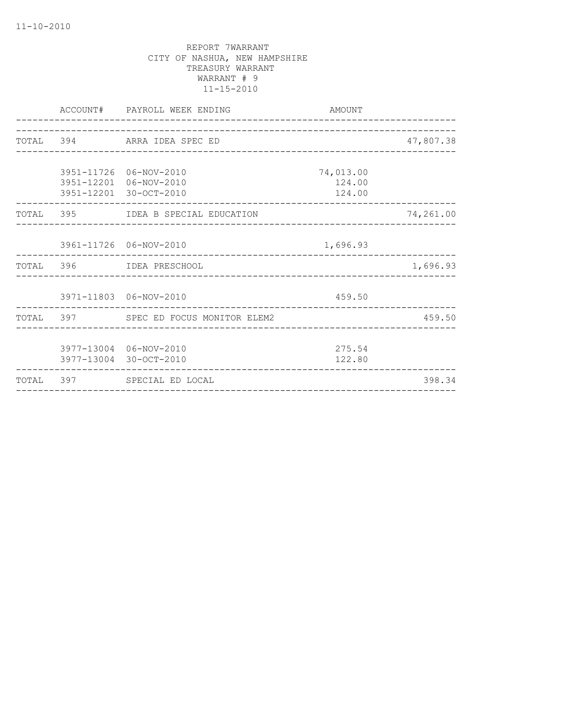|  | ACCOUNT# PAYROLL WEEK ENDING<br>-----------------------------              | AMOUNT                        |           |
|--|----------------------------------------------------------------------------|-------------------------------|-----------|
|  | TOTAL 394 ARRA IDEA SPEC ED                                                |                               | 47,807.38 |
|  | 3951-11726 06-NOV-2010<br>3951-12201 06-NOV-2010<br>3951-12201 30-OCT-2010 | 74,013.00<br>124.00<br>124.00 |           |
|  | TOTAL 395 IDEA B SPECIAL EDUCATION                                         |                               | 74,261.00 |
|  | 3961-11726 06-NOV-2010                                                     | 1,696.93                      |           |
|  | TOTAL 396 IDEA PRESCHOOL                                                   |                               | 1,696.93  |
|  | 3971-11803 06-NOV-2010<br>---------------------------                      | 459.50                        |           |
|  | TOTAL 397 SPEC ED FOCUS MONITOR ELEM2                                      |                               | 459.50    |
|  | 3977-13004 06-NOV-2010<br>3977-13004 30-OCT-2010                           | 275.54<br>122.80              |           |
|  | TOTAL 397 SPECIAL ED LOCAL                                                 |                               | 398.34    |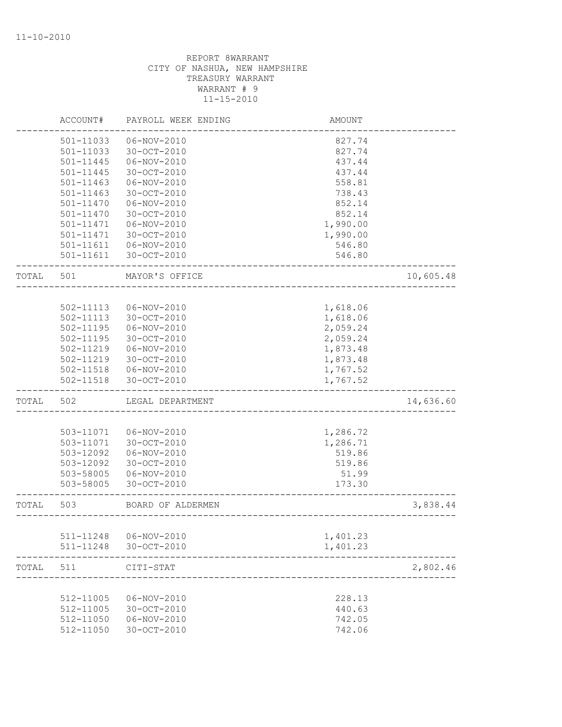|       | ACCOUNT#      | PAYROLL WEEK ENDING | AMOUNT   |           |
|-------|---------------|---------------------|----------|-----------|
|       | 501-11033     | 06-NOV-2010         | 827.74   |           |
|       | 501-11033     | 30-OCT-2010         | 827.74   |           |
|       | 501-11445     | 06-NOV-2010         | 437.44   |           |
|       | 501-11445     | 30-OCT-2010         | 437.44   |           |
|       | 501-11463     | $06 - NOV - 2010$   | 558.81   |           |
|       | $501 - 11463$ | 30-OCT-2010         | 738.43   |           |
|       | 501-11470     | 06-NOV-2010         | 852.14   |           |
|       | 501-11470     | 30-OCT-2010         | 852.14   |           |
|       | 501-11471     | 06-NOV-2010         | 1,990.00 |           |
|       | 501-11471     | $30 - OCT - 2010$   | 1,990.00 |           |
|       | 501-11611     | 06-NOV-2010         | 546.80   |           |
|       | 501-11611     | 30-OCT-2010         | 546.80   |           |
| TOTAL | 501           | MAYOR'S OFFICE      |          | 10,605.48 |
|       |               |                     |          |           |
|       | 502-11113     | $06 - NOV - 2010$   | 1,618.06 |           |
|       | 502-11113     | 30-OCT-2010         | 1,618.06 |           |
|       | $502 - 11195$ | 06-NOV-2010         | 2,059.24 |           |
|       | 502-11195     | 30-OCT-2010         | 2,059.24 |           |
|       | 502-11219     | 06-NOV-2010         | 1,873.48 |           |
|       | 502-11219     | 30-OCT-2010         | 1,873.48 |           |
|       | 502-11518     | 06-NOV-2010         | 1,767.52 |           |
|       | 502-11518     | 30-OCT-2010         | 1,767.52 |           |
| TOTAL | 502           | LEGAL DEPARTMENT    |          | 14,636.60 |
|       |               |                     |          |           |
|       | 503-11071     | $06 - NOV - 2010$   | 1,286.72 |           |
|       | 503-11071     | 30-OCT-2010         | 1,286.71 |           |
|       | 503-12092     | 06-NOV-2010         | 519.86   |           |
|       | 503-12092     | 30-OCT-2010         | 519.86   |           |
|       | 503-58005     | 06-NOV-2010         | 51.99    |           |
|       | 503-58005     | 30-OCT-2010         | 173.30   |           |
| TOTAL | 503           | BOARD OF ALDERMEN   |          | 3,838.44  |
|       |               |                     |          |           |
|       | 511-11248     | $06 - NOV - 2010$   | 1,401.23 |           |
|       | 511-11248     | 30-OCT-2010         | 1,401.23 |           |
| TOTAL | 511           | CITI-STAT           |          | 2,802.46  |
|       |               |                     |          |           |
|       | 512-11005     | 06-NOV-2010         | 228.13   |           |
|       | 512-11005     | 30-OCT-2010         | 440.63   |           |
|       | 512-11050     | $06 - NOV - 2010$   | 742.05   |           |
|       | 512-11050     | $30 - OCT - 2010$   | 742.06   |           |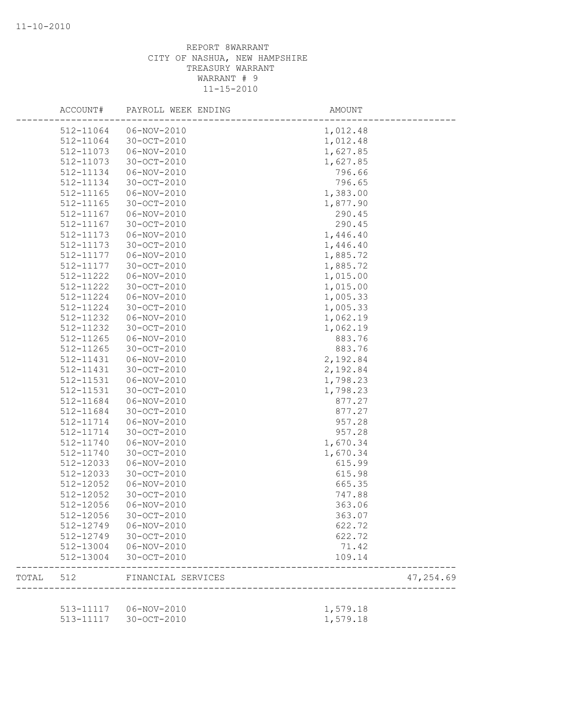|       | ACCOUNT#      | PAYROLL WEEK ENDING     | AMOUNT                |           |
|-------|---------------|-------------------------|-----------------------|-----------|
|       | 512-11064     | 06-NOV-2010             | 1,012.48              |           |
|       | 512-11064     | 30-OCT-2010             | 1,012.48              |           |
|       | 512-11073     | 06-NOV-2010             | 1,627.85              |           |
|       | 512-11073     | 30-OCT-2010             | 1,627.85              |           |
|       | 512-11134     | 06-NOV-2010             | 796.66                |           |
|       | 512-11134     | 30-OCT-2010             | 796.65                |           |
|       | 512-11165     | 06-NOV-2010             | 1,383.00              |           |
|       | 512-11165     | $30 - OCT - 2010$       | 1,877.90              |           |
|       | 512-11167     | 06-NOV-2010             | 290.45                |           |
|       | 512-11167     | $30 - OCT - 2010$       | 290.45                |           |
|       | 512-11173     | 06-NOV-2010             | 1,446.40              |           |
|       | 512-11173     | $30 - OCT - 2010$       | 1,446.40              |           |
|       | 512-11177     | 06-NOV-2010             | 1,885.72              |           |
|       | 512-11177     | 30-OCT-2010             | 1,885.72              |           |
|       | 512-11222     | 06-NOV-2010             | 1,015.00              |           |
|       | 512-11222     | 30-OCT-2010             | 1,015.00              |           |
|       | 512-11224     | 06-NOV-2010             | 1,005.33              |           |
|       | 512-11224     | 30-OCT-2010             | 1,005.33              |           |
|       | 512-11232     | 06-NOV-2010             | 1,062.19              |           |
|       | 512-11232     | $30 - OCT - 2010$       | 1,062.19              |           |
|       | $512 - 11265$ | 06-NOV-2010             | 883.76                |           |
|       | 512-11265     | $30 - OCT - 2010$       | 883.76                |           |
|       | 512-11431     | 06-NOV-2010             | 2,192.84              |           |
|       | 512-11431     | 30-OCT-2010             | 2,192.84              |           |
|       | 512-11531     | 06-NOV-2010             | 1,798.23              |           |
|       | 512-11531     | $30 - OCT - 2010$       | 1,798.23              |           |
|       | 512-11684     | 06-NOV-2010             | 877.27                |           |
|       | 512-11684     | 30-OCT-2010             | 877.27                |           |
|       | 512-11714     | 06-NOV-2010             | 957.28                |           |
|       | 512-11714     | $30 - OCT - 2010$       | 957.28                |           |
|       | 512-11740     | 06-NOV-2010             | 1,670.34              |           |
|       | 512-11740     | 30-OCT-2010             | 1,670.34              |           |
|       | 512-12033     | 06-NOV-2010             | 615.99                |           |
|       | 512-12033     | 30-OCT-2010             | 615.98                |           |
|       | 512-12052     | 06-NOV-2010             | 665.35                |           |
|       | 512-12052     | 30-OCT-2010             | 747.88                |           |
|       | 512-12056     | 06-NOV-2010             | 363.06                |           |
|       | 512-12056     | 30-OCT-2010             | 363.07                |           |
|       | 512-12749     | 06-NOV-2010             | 622.72                |           |
|       |               | 512-12749 30-OCT-2010   | 622.72                |           |
|       | 512-13004     | $06 - NOV - 2010$       | 71.42                 |           |
|       | 512-13004     | 30-OCT-2010             | 109.14                |           |
| TOTAL | 512           | FINANCIAL SERVICES      | --------------------- | 47,254.69 |
|       |               | 513-11117   06-NOV-2010 | 1,579.18              |           |
|       |               | 513-11117 30-OCT-2010   | 1,579.18              |           |
|       |               |                         |                       |           |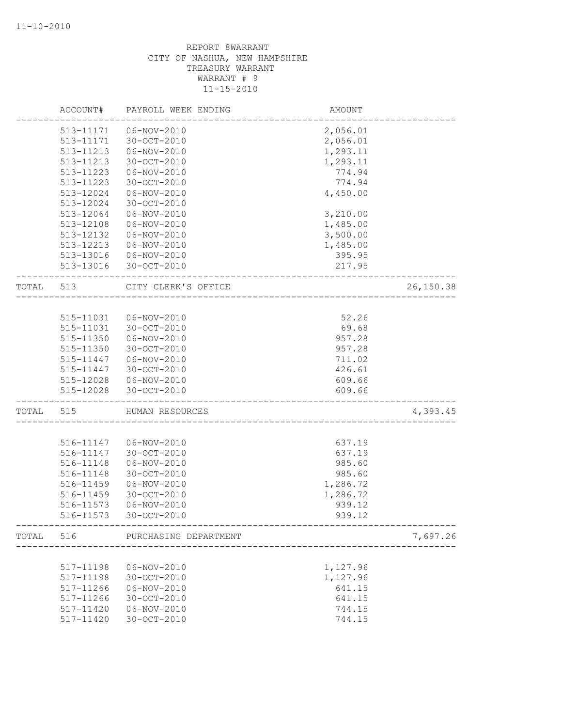|           | ACCOUNT#      | PAYROLL WEEK ENDING   | AMOUNT               |           |
|-----------|---------------|-----------------------|----------------------|-----------|
|           | 513-11171     | 06-NOV-2010           | 2,056.01             |           |
|           | 513-11171     | 30-OCT-2010           | 2,056.01             |           |
|           | 513-11213     | $06 - NOV - 2010$     | 1,293.11             |           |
|           | 513-11213     | 30-OCT-2010           | 1,293.11             |           |
|           | 513-11223     | 06-NOV-2010           | 774.94               |           |
|           | 513-11223     | 30-OCT-2010           | 774.94               |           |
|           | 513-12024     | $06 - NOV - 2010$     | 4,450.00             |           |
|           | 513-12024     | 30-OCT-2010           |                      |           |
|           | 513-12064     | 06-NOV-2010           | 3,210.00             |           |
|           | $513 - 12108$ | 06-NOV-2010           | 1,485.00             |           |
|           | 513-12132     | $06 - NOV - 2010$     | 3,500.00             |           |
|           | 513-12213     | 06-NOV-2010           | 1,485.00             |           |
|           | 513-13016     | 06-NOV-2010           | 395.95               |           |
|           | 513-13016     | 30-OCT-2010           | 217.95               |           |
| TOTAL 513 |               | CITY CLERK'S OFFICE   |                      | 26,150.38 |
|           |               |                       | -------------------- |           |
|           | 515-11031     | 06-NOV-2010           | 52.26                |           |
|           | 515-11031     | 30-OCT-2010           | 69.68                |           |
|           | 515-11350     | 06-NOV-2010           | 957.28               |           |
|           | 515-11350     | 30-OCT-2010           | 957.28               |           |
|           | 515-11447     | 06-NOV-2010           | 711.02               |           |
|           | 515-11447     | 30-OCT-2010           | 426.61               |           |
|           | 515-12028     | 06-NOV-2010           | 609.66               |           |
|           | 515-12028     | 30-OCT-2010           | 609.66               |           |
| TOTAL     | 515           | HUMAN RESOURCES       |                      | 4,393.45  |
|           |               |                       |                      |           |
|           | 516-11147     | 06-NOV-2010           | 637.19               |           |
|           | 516-11147     | 30-OCT-2010           | 637.19               |           |
|           | 516-11148     | 06-NOV-2010           | 985.60               |           |
|           | 516-11148     | 30-OCT-2010           | 985.60               |           |
|           | 516-11459     | $06 - NOV - 2010$     | 1,286.72             |           |
|           | 516-11459     | $30 - OCT - 2010$     | 1,286.72             |           |
|           | 516-11573     | 06-NOV-2010           | 939.12               |           |
|           | 516-11573     | 30-OCT-2010           | 939.12               |           |
| TOTAL     | 516           | PURCHASING DEPARTMENT |                      | 7,697.26  |
|           |               |                       |                      |           |
|           | 517-11198     | 06-NOV-2010           | 1,127.96             |           |
|           | 517-11198     | 30-OCT-2010           | 1,127.96             |           |
|           | 517-11266     | 06-NOV-2010           | 641.15               |           |
|           | 517-11266     | $30 - OCT - 2010$     | 641.15               |           |
|           | 517-11420     | $06 - NOV - 2010$     | 744.15               |           |
|           | 517-11420     | 30-OCT-2010           | 744.15               |           |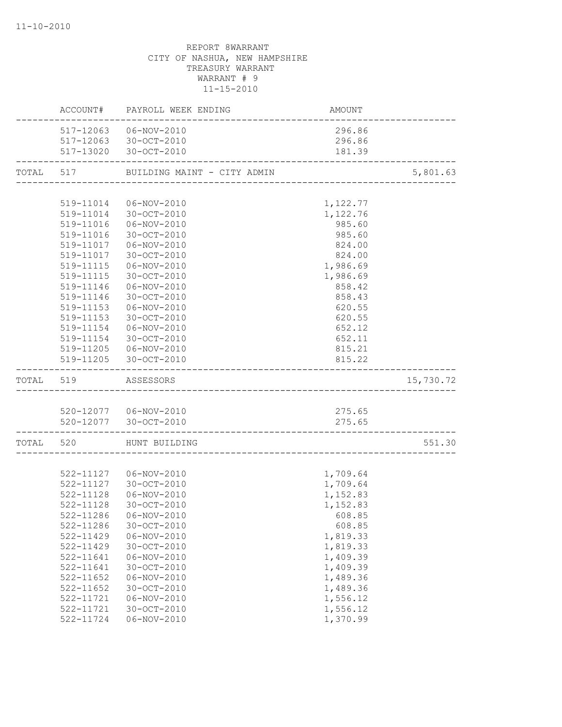|           |               | ACCOUNT# PAYROLL WEEK ENDING | AMOUNT   |           |
|-----------|---------------|------------------------------|----------|-----------|
|           |               | 517-12063  06-NOV-2010       | 296.86   |           |
|           |               | 517-12063 30-OCT-2010        | 296.86   |           |
|           |               | 517-13020 30-OCT-2010        | 181.39   |           |
| TOTAL 517 |               | BUILDING MAINT - CITY ADMIN  |          | 5,801.63  |
|           |               |                              |          |           |
|           | 519-11014     | 06-NOV-2010                  | 1,122.77 |           |
|           |               | 519-11014 30-OCT-2010        | 1,122.76 |           |
|           |               | 519-11016  06-NOV-2010       | 985.60   |           |
|           |               | 519-11016 30-OCT-2010        | 985.60   |           |
|           |               | 519-11017   06-NOV-2010      | 824.00   |           |
|           | 519-11017     | 30-OCT-2010                  | 824.00   |           |
|           | 519-11115     | 06-NOV-2010                  | 1,986.69 |           |
|           | 519-11115     | 30-OCT-2010                  | 1,986.69 |           |
|           | 519-11146     | 06-NOV-2010                  | 858.42   |           |
|           | 519-11146     | 30-OCT-2010                  | 858.43   |           |
|           | 519-11153     | 06-NOV-2010                  | 620.55   |           |
|           | 519-11153     | 30-OCT-2010                  | 620.55   |           |
|           |               | 519-11154 06-NOV-2010        | 652.12   |           |
|           |               | 519-11154 30-OCT-2010        | 652.11   |           |
|           |               | 519-11205  06-NOV-2010       | 815.21   |           |
|           |               | 519-11205 30-OCT-2010        | 815.22   |           |
|           | TOTAL 519     | ASSESSORS                    |          | 15,730.72 |
|           |               |                              |          |           |
|           |               | 520-12077   06-NOV-2010      | 275.65   |           |
|           |               | 520-12077 30-OCT-2010        | 275.65   |           |
|           |               | TOTAL 520 HUNT BUILDING      |          | 551.30    |
|           |               |                              |          |           |
|           |               | 522-11127   06-NOV-2010      | 1,709.64 |           |
|           | 522-11127     | 30-OCT-2010                  | 1,709.64 |           |
|           | 522-11128     | 06-NOV-2010                  | 1,152.83 |           |
|           | 522-11128     | 30-OCT-2010                  | 1,152.83 |           |
|           |               | 522-11286 06-NOV-2010        | 608.85   |           |
|           | 522-11286     | 30-OCT-2010                  | 608.85   |           |
|           | 522-11429     | $06 - NOV - 2010$            | 1,819.33 |           |
|           | 522-11429     | 30-OCT-2010                  | 1,819.33 |           |
|           | 522-11641     | 06-NOV-2010                  | 1,409.39 |           |
|           | 522-11641     | 30-OCT-2010                  | 1,409.39 |           |
|           | 522-11652     | $06 - NOV - 2010$            | 1,489.36 |           |
|           | $522 - 11652$ | 30-OCT-2010                  | 1,489.36 |           |
|           | 522-11721     | 06-NOV-2010                  | 1,556.12 |           |
|           | 522-11721     | $30 - OCT - 2010$            | 1,556.12 |           |
|           | 522-11724     | $06 - NOV - 2010$            | 1,370.99 |           |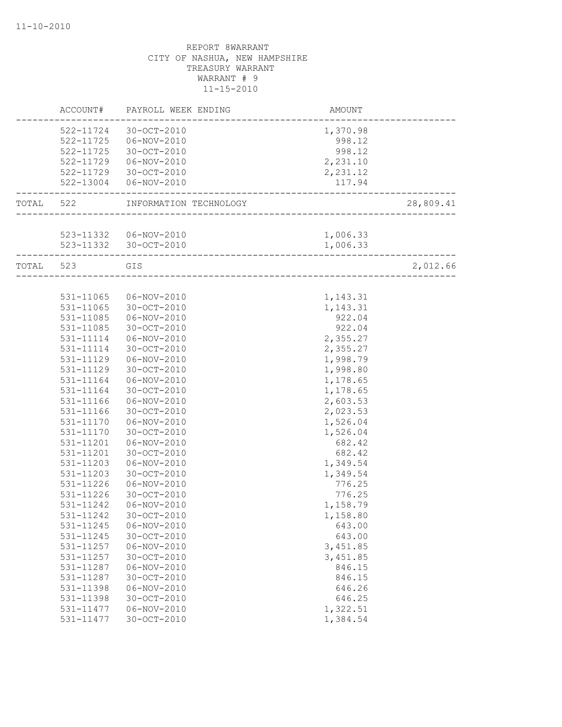|           | ACCOUNT#               | PAYROLL WEEK ENDING              | <b>AMOUNT</b>        |           |
|-----------|------------------------|----------------------------------|----------------------|-----------|
|           | 522-11724              | 30-OCT-2010                      | 1,370.98             |           |
|           |                        | 522-11725  06-NOV-2010           | 998.12               |           |
|           | 522-11725              | 30-OCT-2010                      | 998.12               |           |
|           | 522-11729              | 06-NOV-2010                      | 2,231.10             |           |
|           | 522-11729              | 30-OCT-2010                      | 2,231.12             |           |
|           |                        | 522-13004  06-NOV-2010           | 117.94               |           |
| TOTAL     | 522                    | INFORMATION TECHNOLOGY           | ___________________  | 28,809.41 |
|           |                        |                                  |                      |           |
|           |                        | 523-11332   06-NOV-2010          | 1,006.33             |           |
|           |                        | 523-11332 30-OCT-2010            | 1,006.33             |           |
| TOTAL 523 |                        | GIS                              |                      | 2,012.66  |
|           |                        |                                  |                      |           |
|           | 531-11065              | 06-NOV-2010                      | 1,143.31             |           |
|           | $531 - 11065$          | 30-OCT-2010                      | 1,143.31             |           |
|           | $531 - 11085$          | 06-NOV-2010                      | 922.04               |           |
|           | 531-11085              | 30-OCT-2010                      | 922.04               |           |
|           | 531-11114              | 06-NOV-2010                      | 2,355.27             |           |
|           | 531-11114              | 30-OCT-2010                      | 2,355.27             |           |
|           | 531-11129              | 06-NOV-2010                      | 1,998.79             |           |
|           | 531-11129              | 30-OCT-2010                      | 1,998.80             |           |
|           | 531-11164              | 06-NOV-2010                      | 1,178.65             |           |
|           | 531-11164              | 30-OCT-2010                      | 1,178.65             |           |
|           | 531-11166              | 06-NOV-2010                      | 2,603.53             |           |
|           | 531-11166              | 30-OCT-2010                      | 2,023.53             |           |
|           | 531-11170              | 06-NOV-2010                      | 1,526.04             |           |
|           | 531-11170              | 30-OCT-2010                      | 1,526.04             |           |
|           | 531-11201              | 06-NOV-2010                      | 682.42               |           |
|           | 531-11201              | 30-OCT-2010                      | 682.42               |           |
|           | 531-11203              | 06-NOV-2010                      | 1,349.54             |           |
|           | 531-11203              | 30-OCT-2010                      | 1,349.54             |           |
|           | 531-11226              | 06-NOV-2010                      | 776.25               |           |
|           | 531-11226              | $30 - OCT - 2010$                | 776.25               |           |
|           | 531-11242              | 06-NOV-2010                      | 1,158.79             |           |
|           | 531-11242              | 30-OCT-2010                      | 1,158.80             |           |
|           | 531-11245<br>531-11245 | $06 - NOV - 2010$<br>30-OCT-2010 | 643.00<br>643.00     |           |
|           |                        |                                  |                      |           |
|           | 531-11257<br>531-11257 | $06 - NOV - 2010$<br>30-OCT-2010 | 3,451.85<br>3,451.85 |           |
|           | 531-11287              | $06 - NOV - 2010$                | 846.15               |           |
|           | 531-11287              | 30-OCT-2010                      | 846.15               |           |
|           | 531-11398              | $06 - NOV - 2010$                | 646.26               |           |
|           | 531-11398              | 30-OCT-2010                      | 646.25               |           |
|           | 531-11477              | $06 - NOV - 2010$                | 1,322.51             |           |
|           | 531-11477              | 30-OCT-2010                      | 1,384.54             |           |
|           |                        |                                  |                      |           |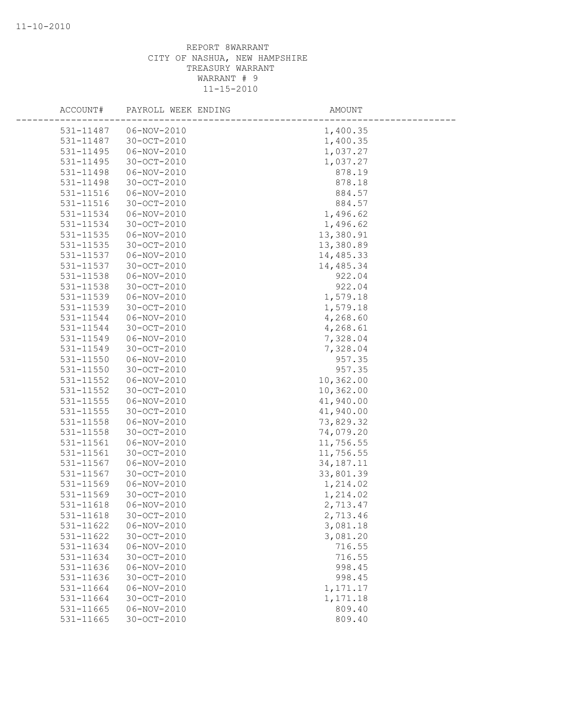| ACCOUNT#      | PAYROLL WEEK ENDING | AMOUNT      |
|---------------|---------------------|-------------|
| 531-11487     | 06-NOV-2010         | 1,400.35    |
| 531-11487     | $30 - OCT - 2010$   | 1,400.35    |
| 531-11495     | 06-NOV-2010         | 1,037.27    |
| 531-11495     | 30-OCT-2010         | 1,037.27    |
| 531-11498     | $06 - NOV - 2010$   | 878.19      |
| 531-11498     | $30 - OCT - 2010$   | 878.18      |
| 531-11516     | 06-NOV-2010         | 884.57      |
| 531-11516     | 30-OCT-2010         | 884.57      |
| 531-11534     | 06-NOV-2010         | 1,496.62    |
| 531-11534     | $30 - OCT - 2010$   | 1,496.62    |
| $531 - 11535$ | 06-NOV-2010         | 13,380.91   |
| 531-11535     | 30-OCT-2010         | 13,380.89   |
| 531-11537     | 06-NOV-2010         | 14,485.33   |
| 531-11537     | 30-OCT-2010         | 14,485.34   |
| 531-11538     | 06-NOV-2010         | 922.04      |
| 531-11538     | 30-OCT-2010         | 922.04      |
| 531-11539     | $06 - NOV - 2010$   | 1,579.18    |
| 531-11539     | 30-OCT-2010         | 1,579.18    |
| 531-11544     | 06-NOV-2010         | 4,268.60    |
| 531-11544     | 30-OCT-2010         | 4,268.61    |
| 531-11549     | 06-NOV-2010         | 7,328.04    |
| 531-11549     | 30-OCT-2010         | 7,328.04    |
| 531-11550     | $06 - NOV - 2010$   | 957.35      |
| 531-11550     | $30 - OCT - 2010$   | 957.35      |
| 531-11552     | 06-NOV-2010         | 10,362.00   |
| 531-11552     | 30-OCT-2010         | 10,362.00   |
| $531 - 11555$ | 06-NOV-2010         | 41,940.00   |
| 531-11555     | 30-OCT-2010         | 41,940.00   |
| 531-11558     | 06-NOV-2010         | 73,829.32   |
| 531-11558     | $30 - OCT - 2010$   | 74,079.20   |
| 531-11561     | 06-NOV-2010         | 11,756.55   |
| 531-11561     | 30-OCT-2010         | 11,756.55   |
| 531-11567     | $06 - NOV - 2010$   | 34, 187. 11 |
| 531-11567     | $30 - OCT - 2010$   | 33,801.39   |
| 531-11569     | 06-NOV-2010         | 1,214.02    |
| 531-11569     | 30-OCT-2010         | 1,214.02    |
| 531-11618     | 06-NOV-2010         | 2,713.47    |
| 531-11618     | 30-OCT-2010         | 2,713.46    |
| 531-11622     | $06 - NOV - 2010$   | 3,081.18    |
| 531-11622     | 30-OCT-2010         | 3,081.20    |
| 531-11634     | $06 - NOV - 2010$   | 716.55      |
| 531-11634     | 30-OCT-2010         | 716.55      |
| 531-11636     | $06 - NOV - 2010$   | 998.45      |
| 531-11636     | 30-OCT-2010         | 998.45      |
| 531-11664     | 06-NOV-2010         | 1,171.17    |
| 531-11664     | $30 - OCT - 2010$   | 1,171.18    |
| 531-11665     | $06 - NOV - 2010$   | 809.40      |
| 531-11665     | 30-OCT-2010         | 809.40      |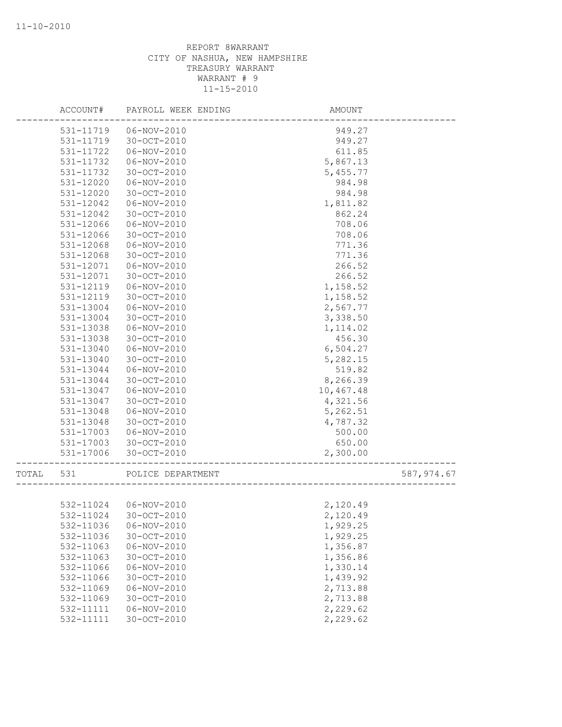|       | ACCOUNT#  | PAYROLL WEEK ENDING | AMOUNT    |             |
|-------|-----------|---------------------|-----------|-------------|
|       | 531-11719 | 06-NOV-2010         | 949.27    |             |
|       | 531-11719 | 30-OCT-2010         | 949.27    |             |
|       | 531-11722 | 06-NOV-2010         | 611.85    |             |
|       | 531-11732 | $06 - NOV - 2010$   | 5,867.13  |             |
|       | 531-11732 | 30-OCT-2010         | 5,455.77  |             |
|       | 531-12020 | 06-NOV-2010         | 984.98    |             |
|       | 531-12020 | $30 - OCT - 2010$   | 984.98    |             |
|       | 531-12042 | 06-NOV-2010         | 1,811.82  |             |
|       | 531-12042 | 30-OCT-2010         | 862.24    |             |
|       | 531-12066 | 06-NOV-2010         | 708.06    |             |
|       | 531-12066 | $30 - OCT - 2010$   | 708.06    |             |
|       | 531-12068 | $06 - NOV - 2010$   | 771.36    |             |
|       | 531-12068 | 30-OCT-2010         | 771.36    |             |
|       | 531-12071 | 06-NOV-2010         | 266.52    |             |
|       | 531-12071 | 30-OCT-2010         | 266.52    |             |
|       | 531-12119 | 06-NOV-2010         | 1,158.52  |             |
|       | 531-12119 | 30-OCT-2010         | 1,158.52  |             |
|       | 531-13004 | 06-NOV-2010         | 2,567.77  |             |
|       | 531-13004 | $30 - OCT - 2010$   | 3,338.50  |             |
|       | 531-13038 | 06-NOV-2010         | 1, 114.02 |             |
|       | 531-13038 | $30 - OCT - 2010$   | 456.30    |             |
|       | 531-13040 | $06 - NOV - 2010$   | 6,504.27  |             |
|       | 531-13040 | 30-OCT-2010         | 5,282.15  |             |
|       | 531-13044 | 06-NOV-2010         | 519.82    |             |
|       | 531-13044 | 30-OCT-2010         | 8,266.39  |             |
|       | 531-13047 | 06-NOV-2010         | 10,467.48 |             |
|       | 531-13047 | 30-OCT-2010         | 4,321.56  |             |
|       | 531-13048 | 06-NOV-2010         | 5,262.51  |             |
|       | 531-13048 | $30 - OCT - 2010$   | 4,787.32  |             |
|       |           | $06 - NOV - 2010$   | 500.00    |             |
|       | 531-17003 |                     |           |             |
|       | 531-17003 | 30-OCT-2010         | 650.00    |             |
|       | 531-17006 | 30-OCT-2010         | 2,300.00  |             |
| TOTAL | 531       | POLICE DEPARTMENT   |           | 587, 974.67 |
|       |           |                     |           |             |
|       | 532-11024 | 06-NOV-2010         | 2,120.49  |             |
|       | 532-11024 | 30-OCT-2010         | 2,120.49  |             |
|       | 532-11036 | $06 - NOV - 2010$   | 1,929.25  |             |
|       | 532-11036 | 30-OCT-2010         | 1,929.25  |             |
|       | 532-11063 | 06-NOV-2010         | 1,356.87  |             |
|       | 532-11063 | 30-OCT-2010         | 1,356.86  |             |
|       | 532-11066 | $06 - NOV - 2010$   | 1,330.14  |             |
|       | 532-11066 | 30-OCT-2010         | 1,439.92  |             |
|       | 532-11069 | 06-NOV-2010         | 2,713.88  |             |
|       | 532-11069 | 30-OCT-2010         | 2,713.88  |             |
|       | 532-11111 | $06 - NOV - 2010$   | 2,229.62  |             |
|       | 532-11111 | 30-OCT-2010         | 2,229.62  |             |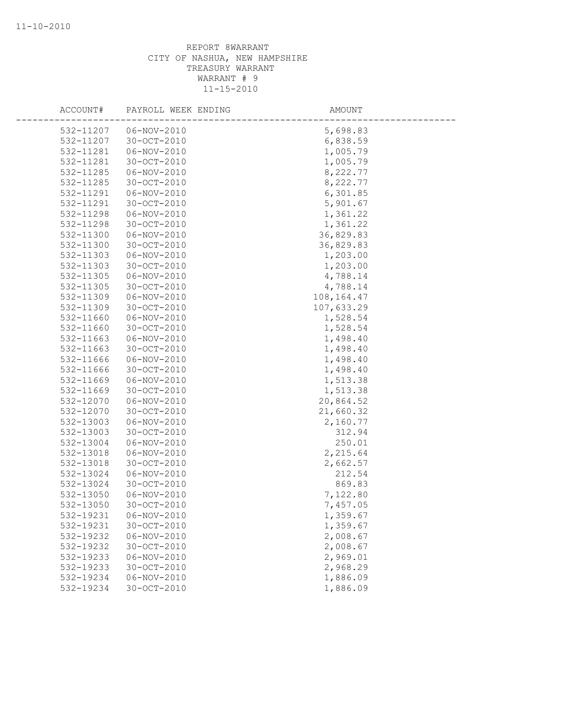| ACCOUNT#               | PAYROLL WEEK ENDING | AMOUNT       |
|------------------------|---------------------|--------------|
| 532-11207              | 06-NOV-2010         | 5,698.83     |
| 532-11207              | $30 - OCT - 2010$   | 6,838.59     |
| 532-11281              | 06-NOV-2010         | 1,005.79     |
| 532-11281              | 30-OCT-2010         | 1,005.79     |
| 532-11285              | $06 - NOV - 2010$   | 8,222.77     |
| 532-11285              | $30 - OCT - 2010$   | 8,222.77     |
| 532-11291              | $06 - NOV - 2010$   | 6,301.85     |
| 532-11291              | 30-OCT-2010         | 5,901.67     |
| 532-11298              | 06-NOV-2010         | 1,361.22     |
| 532-11298              | $30 - OCT - 2010$   | 1,361.22     |
| 532-11300              | 06-NOV-2010         | 36,829.83    |
| 532-11300              | 30-OCT-2010         | 36,829.83    |
| 532-11303              | 06-NOV-2010         | 1,203.00     |
| 532-11303              | 30-OCT-2010         | 1,203.00     |
| 532-11305              | 06-NOV-2010         | 4,788.14     |
| 532-11305              | 30-OCT-2010         | 4,788.14     |
| 532-11309              | $06 - NOV - 2010$   | 108, 164. 47 |
| 532-11309              | 30-OCT-2010         | 107,633.29   |
| 532-11660              | 06-NOV-2010         | 1,528.54     |
| 532-11660              | $30 - OCT - 2010$   | 1,528.54     |
| 532-11663              | 06-NOV-2010         | 1,498.40     |
| 532-11663              | 30-OCT-2010         | 1,498.40     |
| 532-11666              | $06 - NOV - 2010$   | 1,498.40     |
| 532-11666              | $30 - OCT - 2010$   | 1,498.40     |
| 532-11669              | 06-NOV-2010         | 1,513.38     |
| 532-11669              | 30-OCT-2010         | 1,513.38     |
| 532-12070              | 06-NOV-2010         | 20,864.52    |
| 532-12070              | 30-OCT-2010         | 21,660.32    |
| 532-13003              | 06-NOV-2010         | 2,160.77     |
| 532-13003              | $30 - OCT - 2010$   | 312.94       |
| 532-13004              | 06-NOV-2010         | 250.01       |
| 532-13018              | $06 - NOV - 2010$   | 2,215.64     |
| 532-13018              | 30-OCT-2010         | 2,662.57     |
| 532-13024              | 06-NOV-2010         | 212.54       |
| 532-13024              | $30 - OCT - 2010$   | 869.83       |
| 532-13050              | 06-NOV-2010         | 7,122.80     |
| 532-13050              | $30 - OCT - 2010$   | 7,457.05     |
| 532-19231              | $06 - NOV - 2010$   | 1,359.67     |
| 532-19231              | 30-OCT-2010         | 1,359.67     |
| 532-19232              | $06 - NOV - 2010$   | 2,008.67     |
| 532-19232<br>532-19233 | 30-OCT-2010         | 2,008.67     |
|                        | 06-NOV-2010         | 2,969.01     |
| 532-19233              | 30-OCT-2010         | 2,968.29     |
| 532-19234              | $06 - NOV - 2010$   | 1,886.09     |
| 532-19234              | $30 - OCT - 2010$   | 1,886.09     |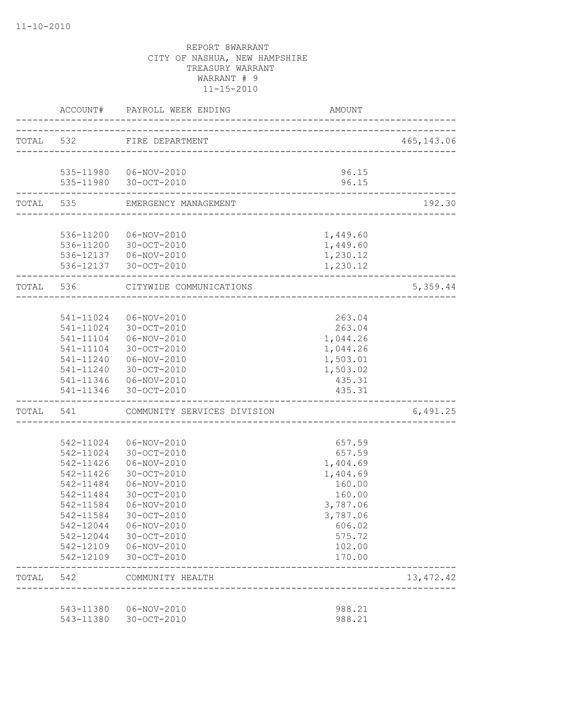|           | ACCOUNT#               | PAYROLL WEEK ENDING                                               | AMOUNT               |             |
|-----------|------------------------|-------------------------------------------------------------------|----------------------|-------------|
|           |                        | TOTAL 532 FIRE DEPARTMENT                                         |                      | 465, 143.06 |
|           |                        |                                                                   | 96.15                |             |
|           |                        | 535-11980  06-NOV-2010<br>535-11980 30-OCT-2010                   | 96.15                |             |
|           |                        | -------------------------------<br>TOTAL 535 EMERGENCY MANAGEMENT |                      | 192.30      |
|           |                        |                                                                   |                      |             |
|           |                        | 536-11200  06-NOV-2010                                            | 1,449.60<br>1,449.60 |             |
|           |                        | 536-11200 30-OCT-2010<br>536-12137   06-NOV-2010                  | 1,230.12             |             |
|           |                        | 536-12137 30-OCT-2010                                             | 1,230.12             |             |
| TOTAL 536 |                        | CITYWIDE COMMUNICATIONS                                           |                      | 5,359.44    |
|           |                        |                                                                   |                      |             |
|           |                        | 541-11024 06-NOV-2010                                             | 263.04               |             |
|           |                        | 541-11024 30-OCT-2010                                             | 263.04               |             |
|           |                        |                                                                   | 1,044.26             |             |
|           | 541-11240              | 541-11104 30-OCT-2010                                             | 1,044.26             |             |
|           |                        | 06-NOV-2010<br>541-11240 30-OCT-2010                              | 1,503.01<br>1,503.02 |             |
|           |                        | 541-11346  06-NOV-2010                                            | 435.31               |             |
|           |                        | 541-11346 30-OCT-2010                                             | 435.31               |             |
|           | -----------------      | TOTAL 541 COMMUNITY SERVICES DIVISION                             |                      | 6,491.25    |
|           |                        |                                                                   |                      |             |
|           | 542-11024<br>542-11024 | 06-NOV-2010<br>30-OCT-2010                                        | 657.59<br>657.59     |             |
|           | 542-11426              | 06-NOV-2010                                                       | 1,404.69             |             |
|           | 542-11426              | 30-OCT-2010                                                       | 1,404.69             |             |
|           | 542-11484              | 06-NOV-2010                                                       | 160.00               |             |
|           | 542-11484              | 30-OCT-2010                                                       | 160.00               |             |
|           | 542-11584              | 06-NOV-2010                                                       | 3,787.06             |             |
|           | 542-11584              | 30-OCT-2010                                                       | 3,787.06             |             |
|           | 542-12044              | $06 - NOV - 2010$                                                 | 606.02               |             |
|           | 542-12044              | 30-OCT-2010                                                       | 575.72               |             |
|           | 542-12109              | 06-NOV-2010                                                       | 102.00               |             |
|           | 542-12109              | 30-OCT-2010                                                       | 170.00               |             |
| TOTAL     | 542                    | COMMUNITY HEALTH<br>_____________________________                 |                      | 13, 472.42  |
|           | 543-11380              | 06-NOV-2010                                                       | 988.21               |             |
|           | 543-11380              | 30-OCT-2010                                                       | 988.21               |             |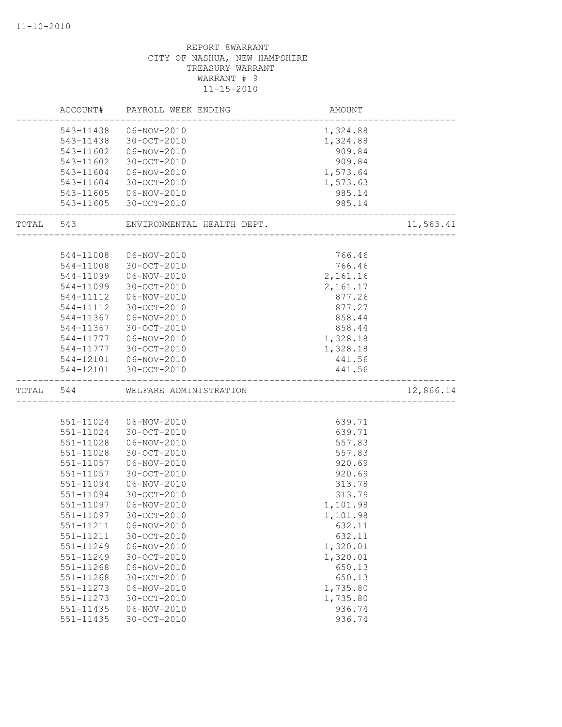| ACCOUNT#          | PAYROLL WEEK ENDING                  | AMOUNT                     |           |
|-------------------|--------------------------------------|----------------------------|-----------|
| 543-11438         | 06-NOV-2010                          | 1,324.88                   |           |
| 543-11438         | 30-OCT-2010                          | 1,324.88                   |           |
| 543-11602         | 06-NOV-2010                          | 909.84                     |           |
| 543-11602         | 30-OCT-2010                          | 909.84                     |           |
| 543-11604         | 06-NOV-2010                          | 1,573.64                   |           |
|                   |                                      | 1,573.63                   |           |
| 543-11604         | 30-OCT-2010                          |                            |           |
| 543-11605         | 06-NOV-2010<br>543-11605 30-OCT-2010 | 985.14<br>985.14           |           |
| _________________ |                                      | -------------------------- |           |
|                   | TOTAL 543 ENVIRONMENTAL HEALTH DEPT. |                            | 11,563.41 |
|                   |                                      |                            |           |
| 544-11008         | 06-NOV-2010                          | 766.46                     |           |
| 544-11008         | 30-OCT-2010                          | 766.46                     |           |
| 544-11099         | 06-NOV-2010                          | 2,161.16                   |           |
| 544-11099         | 30-OCT-2010                          | 2,161.17                   |           |
| $544 - 11112$     | 06-NOV-2010                          | 877.26                     |           |
| 544-11112         | 30-OCT-2010                          | 877.27                     |           |
| 544-11367         | 06-NOV-2010                          | 858.44                     |           |
| 544-11367         | 30-OCT-2010                          | 858.44                     |           |
| 544-11777         | 06-NOV-2010                          | 1,328.18                   |           |
|                   | 544-11777 30-OCT-2010                | 1,328.18                   |           |
|                   | 544-12101   06-NOV-2010              | 441.56                     |           |
|                   | 544-12101 30-OCT-2010                | 441.56                     |           |
| TOTAL 544         | WELFARE ADMINISTRATION               |                            | 12,866.14 |
|                   |                                      |                            |           |
| 551-11024         | 06-NOV-2010                          | 639.71                     |           |
| 551-11024         | 30-OCT-2010                          | 639.71                     |           |
| 551-11028         | 06-NOV-2010                          | 557.83                     |           |
| 551-11028         | 30-OCT-2010                          | 557.83                     |           |
| 551-11057         | 06-NOV-2010                          | 920.69                     |           |
| 551-11057         | 30-OCT-2010                          | 920.69                     |           |
| 551-11094         | 06-NOV-2010                          | 313.78                     |           |
| 551-11094         | 30-OCT-2010                          | 313.79                     |           |
| 551-11097         | 06-NOV-2010                          | 1,101.98                   |           |
| 551-11097         | 30-OCT-2010                          | 1,101.98                   |           |
| 551-11211         | $06 - NOV - 2010$                    | 632.11                     |           |
| 551-11211         | 30-OCT-2010                          | 632.11                     |           |
| 551-11249         | 06-NOV-2010                          | 1,320.01                   |           |
| 551-11249         | 30-OCT-2010                          | 1,320.01                   |           |
| 551-11268         | $06 - NOV - 2010$                    | 650.13                     |           |
| 551-11268         | 30-OCT-2010                          | 650.13                     |           |
| 551-11273         | $06 - NOV - 2010$                    | 1,735.80                   |           |
| 551-11273         | 30-OCT-2010                          | 1,735.80                   |           |
| 551-11435         | 06-NOV-2010                          | 936.74                     |           |
| 551-11435         | 30-OCT-2010                          | 936.74                     |           |
|                   |                                      |                            |           |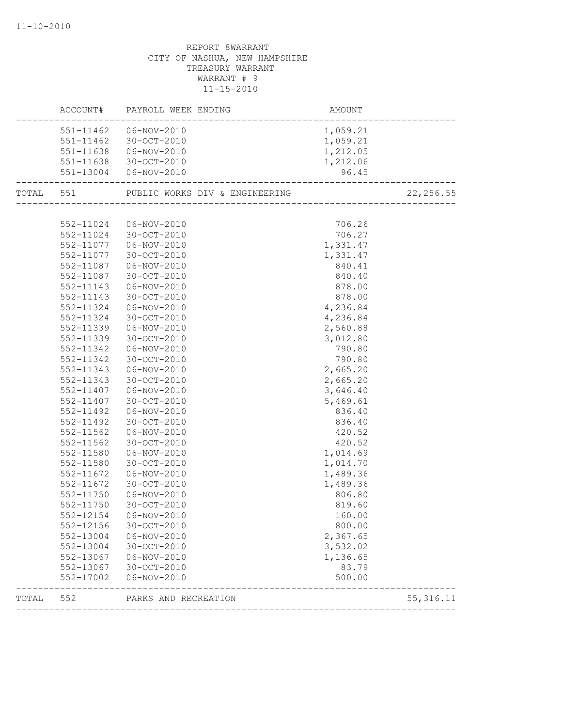|       |                        | AMOUNT<br>---------------------------------<br>ACCOUNT# PAYROLL WEEK ENDING |                      |            |
|-------|------------------------|-----------------------------------------------------------------------------|----------------------|------------|
|       |                        | 551-11462 06-NOV-2010                                                       | 1,059.21             |            |
|       |                        | 551-11462 30-OCT-2010                                                       | 1,059.21             |            |
|       |                        | 551-11638  06-NOV-2010                                                      | 1,212.05             |            |
|       |                        | 551-11638 30-OCT-2010                                                       | 1,212.06             |            |
|       |                        | 551-13004  06-NOV-2010                                                      | 96.45                |            |
|       |                        |                                                                             |                      | 22, 256.55 |
|       |                        |                                                                             |                      |            |
|       |                        | 552-11024 06-NOV-2010                                                       | 706.26               |            |
|       |                        | 552-11024 30-OCT-2010                                                       | 706.27               |            |
|       |                        | 552-11077   06-NOV-2010                                                     | 1,331.47             |            |
|       |                        | 552-11077 30-OCT-2010                                                       | 1,331.47             |            |
|       | 552-11087              | 06-NOV-2010                                                                 | 840.41               |            |
|       | 552-11087              | 30-OCT-2010                                                                 | 840.40               |            |
|       | 552-11143              | 06-NOV-2010                                                                 | 878.00               |            |
|       | 552-11143              | 30-OCT-2010                                                                 | 878.00               |            |
|       | 552-11324              | 06-NOV-2010                                                                 | 4,236.84             |            |
|       | 552-11324              | 30-OCT-2010                                                                 | 4,236.84             |            |
|       | 552-11339              | 06-NOV-2010                                                                 | 2,560.88             |            |
|       | 552-11339              | 30-OCT-2010                                                                 | 3,012.80             |            |
|       | 552-11342              | 06-NOV-2010                                                                 | 790.80               |            |
|       | 552-11342              | 30-OCT-2010                                                                 | 790.80               |            |
|       | 552-11343              | 06-NOV-2010                                                                 | 2,665.20             |            |
|       | 552-11343<br>552-11407 | 30-OCT-2010<br>06-NOV-2010                                                  | 2,665.20<br>3,646.40 |            |
|       |                        |                                                                             | 5,469.61             |            |
|       | 552-11407<br>552-11492 | 30-OCT-2010<br>$06 - NOV - 2010$                                            | 836.40               |            |
|       | 552-11492              | 30-OCT-2010                                                                 | 836.40               |            |
|       | $552 - 11562$          | 06-NOV-2010                                                                 | 420.52               |            |
|       | 552-11562              | 30-OCT-2010                                                                 | 420.52               |            |
|       | 552-11580              | 06-NOV-2010                                                                 | 1,014.69             |            |
|       | 552-11580              | 30-OCT-2010                                                                 | 1,014.70             |            |
|       | 552-11672              | 06-NOV-2010                                                                 | 1,489.36             |            |
|       | 552-11672              | 30-OCT-2010                                                                 | 1,489.36             |            |
|       | 552-11750              | 06-NOV-2010                                                                 | 806.80               |            |
|       | 552-11750              | 30-OCT-2010                                                                 | 819.60               |            |
|       |                        | 552-12154   06-NOV-2010                                                     | 160.00               |            |
|       | 552-12156              | 30-OCT-2010                                                                 | 800.00               |            |
|       |                        | 552-13004 06-NOV-2010                                                       | 2,367.65             |            |
|       |                        | 552-13004 30-OCT-2010                                                       | 3,532.02             |            |
|       | 552-13067              | 06-NOV-2010                                                                 | 1,136.65             |            |
|       |                        | 552-13067 30-OCT-2010                                                       | 83.79                |            |
|       | 552-17002              | 06-NOV-2010                                                                 | 500.00               |            |
| TOTAL | 552                    | PARKS AND RECREATION                                                        |                      | 55, 316.11 |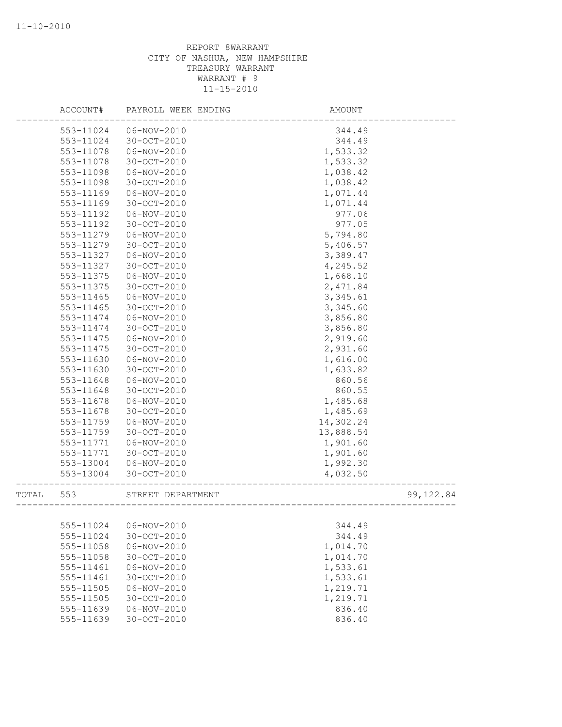|       | ACCOUNT#  | PAYROLL WEEK ENDING | AMOUNT    |            |
|-------|-----------|---------------------|-----------|------------|
|       | 553-11024 | 06-NOV-2010         | 344.49    |            |
|       | 553-11024 | 30-OCT-2010         | 344.49    |            |
|       | 553-11078 | 06-NOV-2010         | 1,533.32  |            |
|       | 553-11078 | 30-OCT-2010         | 1,533.32  |            |
|       | 553-11098 | 06-NOV-2010         | 1,038.42  |            |
|       | 553-11098 | 30-OCT-2010         | 1,038.42  |            |
|       | 553-11169 | $06 - NOV - 2010$   | 1,071.44  |            |
|       | 553-11169 | $30 - OCT - 2010$   | 1,071.44  |            |
|       | 553-11192 | 06-NOV-2010         | 977.06    |            |
|       | 553-11192 | 30-OCT-2010         | 977.05    |            |
|       | 553-11279 | 06-NOV-2010         | 5,794.80  |            |
|       | 553-11279 | 30-OCT-2010         | 5,406.57  |            |
|       | 553-11327 | 06-NOV-2010         | 3,389.47  |            |
|       | 553-11327 | 30-OCT-2010         | 4,245.52  |            |
|       | 553-11375 | 06-NOV-2010         | 1,668.10  |            |
|       | 553-11375 | $30 - OCT - 2010$   | 2,471.84  |            |
|       | 553-11465 | 06-NOV-2010         | 3, 345.61 |            |
|       | 553-11465 | 30-OCT-2010         | 3,345.60  |            |
|       | 553-11474 | 06-NOV-2010         | 3,856.80  |            |
|       | 553-11474 | 30-OCT-2010         | 3,856.80  |            |
|       | 553-11475 | 06-NOV-2010         | 2,919.60  |            |
|       | 553-11475 | $30 - OCT - 2010$   | 2,931.60  |            |
|       | 553-11630 | 06-NOV-2010         | 1,616.00  |            |
|       | 553-11630 | 30-OCT-2010         | 1,633.82  |            |
|       | 553-11648 | $06 - NOV - 2010$   | 860.56    |            |
|       | 553-11648 | 30-OCT-2010         | 860.55    |            |
|       | 553-11678 | 06-NOV-2010         | 1,485.68  |            |
|       | 553-11678 | 30-OCT-2010         | 1,485.69  |            |
|       | 553-11759 | 06-NOV-2010         | 14,302.24 |            |
|       | 553-11759 | 30-OCT-2010         | 13,888.54 |            |
|       | 553-11771 | 06-NOV-2010         | 1,901.60  |            |
|       | 553-11771 | $30 - OCT - 2010$   | 1,901.60  |            |
|       | 553-13004 | 06-NOV-2010         | 1,992.30  |            |
|       | 553-13004 | 30-OCT-2010         | 4,032.50  |            |
| TOTAL | 553       | STREET DEPARTMENT   |           | 99, 122.84 |
|       |           |                     |           |            |
|       | 555-11024 | 06-NOV-2010         | 344.49    |            |
|       | 555-11024 | 30-OCT-2010         | 344.49    |            |
|       | 555-11058 | 06-NOV-2010         | 1,014.70  |            |
|       | 555-11058 | 30-OCT-2010         | 1,014.70  |            |
|       | 555-11461 | $06 - NOV - 2010$   | 1,533.61  |            |
|       | 555-11461 | 30-OCT-2010         | 1,533.61  |            |
|       | 555-11505 | 06-NOV-2010         | 1,219.71  |            |
|       | 555-11505 | 30-OCT-2010         | 1,219.71  |            |
|       | 555-11639 | 06-NOV-2010         | 836.40    |            |
|       | 555-11639 | 30-OCT-2010         | 836.40    |            |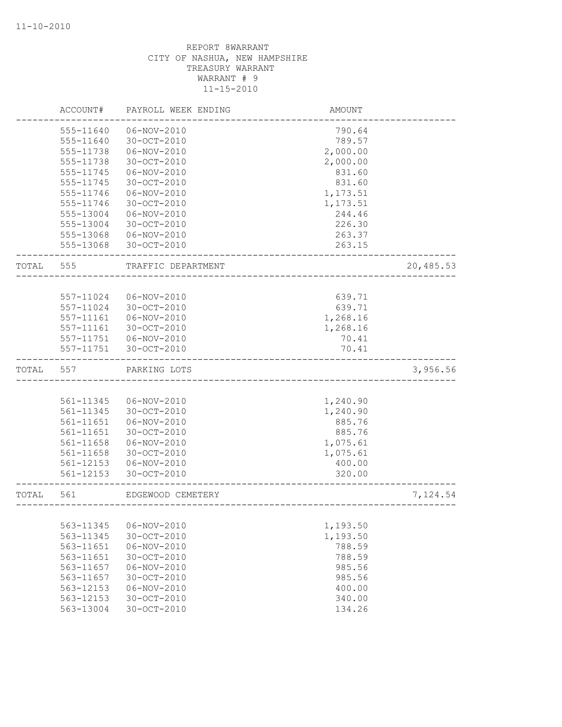|                | ACCOUNT#               | PAYROLL WEEK ENDING        | AMOUNT           |           |
|----------------|------------------------|----------------------------|------------------|-----------|
|                | 555-11640              | 06-NOV-2010                | 790.64           |           |
|                | 555-11640              | 30-OCT-2010                | 789.57           |           |
|                | 555-11738              | $06 - NOV - 2010$          | 2,000.00         |           |
|                | 555-11738              | 30-OCT-2010                | 2,000.00         |           |
|                | 555-11745              | 06-NOV-2010                | 831.60           |           |
|                | 555-11745              | 30-OCT-2010                | 831.60           |           |
|                | 555-11746              | 06-NOV-2010                | 1,173.51         |           |
|                | 555-11746              | 30-OCT-2010                | 1,173.51         |           |
|                | 555-13004              | 06-NOV-2010                | 244.46           |           |
|                | 555-13004              | 30-OCT-2010                | 226.30           |           |
|                | 555-13068              | $06 - NOV - 2010$          | 263.37           |           |
|                | 555-13068              | 30-OCT-2010                | 263.15           |           |
| TOTAL          | 555                    | TRAFFIC DEPARTMENT         |                  | 20,485.53 |
|                |                        |                            |                  |           |
|                | 557-11024              | $06 - NOV - 2010$          | 639.71           |           |
|                | 557-11024              | $30 - OCT - 2010$          | 639.71           |           |
|                | 557-11161              | 06-NOV-2010                | 1,268.16         |           |
|                | 557-11161              | 30-OCT-2010                | 1,268.16         |           |
|                | 557-11751              | 06-NOV-2010                | 70.41            |           |
|                | 557-11751              | 30-OCT-2010                | 70.41            |           |
| $_{\tt TOTAL}$ | 557                    | PARKING LOTS               |                  | 3,956.56  |
|                |                        |                            |                  |           |
|                | 561-11345              | 06-NOV-2010                | 1,240.90         |           |
|                | 561-11345              | 30-OCT-2010                | 1,240.90         |           |
|                | 561-11651              | $06 - NOV - 2010$          | 885.76           |           |
|                | 561-11651              | 30-OCT-2010                | 885.76           |           |
|                | 561-11658              | 06-NOV-2010                | 1,075.61         |           |
|                | 561-11658              | 30-OCT-2010                | 1,075.61         |           |
|                | 561-12153<br>561-12153 | 06-NOV-2010<br>30-OCT-2010 | 400.00<br>320.00 |           |
|                |                        |                            |                  |           |
| TOTAL          | 561                    | EDGEWOOD CEMETERY          |                  | 7,124.54  |
|                |                        |                            |                  |           |
|                | 563-11345              | 06-NOV-2010                | 1,193.50         |           |
|                | 563-11345              | 30-OCT-2010                | 1,193.50         |           |
|                | 563-11651              | $06 - NOV - 2010$          | 788.59           |           |
|                | 563-11651              | 30-OCT-2010                | 788.59           |           |
|                | 563-11657              | $06 - NOV - 2010$          | 985.56           |           |
|                | 563-11657              | 30-OCT-2010                | 985.56           |           |
|                | 563-12153              | $06 - NOV - 2010$          | 400.00           |           |
|                | 563-12153              | 30-OCT-2010                | 340.00           |           |
|                | 563-13004              | 30-OCT-2010                | 134.26           |           |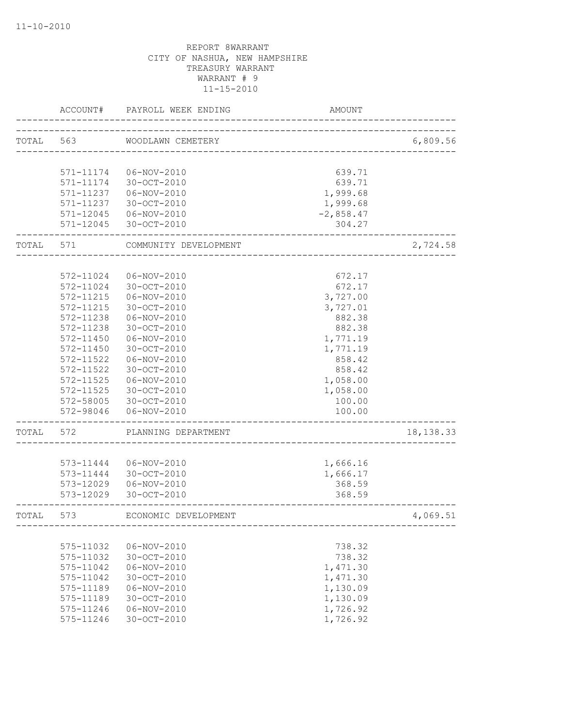|       | ACCOUNT#               | PAYROLL WEEK ENDING        | AMOUNT             |            |
|-------|------------------------|----------------------------|--------------------|------------|
| TOTAL | 563                    | WOODLAWN CEMETERY          |                    | 6,809.56   |
|       | 571-11174              | 06-NOV-2010                | 639.71             |            |
|       | 571-11174              | 30-OCT-2010                | 639.71             |            |
|       | 571-11237              | 06-NOV-2010                | 1,999.68           |            |
|       | 571-11237              | 30-OCT-2010                | 1,999.68           |            |
|       | 571-12045              | 06-NOV-2010                | $-2,858.47$        |            |
|       | 571-12045              | 30-OCT-2010                | 304.27             |            |
| TOTAL | 571                    | COMMUNITY DEVELOPMENT      |                    | 2,724.58   |
|       |                        |                            |                    |            |
|       | 572-11024              | 06-NOV-2010                | 672.17             |            |
|       | 572-11024              | 30-OCT-2010                | 672.17             |            |
|       | 572-11215              | 06-NOV-2010                | 3,727.00           |            |
|       | 572-11215<br>572-11238 | 30-OCT-2010<br>06-NOV-2010 | 3,727.01<br>882.38 |            |
|       | 572-11238              | 30-OCT-2010                | 882.38             |            |
|       | $572 - 11450$          | 06-NOV-2010                | 1,771.19           |            |
|       | 572-11450              | 30-OCT-2010                | 1,771.19           |            |
|       | 572-11522              | 06-NOV-2010                | 858.42             |            |
|       | 572-11522              | 30-OCT-2010                | 858.42             |            |
|       | 572-11525              | 06-NOV-2010                | 1,058.00           |            |
|       | 572-11525              | 30-OCT-2010                | 1,058.00           |            |
|       | 572-58005              | 30-OCT-2010                | 100.00             |            |
|       | 572-98046              | 06-NOV-2010                | 100.00             |            |
| TOTAL | 572                    | PLANNING DEPARTMENT        |                    | 18, 138.33 |
|       |                        |                            |                    |            |
|       | 573-11444              | 06-NOV-2010                | 1,666.16           |            |
|       | 573-11444              | 30-OCT-2010                | 1,666.17           |            |
|       | 573-12029              | 06-NOV-2010                | 368.59             |            |
|       | 573-12029              | $30 - OCT - 2010$          | 368.59             |            |
| TOTAL | 573                    | ECONOMIC DEVELOPMENT       |                    | 4,069.51   |
|       |                        |                            |                    |            |
|       | 575-11032              | 06-NOV-2010                | 738.32             |            |
|       | 575-11032              | 30-OCT-2010                | 738.32             |            |
|       | 575-11042              | 06-NOV-2010                | 1,471.30           |            |
|       | 575-11042              | 30-OCT-2010                | 1,471.30           |            |
|       | 575-11189              | 06-NOV-2010                | 1,130.09           |            |
|       | 575-11189              | 30-OCT-2010                | 1,130.09           |            |
|       | 575-11246              | 06-NOV-2010                | 1,726.92           |            |
|       | 575-11246              | 30-OCT-2010                | 1,726.92           |            |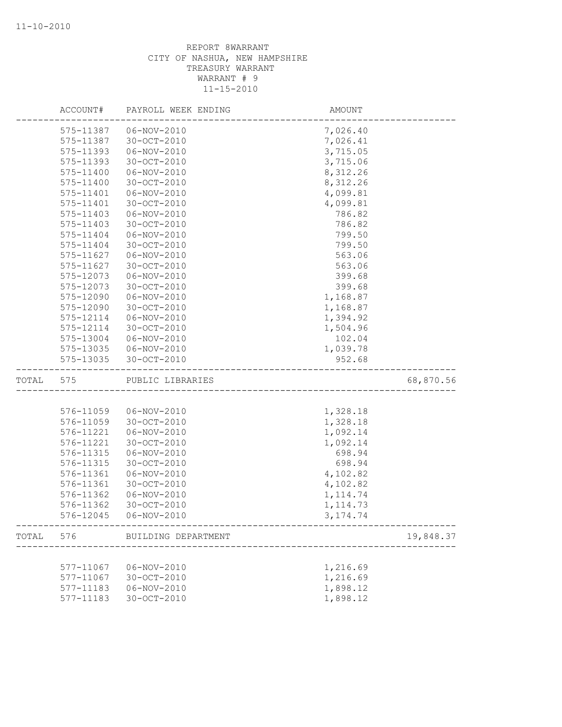|       | ACCOUNT#  | PAYROLL WEEK ENDING    | AMOUNT                           |           |
|-------|-----------|------------------------|----------------------------------|-----------|
|       | 575-11387 | 06-NOV-2010            | 7,026.40                         |           |
|       | 575-11387 | 30-OCT-2010            | 7,026.41                         |           |
|       | 575-11393 | 06-NOV-2010            | 3,715.05                         |           |
|       | 575-11393 | $30 - OCT - 2010$      | 3,715.06                         |           |
|       | 575-11400 | 06-NOV-2010            | 8,312.26                         |           |
|       | 575-11400 | $30 - OCT - 2010$      | 8,312.26                         |           |
|       | 575-11401 | 06-NOV-2010            | 4,099.81                         |           |
|       | 575-11401 | 30-OCT-2010            | 4,099.81                         |           |
|       | 575-11403 | 06-NOV-2010            | 786.82                           |           |
|       | 575-11403 | 30-OCT-2010            | 786.82                           |           |
|       | 575-11404 | 06-NOV-2010            | 799.50                           |           |
|       | 575-11404 | $30 - OCT - 2010$      | 799.50                           |           |
|       | 575-11627 | $06 - NOV - 2010$      | 563.06                           |           |
|       | 575-11627 | 30-OCT-2010            | 563.06                           |           |
|       | 575-12073 | 06-NOV-2010            | 399.68                           |           |
|       | 575-12073 | 30-OCT-2010            | 399.68                           |           |
|       | 575-12090 | 06-NOV-2010            | 1,168.87                         |           |
|       | 575-12090 | 30-OCT-2010            | 1,168.87                         |           |
|       | 575-12114 | 06-NOV-2010            | 1,394.92                         |           |
|       | 575-12114 | $30 - OCT - 2010$      | 1,504.96                         |           |
|       | 575-13004 | 06-NOV-2010            | 102.04                           |           |
|       |           | 575-13035  06-NOV-2010 | 1,039.78                         |           |
|       | 575-13035 | 30-OCT-2010            | 952.68                           |           |
| TOTAL | 575       | PUBLIC LIBRARIES       | ----------------------------     | 68,870.56 |
|       |           |                        |                                  |           |
|       | 576-11059 | 06-NOV-2010            | 1,328.18                         |           |
|       | 576-11059 | 30-OCT-2010            | 1,328.18                         |           |
|       | 576-11221 | 06-NOV-2010            | 1,092.14                         |           |
|       | 576-11221 | $30 - OCT - 2010$      | 1,092.14                         |           |
|       | 576-11315 | 06-NOV-2010            | 698.94                           |           |
|       | 576-11315 | $30 - OCT - 2010$      | 698.94                           |           |
|       | 576-11361 | 06-NOV-2010            | 4,102.82                         |           |
|       | 576-11361 | $30 - OCT - 2010$      | 4,102.82                         |           |
|       | 576-11362 | 06-NOV-2010            | 1, 114.74                        |           |
|       | 576-11362 | 30-OCT-2010            | 1, 114.73                        |           |
|       | 576-12045 | $06 - NOV - 2010$      | 3, 174.74                        |           |
|       |           |                        |                                  |           |
|       | TOTAL 576 | BUILDING DEPARTMENT    | -------------------------------- | 19,848.37 |
|       |           |                        |                                  |           |
|       | 577-11067 | 06-NOV-2010            | 1,216.69                         |           |
|       | 577-11067 | 30-OCT-2010            | 1,216.69                         |           |
|       | 577-11183 | $06 - NOV - 2010$      | 1,898.12                         |           |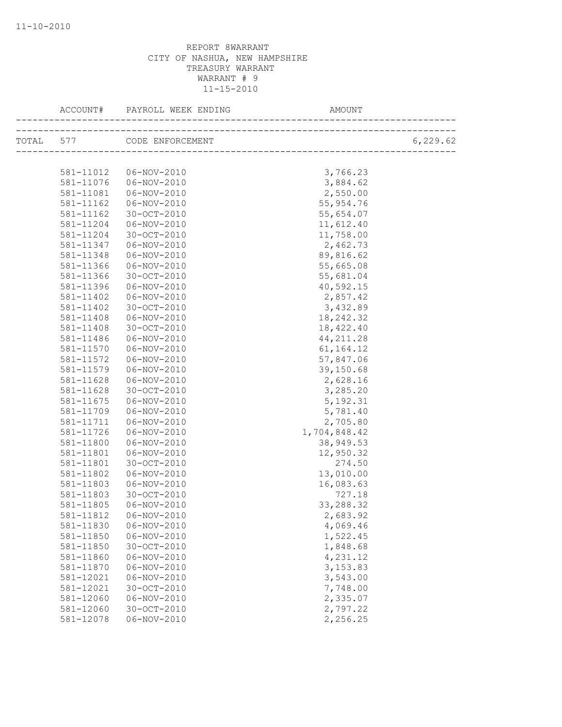| ACCOUNT#  | PAYROLL WEEK ENDING        | AMOUNT       |           |
|-----------|----------------------------|--------------|-----------|
|           | TOTAL 577 CODE ENFORCEMENT |              | 6, 229.62 |
|           |                            |              |           |
| 581-11012 | 06-NOV-2010                | 3,766.23     |           |
| 581-11076 | 06-NOV-2010                | 3,884.62     |           |
| 581-11081 | 06-NOV-2010                | 2,550.00     |           |
| 581-11162 | 06-NOV-2010                | 55, 954.76   |           |
| 581-11162 | 30-OCT-2010                | 55,654.07    |           |
| 581-11204 | 06-NOV-2010                | 11,612.40    |           |
| 581-11204 | 30-OCT-2010                | 11,758.00    |           |
| 581-11347 | 06-NOV-2010                | 2,462.73     |           |
| 581-11348 | 06-NOV-2010                | 89,816.62    |           |
| 581-11366 | $06 - NOV - 2010$          | 55,665.08    |           |
| 581-11366 | 30-OCT-2010                | 55,681.04    |           |
| 581-11396 | 06-NOV-2010                | 40,592.15    |           |
| 581-11402 | 06-NOV-2010                | 2,857.42     |           |
| 581-11402 | 30-OCT-2010                | 3,432.89     |           |
| 581-11408 | 06-NOV-2010                | 18, 242.32   |           |
| 581-11408 | 30-OCT-2010                | 18,422.40    |           |
| 581-11486 | 06-NOV-2010                | 44, 211.28   |           |
| 581-11570 | 06-NOV-2010                | 61, 164. 12  |           |
| 581-11572 | 06-NOV-2010                | 57,847.06    |           |
| 581-11579 | 06-NOV-2010                | 39,150.68    |           |
| 581-11628 | 06-NOV-2010                | 2,628.16     |           |
| 581-11628 | 30-OCT-2010                | 3,285.20     |           |
| 581-11675 | 06-NOV-2010                | 5, 192.31    |           |
| 581-11709 | 06-NOV-2010                | 5,781.40     |           |
| 581-11711 | 06-NOV-2010                | 2,705.80     |           |
| 581-11726 | 06-NOV-2010                | 1,704,848.42 |           |
| 581-11800 | 06-NOV-2010                | 38,949.53    |           |
| 581-11801 | $06 - NOV - 2010$          | 12,950.32    |           |
| 581-11801 | 30-OCT-2010                | 274.50       |           |
| 581-11802 | 06-NOV-2010                | 13,010.00    |           |
| 581-11803 | 06-NOV-2010                | 16,083.63    |           |
| 581-11803 | 30-OCT-2010                | 727.18       |           |
| 581-11805 | 06-NOV-2010                | 33,288.32    |           |
| 581-11812 | 06-NOV-2010                | 2,683.92     |           |
| 581-11830 | $06 - NOV - 2010$          | 4,069.46     |           |
| 581-11850 | $06 - NOV - 2010$          | 1,522.45     |           |
| 581-11850 | 30-OCT-2010                | 1,848.68     |           |
| 581-11860 | $06 - NOV - 2010$          | 4,231.12     |           |
| 581-11870 | $06 - NOV - 2010$          | 3,153.83     |           |
| 581-12021 | 06-NOV-2010                | 3,543.00     |           |
| 581-12021 | 30-OCT-2010                | 7,748.00     |           |
| 581-12060 | $06 - NOV - 2010$          | 2,335.07     |           |
| 581-12060 | 30-OCT-2010                | 2,797.22     |           |
| 581-12078 | $06 - NOV - 2010$          | 2,256.25     |           |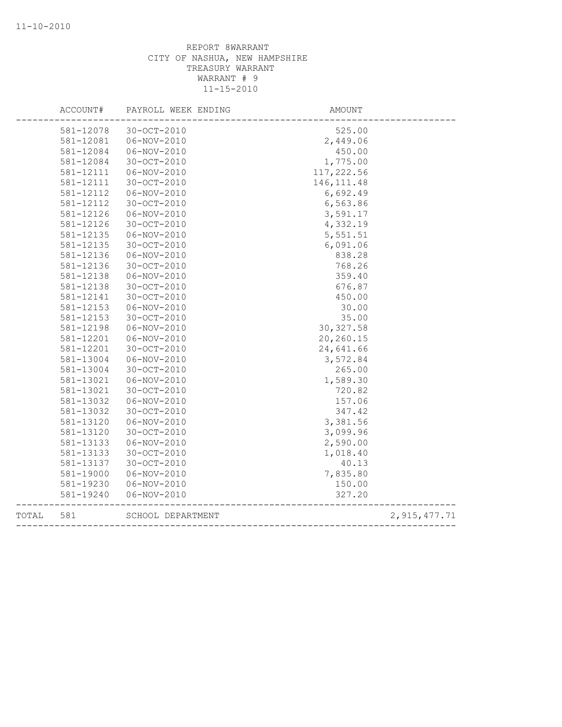|       | ACCOUNT#  | PAYROLL WEEK ENDING | AMOUNT                     |                |
|-------|-----------|---------------------|----------------------------|----------------|
|       | 581-12078 | 30-OCT-2010         | 525.00                     |                |
|       | 581-12081 | 06-NOV-2010         | 2,449.06                   |                |
|       | 581-12084 | 06-NOV-2010         | 450.00                     |                |
|       | 581-12084 | 30-OCT-2010         | 1,775.00                   |                |
|       | 581-12111 | $06 - NOV - 2010$   | 117,222.56                 |                |
|       | 581-12111 | 30-OCT-2010         | 146, 111.48                |                |
|       | 581-12112 | $06 - NOV - 2010$   | 6,692.49                   |                |
|       | 581-12112 | 30-OCT-2010         | 6,563.86                   |                |
|       | 581-12126 | $06 - NOV - 2010$   | 3,591.17                   |                |
|       | 581-12126 | 30-OCT-2010         | 4,332.19                   |                |
|       | 581-12135 | $06 - NOV - 2010$   | 5,551.51                   |                |
|       | 581-12135 | 30-OCT-2010         | 6,091.06                   |                |
|       | 581-12136 | 06-NOV-2010         | 838.28                     |                |
|       | 581-12136 | 30-OCT-2010         | 768.26                     |                |
|       | 581-12138 | $06 - NOV - 2010$   | 359.40                     |                |
|       | 581-12138 | $30 - OCT - 2010$   | 676.87                     |                |
|       | 581-12141 | 30-OCT-2010         | 450.00                     |                |
|       | 581-12153 | 06-NOV-2010         | 30.00                      |                |
|       | 581-12153 | $30 - OCT - 2010$   | 35.00                      |                |
|       | 581-12198 | $06 - NOV - 2010$   | 30, 327.58                 |                |
|       | 581-12201 | 06-NOV-2010         | 20,260.15                  |                |
|       | 581-12201 | 30-OCT-2010         | 24,641.66                  |                |
|       | 581-13004 | 06-NOV-2010         | 3,572.84                   |                |
|       | 581-13004 | 30-OCT-2010         | 265.00                     |                |
|       | 581-13021 | 06-NOV-2010         | 1,589.30                   |                |
|       | 581-13021 | 30-OCT-2010         | 720.82                     |                |
|       | 581-13032 | $06 - NOV - 2010$   | 157.06                     |                |
|       | 581-13032 | 30-OCT-2010         | 347.42                     |                |
|       | 581-13120 | $06 - NOV - 2010$   | 3,381.56                   |                |
|       | 581-13120 | 30-OCT-2010         | 3,099.96                   |                |
|       | 581-13133 | 06-NOV-2010         | 2,590.00                   |                |
|       | 581-13133 | $30 - OCT - 2010$   | 1,018.40                   |                |
|       | 581-13137 | $30 - OCT - 2010$   | 40.13                      |                |
|       | 581-19000 | $06 - NOV - 2010$   | 7,835.80                   |                |
|       | 581-19230 | $06 - NOV - 2010$   | 150.00                     |                |
|       | 581-19240 | 06-NOV-2010         | 327.20                     |                |
| TOTAL | 581       | SCHOOL DEPARTMENT   | __________________________ | 2, 915, 477.71 |
|       |           |                     |                            |                |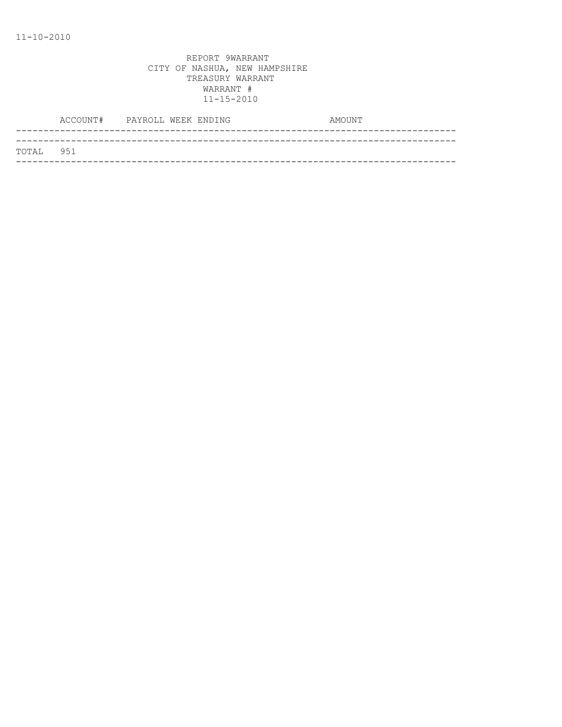|           | ACCOUNT# PAYROLL WEEK ENDING |  | AMOUNT |  |
|-----------|------------------------------|--|--------|--|
|           |                              |  |        |  |
| TOTAL 951 |                              |  |        |  |
|           |                              |  |        |  |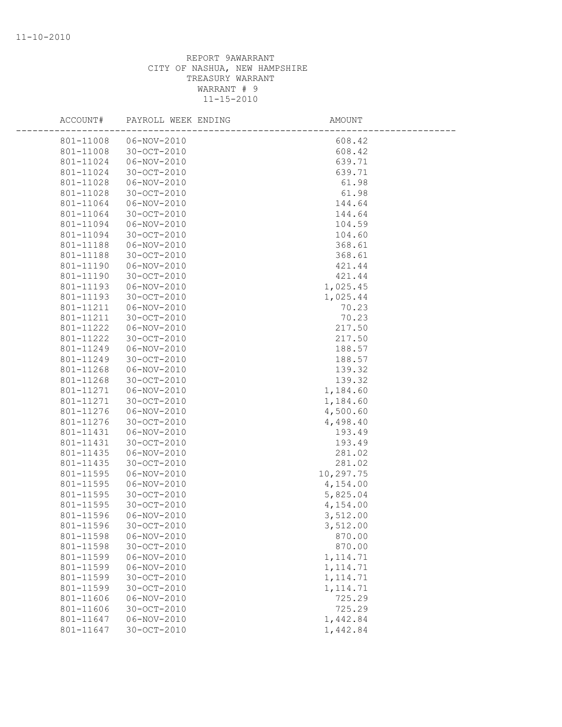| ACCOUNT#               | PAYROLL WEEK ENDING        | <b>AMOUNT</b>          |  |
|------------------------|----------------------------|------------------------|--|
| 801-11008              | 06-NOV-2010                | 608.42                 |  |
| 801-11008              | 30-OCT-2010                | 608.42                 |  |
| 801-11024              | 06-NOV-2010                | 639.71                 |  |
| 801-11024              | 30-OCT-2010                | 639.71                 |  |
| 801-11028              | 06-NOV-2010                | 61.98                  |  |
| 801-11028              | 30-OCT-2010                | 61.98                  |  |
| 801-11064              | 06-NOV-2010                | 144.64                 |  |
| 801-11064              | 30-OCT-2010                | 144.64                 |  |
| 801-11094              | 06-NOV-2010                | 104.59                 |  |
| 801-11094              | 30-OCT-2010                | 104.60                 |  |
| 801-11188              | 06-NOV-2010                | 368.61                 |  |
| 801-11188              | 30-OCT-2010                | 368.61                 |  |
| 801-11190              | 06-NOV-2010                | 421.44                 |  |
| 801-11190              | 30-OCT-2010                | 421.44                 |  |
| 801-11193              | 06-NOV-2010                | 1,025.45               |  |
| 801-11193              | 30-OCT-2010                | 1,025.44               |  |
| 801-11211              | 06-NOV-2010                | 70.23                  |  |
| 801-11211              | 30-OCT-2010                | 70.23                  |  |
| 801-11222              | 06-NOV-2010                | 217.50                 |  |
| 801-11222              | 30-OCT-2010                | 217.50                 |  |
| 801-11249              | 06-NOV-2010                | 188.57                 |  |
| 801-11249              | 30-OCT-2010                | 188.57                 |  |
| 801-11268              | 06-NOV-2010                | 139.32                 |  |
| 801-11268              | 30-OCT-2010                | 139.32                 |  |
| 801-11271              | 06-NOV-2010                | 1,184.60               |  |
| 801-11271              | 30-OCT-2010                | 1,184.60               |  |
| 801-11276              | 06-NOV-2010                | 4,500.60               |  |
| 801-11276              | 30-OCT-2010                | 4,498.40               |  |
| 801-11431              | 06-NOV-2010                | 193.49                 |  |
| 801-11431              | 30-OCT-2010                | 193.49                 |  |
| 801-11435              | $06 - NOV - 2010$          | 281.02                 |  |
| 801-11435              | 30-OCT-2010                | 281.02                 |  |
| 801-11595              | $06 - NOV - 2010$          | 10,297.75              |  |
| 801-11595              | 06-NOV-2010                | 4,154.00               |  |
| 801-11595              | 30-OCT-2010                | 5,825.04               |  |
| 801-11595              | 30-OCT-2010                | 4,154.00               |  |
| 801-11596              | 06-NOV-2010                | 3,512.00               |  |
| 801-11596              | 30-OCT-2010                | 3,512.00               |  |
| 801-11598              | $06 - NOV - 2010$          | 870.00                 |  |
| 801-11598              | $30 - OCT - 2010$          | 870.00                 |  |
| 801-11599              | $06 - NOV - 2010$          | 1, 114.71              |  |
| 801-11599              | $06 - NOV - 2010$          | 1, 114.71              |  |
| 801-11599<br>801-11599 | 30-OCT-2010<br>30-OCT-2010 | 1, 114.71<br>1, 114.71 |  |
| 801-11606              | $06 - NOV - 2010$          | 725.29                 |  |
| 801-11606              | 30-OCT-2010                | 725.29                 |  |
| 801-11647              | $06 - NOV - 2010$          | 1,442.84               |  |
| 801-11647              | 30-OCT-2010                | 1,442.84               |  |
|                        |                            |                        |  |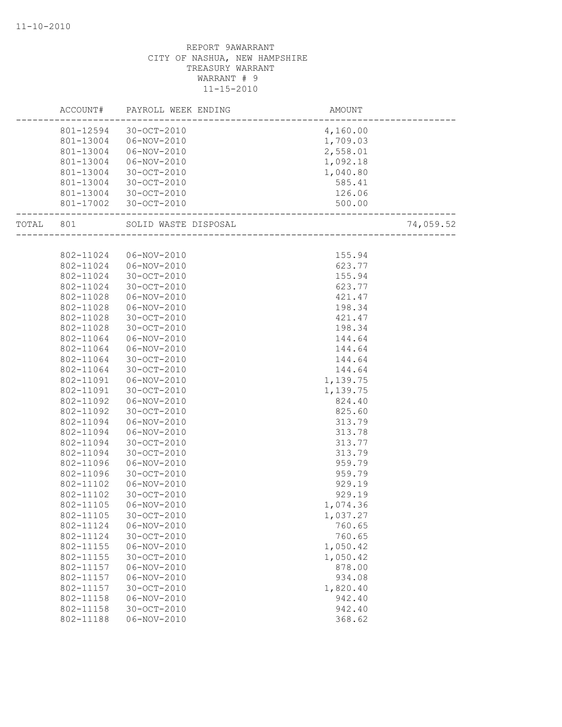|           |           | ACCOUNT# PAYROLL WEEK ENDING | AMOUNT                                                    |  |
|-----------|-----------|------------------------------|-----------------------------------------------------------|--|
|           |           | 801-12594 30-OCT-2010        | 4,160.00                                                  |  |
|           | 801-13004 | 06-NOV-2010                  | 1,709.03                                                  |  |
|           | 801-13004 | 06-NOV-2010                  | 2,558.01                                                  |  |
|           | 801-13004 | 06-NOV-2010                  | 1,092.18                                                  |  |
|           | 801-13004 | 30-OCT-2010                  | 1,040.80                                                  |  |
|           | 801-13004 | 30-OCT-2010                  | 585.41                                                    |  |
|           | 801-13004 | 30-OCT-2010                  | 126.06                                                    |  |
|           |           | 801-17002 30-OCT-2010        | .120<br>.500<br>-------------------------------<br>500.00 |  |
| TOTAL 801 |           |                              | 74,059.52                                                 |  |
|           |           |                              |                                                           |  |
|           | 802-11024 | 06-NOV-2010                  | 155.94                                                    |  |
|           | 802-11024 | 06-NOV-2010                  | 623.77                                                    |  |
|           | 802-11024 | 30-OCT-2010                  | 155.94                                                    |  |
|           | 802-11024 | 30-OCT-2010                  | 623.77                                                    |  |
|           | 802-11028 | 06-NOV-2010                  | 421.47                                                    |  |
|           | 802-11028 | 06-NOV-2010                  | 198.34                                                    |  |
|           | 802-11028 | 30-OCT-2010                  | 421.47                                                    |  |
|           | 802-11028 | 30-OCT-2010                  | 198.34                                                    |  |
|           | 802-11064 | 06-NOV-2010                  | 144.64                                                    |  |
|           | 802-11064 | 06-NOV-2010                  | 144.64                                                    |  |
|           | 802-11064 | 30-OCT-2010                  | 144.64                                                    |  |
|           | 802-11064 | 30-OCT-2010                  | 144.64                                                    |  |
|           | 802-11091 | 06-NOV-2010                  | 1,139.75                                                  |  |
|           | 802-11091 | 30-OCT-2010                  | 1,139.75                                                  |  |
|           | 802-11092 | 06-NOV-2010                  | 824.40                                                    |  |
|           | 802-11092 | 30-OCT-2010                  | 825.60                                                    |  |
|           | 802-11094 | $06 - NOV - 2010$            | 313.79                                                    |  |
|           | 802-11094 | 06-NOV-2010                  | 313.78                                                    |  |
|           | 802-11094 | 30-OCT-2010                  | 313.77                                                    |  |
|           | 802-11094 | 30-OCT-2010                  | 313.79                                                    |  |
|           | 802-11096 | 06-NOV-2010                  | 959.79                                                    |  |
|           | 802-11096 | 30-OCT-2010                  | 959.79                                                    |  |
|           | 802-11102 | 06-NOV-2010                  | 929.19                                                    |  |
|           | 802-11102 | $30 - OCT - 2010$            | 929.19                                                    |  |
|           | 802-11105 | 06-NOV-2010                  | 1,074.36                                                  |  |
|           | 802-11105 | 30-OCT-2010                  | 1,037.27                                                  |  |
|           | 802-11124 | $06 - NOV - 2010$            | 760.65                                                    |  |
|           | 802-11124 | 30-OCT-2010                  | 760.65                                                    |  |
|           | 802-11155 | 06-NOV-2010                  | 1,050.42                                                  |  |
|           | 802-11155 | 30-OCT-2010                  | 1,050.42                                                  |  |
|           | 802-11157 | $06 - NOV - 2010$            | 878.00                                                    |  |
|           | 802-11157 | $06 - NOV - 2010$            | 934.08                                                    |  |
|           | 802-11157 | $30 - OCT - 2010$            | 1,820.40                                                  |  |
|           | 802-11158 | $06 - NOV - 2010$            | 942.40                                                    |  |
|           | 802-11158 | 30-OCT-2010                  | 942.40                                                    |  |
|           | 802-11188 | $06 - NOV - 2010$            | 368.62                                                    |  |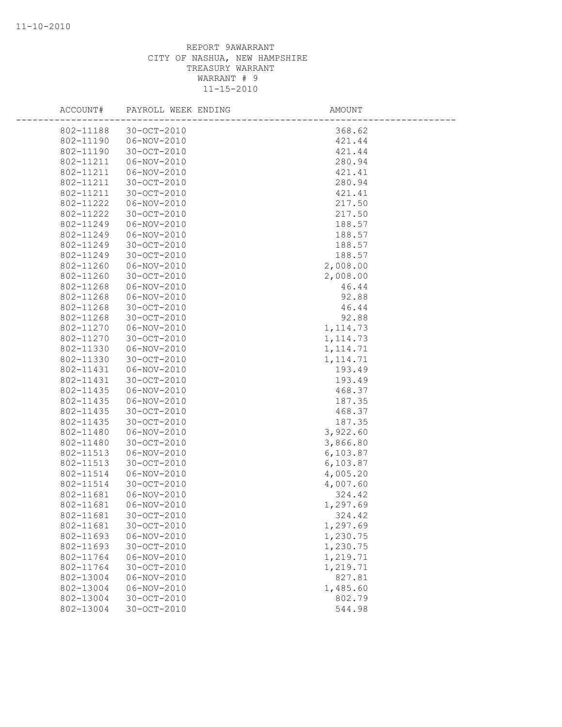| ACCOUNT#               | PAYROLL WEEK ENDING              | AMOUNT               |  |
|------------------------|----------------------------------|----------------------|--|
| 802-11188              | 30-OCT-2010                      | 368.62               |  |
| 802-11190              | 06-NOV-2010                      | 421.44               |  |
| 802-11190              | $30 - OCT - 2010$                | 421.44               |  |
| 802-11211              | 06-NOV-2010                      | 280.94               |  |
| 802-11211              | $06 - NOV - 2010$                | 421.41               |  |
| 802-11211              | $30 - OCT - 2010$                | 280.94               |  |
| 802-11211              | 30-OCT-2010                      | 421.41               |  |
| 802-11222              | 06-NOV-2010                      | 217.50               |  |
| 802-11222              | 30-OCT-2010                      | 217.50               |  |
| 802-11249              | 06-NOV-2010                      | 188.57               |  |
| 802-11249              | $06 - NOV - 2010$                | 188.57               |  |
| 802-11249              | 30-OCT-2010                      | 188.57               |  |
| 802-11249              | 30-OCT-2010                      | 188.57               |  |
| 802-11260              | $06 - NOV - 2010$                | 2,008.00             |  |
| 802-11260              | 30-OCT-2010                      | 2,008.00             |  |
| 802-11268              | 06-NOV-2010                      | 46.44                |  |
| 802-11268              | 06-NOV-2010                      | 92.88                |  |
| 802-11268              | $30 - OCT - 2010$                | 46.44                |  |
| 802-11268              | 30-OCT-2010                      | 92.88                |  |
| 802-11270              | 06-NOV-2010                      | 1, 114.73            |  |
| 802-11270              | $30 - OCT - 2010$                | 1, 114.73            |  |
| 802-11330              | 06-NOV-2010                      | 1, 114.71            |  |
| 802-11330              | 30-OCT-2010                      | 1, 114.71            |  |
| 802-11431              | 06-NOV-2010                      | 193.49               |  |
| 802-11431              | $30 - OCT - 2010$                | 193.49               |  |
| 802-11435              | 06-NOV-2010                      | 468.37               |  |
| 802-11435              | 06-NOV-2010                      | 187.35               |  |
| 802-11435              | 30-OCT-2010<br>30-OCT-2010       | 468.37               |  |
| 802-11435              |                                  | 187.35               |  |
| 802-11480              | 06-NOV-2010                      | 3,922.60             |  |
| 802-11480<br>802-11513 | 30-OCT-2010                      | 3,866.80             |  |
| 802-11513              | $06 - NOV - 2010$<br>30-OCT-2010 | 6,103.87<br>6,103.87 |  |
| 802-11514              | 06-NOV-2010                      | 4,005.20             |  |
| 802-11514              | $30 - OCT - 2010$                | 4,007.60             |  |
| 802-11681              | 06-NOV-2010                      | 324.42               |  |
| 802-11681              | 06-NOV-2010                      | 1,297.69             |  |
| 802-11681              | 30-OCT-2010                      | 324.42               |  |
| 802-11681              | 30-OCT-2010                      | 1,297.69             |  |
| 802-11693              | $06 - NOV - 2010$                | 1,230.75             |  |
| 802-11693              | $30 - OCT - 2010$                | 1,230.75             |  |
| 802-11764              | 06-NOV-2010                      | 1,219.71             |  |
| 802-11764              | 30-OCT-2010                      | 1,219.71             |  |
| 802-13004              | 06-NOV-2010                      | 827.81               |  |
| 802-13004              | 06-NOV-2010                      | 1,485.60             |  |
| 802-13004              | $30 - OCT - 2010$                | 802.79               |  |
| 802-13004              | 30-OCT-2010                      | 544.98               |  |
|                        |                                  |                      |  |